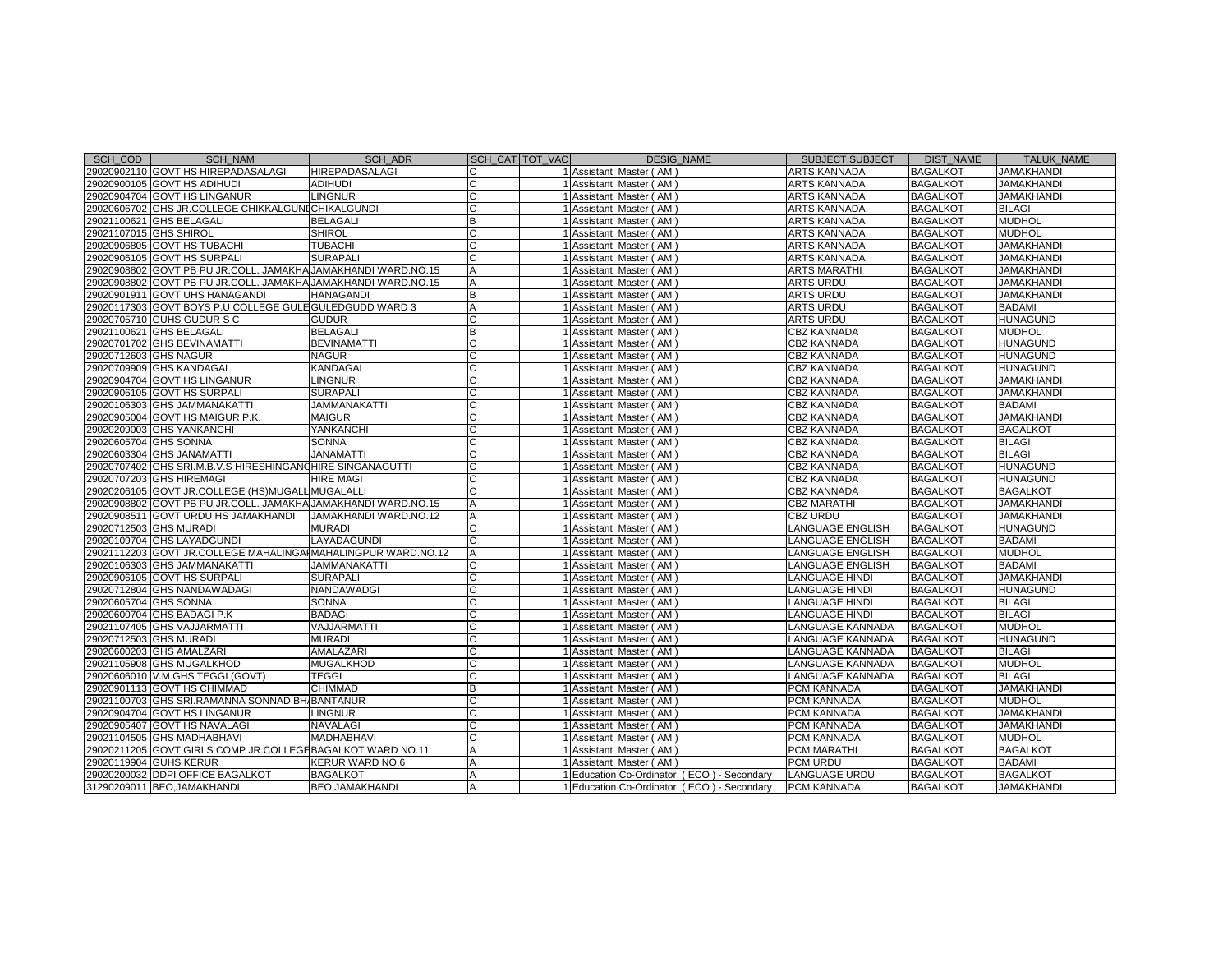| SCH COD                | <b>SCH NAM</b>                                                | SCH ADR                | SCH CAT TOT VAC | <b>DESIG NAME</b>                          | SUBJECT.SUBJECT      | DIST NAME       | <b>TALUK NAME</b> |
|------------------------|---------------------------------------------------------------|------------------------|-----------------|--------------------------------------------|----------------------|-----------------|-------------------|
|                        | 29020902110 GOVT HS HIREPADASALAGI                            | HIREPADASALAGI         |                 | 1 Assistant Master (AM)                    | ARTS KANNADA         | <b>BAGALKOT</b> | <b>JAMAKHANDI</b> |
|                        | 29020900105 GOVT HS ADIHUDI                                   | <b>ADIHUDI</b>         | C               | 1 Assistant Master (AM)                    | ARTS KANNADA         | <b>BAGALKOT</b> | <b>JAMAKHANDI</b> |
|                        | 29020904704 GOVT HS LINGANUR                                  | <b>LINGNUR</b>         | C               | 1 Assistant Master (AM)                    | ARTS KANNADA         | <b>BAGALKOT</b> | <b>JAMAKHANDI</b> |
|                        | 29020606702 GHS JR.COLLEGE CHIKKALGUNICHIKALGUNDI             |                        |                 | 1 Assistant Master (AM)                    | <b>ARTS KANNADA</b>  | <b>BAGALKOT</b> | <b>BILAGI</b>     |
|                        | 29021100621 GHS BELAGALI                                      | <b>BELAGALI</b>        | B               | 1 Assistant Master (AM)                    | <b>ARTS KANNADA</b>  | <b>BAGALKOT</b> | <b>MUDHOL</b>     |
| 29021107015 GHS SHIROL |                                                               | <b>SHIROL</b>          |                 | 1 Assistant Master (AM                     | ARTS KANNADA         | <b>BAGALKOT</b> | <b>MUDHOL</b>     |
|                        | 29020906805 GOVT HS TUBACHI                                   | <b>TUBACHI</b>         | C               | 1 Assistant Master (AM)                    | ARTS KANNADA         | <b>BAGALKOT</b> | <b>JAMAKHANDI</b> |
|                        | 29020906105 GOVT HS SURPALI                                   | <b>SURAPALI</b>        |                 | 1 Assistant Master (AM)                    | ARTS KANNADA         | <b>BAGALKOT</b> | <b>JAMAKHANDI</b> |
|                        | 29020908802 GOVT PB PU JR.COLL. JAMAKHA JAMAKHANDI WARD.NO.15 |                        | А               | 1 Assistant Master (AM)                    | ARTS MARATHI         | <b>BAGALKOT</b> | <b>JAMAKHANDI</b> |
|                        | 29020908802 GOVT PB PU JR.COLL. JAMAKHA JAMAKHANDI WARD.NO.15 |                        | A               | 1 Assistant Master (AM)                    | ARTS URDU            | <b>BAGALKOT</b> | <b>JAMAKHANDI</b> |
|                        | 29020901911 GOVT UHS HANAGANDI                                | <b>HANAGANDI</b>       | B               | 1 Assistant Master (AM)                    | <b>ARTS URDU</b>     | <b>BAGALKOT</b> | <b>JAMAKHANDI</b> |
|                        | 29020117303 GOVT BOYS P.U COLLEGE GULE GULEDGUDD WARD 3       |                        | A               | 1 Assistant Master (AM)                    | ARTS URDU            | <b>BAGALKOT</b> | <b>BADAMI</b>     |
|                        | 29020705710 GUHS GUDUR S C                                    | <b>GUDUR</b>           | C               | 1 Assistant Master (AM)                    | ARTS URDU            | <b>BAGALKOT</b> | <b>HUNAGUND</b>   |
|                        | 29021100621 GHS BELAGALI                                      | <b>BELAGALI</b>        | B               | 1 Assistant Master (AM)                    | CBZ KANNADA          | <b>BAGALKOT</b> | <b>MUDHOL</b>     |
|                        | 29020701702 GHS BEVINAMATTI                                   | <b>BEVINAMATTI</b>     |                 | 1 Assistant Master (AM)                    | <b>CBZ KANNADA</b>   | <b>BAGALKOT</b> | HUNAGUND          |
| 29020712603 GHS NAGUR  |                                                               | <b>NAGUR</b>           |                 | 1 Assistant Master (AM)                    | CBZ KANNADA          | <b>BAGALKOT</b> | HUNAGUND          |
|                        | 29020709909 GHS KANDAGAL                                      | <b>KANDAGAL</b>        | C               | 1 Assistant Master (AM                     | <b>CBZ KANNADA</b>   | <b>BAGALKOT</b> | HUNAGUND          |
|                        | 29020904704 GOVT HS LINGANUR                                  | <b>LINGNUR</b>         | C               | 1 Assistant Master (AM)                    | <b>CBZ KANNADA</b>   | <b>BAGALKOT</b> | <b>JAMAKHANDI</b> |
|                        | 29020906105 GOVT HS SURPALI                                   | <b>SURAPALI</b>        | C               | 1 Assistant Master (AM)                    | <b>CBZ KANNADA</b>   | <b>BAGALKOT</b> | <b>JAMAKHANDI</b> |
|                        | 29020106303 GHS JAMMANAKATTI                                  | <b>JAMMANAKATTI</b>    | C               | 1 Assistant Master (AM)                    | <b>CBZ KANNADA</b>   | <b>BAGALKOT</b> | <b>BADAMI</b>     |
|                        | 29020905004 GOVT HS MAIGUR P.K.                               | <b>MAIGUR</b>          | $\mathsf{C}$    | 1 Assistant Master (AM                     | CBZ KANNADA          | <b>BAGALKOT</b> | <b>JAMAKHANDI</b> |
|                        | 29020209003 GHS YANKANCHI                                     | YANKANCHI              |                 | 1 Assistant Master (AM)                    | <b>CBZ KANNADA</b>   | <b>BAGALKOT</b> | <b>BAGALKOT</b>   |
| 29020605704 GHS SONNA  |                                                               | <b>SONNA</b>           |                 | 1 Assistant Master (AM)                    | CBZ KANNADA          | <b>BAGALKOT</b> | <b>BILAGI</b>     |
|                        | 29020603304 GHS JANAMATTI                                     | <b>JANAMATTI</b>       |                 | 1 Assistant Master (AM)                    | <b>CBZ KANNADA</b>   | <b>BAGALKOT</b> | <b>BILAGI</b>     |
|                        | 29020707402 GHS SRI.M.B.V.S HIRESHINGANOHIRE SINGANAGUTTI     |                        | C               | 1 Assistant Master (AM)                    | <b>CBZ KANNADA</b>   | <b>BAGALKOT</b> | HUNAGUND          |
|                        | 29020707203 GHS HIREMAGI                                      | <b>HIRE MAGI</b>       | C               | 1 Assistant Master (AM)                    | <b>CBZ KANNADA</b>   | <b>BAGALKOT</b> | HUNAGUND          |
|                        | 29020206105 GOVT JR.COLLEGE (HS)MUGALL MUGALALLI              |                        | C               | 1 Assistant Master (AM)                    | <b>CBZ KANNADA</b>   | <b>BAGALKOT</b> | <b>BAGALKOT</b>   |
|                        | 29020908802 GOVT PB PU JR.COLL. JAMAKHA JAMAKHANDI WARD.NO.15 |                        | A               | 1 Assistant Master (AM)                    | <b>CBZ MARATHI</b>   | <b>BAGALKOT</b> | <b>JAMAKHANDI</b> |
|                        | 29020908511 GOVT URDU HS JAMAKHANDI                           | JAMAKHANDI WARD.NO.12  | A               | 1 Assistant Master (AM)                    | <b>CBZ URDU</b>      | <b>BAGALKOT</b> | <b>JAMAKHANDI</b> |
|                        | 29020712503 GHS MURADI                                        | <b>MURADI</b>          | C               | 1 Assistant Master (AM)                    | LANGUAGE ENGLISH     | <b>BAGALKOT</b> | <b>HUNAGUND</b>   |
|                        | 29020109704 GHS LAYADGUNDI                                    | LAYADAGUNDI            |                 | 1 Assistant Master (AM)                    | LANGUAGE ENGLISH     | <b>BAGALKOT</b> | <b>BADAMI</b>     |
|                        | 29021112203 GOVT JR.COLLEGE MAHALINGAIMAHALINGPUR WARD.NO.12  |                        |                 | 1 Assistant Master (AM                     | LANGUAGE ENGLISH     | <b>BAGALKOT</b> | <b>MUDHOL</b>     |
|                        | 29020106303 GHS JAMMANAKATTI                                  | <b>JAMMANAKATTI</b>    | C               | 1 Assistant Master (AM)                    | LANGUAGE ENGLISH     | <b>BAGALKOT</b> | <b>BADAMI</b>     |
|                        | 29020906105 GOVT HS SURPALI                                   | <b>SURAPALI</b>        |                 | 1 Assistant Master (AM)                    | LANGUAGE HINDI       | <b>BAGALKOT</b> | <b>JAMAKHANDI</b> |
|                        | 29020712804 GHS NANDAWADAGI                                   | NANDAWADGI             | C               | 1 Assistant Master (AM)                    | LANGUAGE HINDI       | <b>BAGALKOT</b> | HUNAGUND          |
| 29020605704 GHS SONNA  |                                                               | <b>SONNA</b>           |                 | 1 Assistant Master (AM                     | LANGUAGE HINDI       | <b>BAGALKOT</b> | <b>BILAGI</b>     |
|                        | 29020600704 GHS BADAGI P.K                                    | <b>BADAGI</b>          | C               | 1 Assistant Master (AM)                    | <b>ANGUAGE HINDI</b> | <b>BAGALKOT</b> | <b>BILAGI</b>     |
|                        | 29021107405 GHS VAJJARMATTI                                   | VAJJARMATTI            | C               | 1 Assistant Master (AM)                    | LANGUAGE KANNADA     | <b>BAGALKOT</b> | <b>MUDHOL</b>     |
| 29020712503 GHS MURADI |                                                               | <b>MURADI</b>          |                 | 1 Assistant Master (AM)                    | LANGUAGE KANNADA     | <b>BAGALKOT</b> | <b>HUNAGUND</b>   |
|                        | 29020600203 GHS AMALZARI                                      | AMALAZARI              |                 | 1 Assistant Master (AM)                    | ANGUAGE KANNADA      | <b>BAGALKOT</b> | <b>BILAGI</b>     |
|                        | 29021105908 GHS MUGALKHOD                                     | <b>MUGALKHOD</b>       | C               | 1 Assistant Master (AM)                    | LANGUAGE KANNADA     | <b>BAGALKOT</b> | <b>MUDHOL</b>     |
|                        | 29020606010 V.M.GHS TEGGI (GOVT)                              | <b>TEGGI</b>           | C               | 1 Assistant Master (AM)                    | LANGUAGE KANNADA     | <b>BAGALKOT</b> | <b>BILAGI</b>     |
|                        | 29020901113 GOVT HS CHIMMAD                                   | <b>CHIMMAD</b>         | <sub>R</sub>    | 1 Assistant Master (AM)                    | PCM KANNADA          | <b>BAGALKOT</b> | <b>JAMAKHANDI</b> |
|                        | 29021100703 GHS SRI.RAMANNA SONNAD BH BANTANUR                |                        | C               | 1 Assistant Master (AM                     | PCM KANNADA          | <b>BAGALKOT</b> | <b>MUDHOL</b>     |
|                        | 29020904704 GOVT HS LINGANUR                                  | <b>LINGNUR</b>         | C               | 1 Assistant Master (AM)                    | PCM KANNADA          | <b>BAGALKOT</b> | <b>JAMAKHANDI</b> |
|                        | 29020905407 GOVT HS NAVALAGI                                  | <b>NAVALAGI</b>        |                 | 1 Assistant Master (AM)                    | PCM KANNADA          | <b>BAGALKOT</b> | <b>JAMAKHANDI</b> |
|                        | 29021104505 GHS MADHABHAVI                                    | <b>MADHABHAVI</b>      |                 | 1 Assistant Master (AM)                    | PCM KANNADA          | <b>BAGALKOT</b> | <b>MUDHOL</b>     |
|                        | 29020211205 GOVT GIRLS COMP JR.COLLEGEBAGALKOT WARD NO.11     |                        |                 | 1 Assistant Master (AM)                    | PCM MARATHI          | <b>BAGALKOT</b> | <b>BAGALKOT</b>   |
|                        | 29020119904 GUHS KERUR                                        | KERUR WARD NO.6        | A               | 1 Assistant Master (AM)                    | PCM URDU             | <b>BAGALKOT</b> | <b>BADAMI</b>     |
|                        | 29020200032 DDPI OFFICE BAGALKOT                              | <b>BAGALKOT</b>        | A               | 1 Education Co-Ordinator (ECO) - Secondary | LANGUAGE URDU        | <b>BAGALKOT</b> | <b>BAGALKOT</b>   |
|                        | 31290209011 BEO, JAMAKHANDI                                   | <b>BEO, JAMAKHANDI</b> | A               | 1 Education Co-Ordinator (ECO) - Secondary | PCM KANNADA          | <b>BAGALKOT</b> | <b>JAMAKHANDI</b> |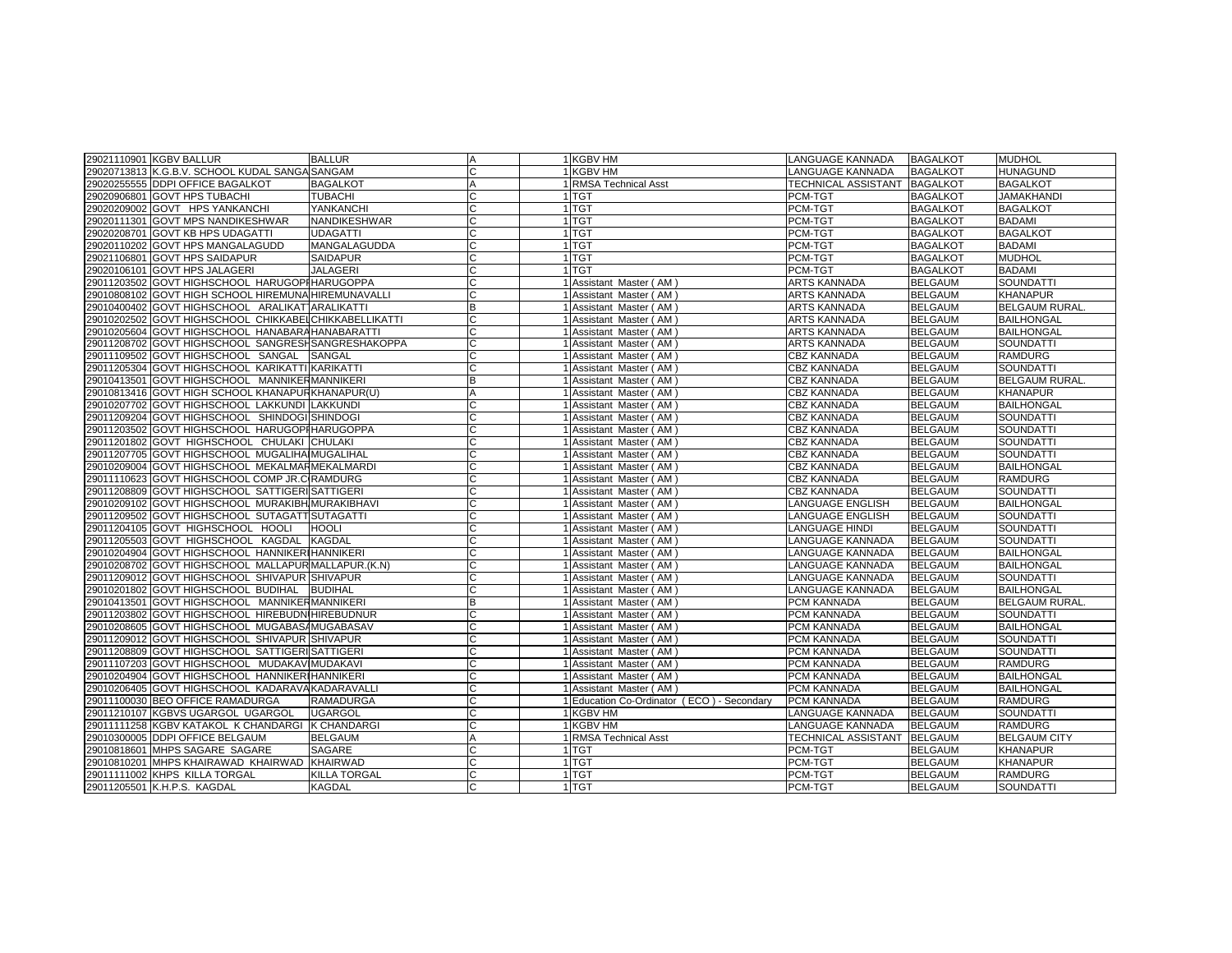| 29021110901 KGBV BALLUR                               | <b>BALLUR</b>      | Α             | 1 KGBV HM                                  | LANGUAGE KANNADA            | <b>BAGALKOT</b> | <b>MUDHOL</b>         |
|-------------------------------------------------------|--------------------|---------------|--------------------------------------------|-----------------------------|-----------------|-----------------------|
| 29020713813 K.G.B.V. SCHOOL KUDAL SANGA SANGAM        |                    |               | 1 KGBV HM                                  | LANGUAGE KANNADA            | <b>BAGALKOT</b> | <b>HUNAGUND</b>       |
| 29020255555 DDPI OFFICE BAGALKOT                      | <b>BAGALKOT</b>    |               | 1 RMSA Technical Asst                      | TECHNICAL ASSISTANT         | <b>BAGALKOT</b> | <b>BAGALKOT</b>       |
| 29020906801 GOVT HPS TUBACHI                          | <b>TUBACHI</b>     | C             | 1 TGT                                      | PCM-TGT                     | <b>BAGALKOT</b> | <b>JAMAKHANDI</b>     |
| 29020209002 GOVT HPS YANKANCHI                        | YANKANCHI          | $\mathcal{C}$ | 1 TGT                                      | PCM-TGT                     | <b>BAGALKOT</b> | <b>BAGALKOT</b>       |
| 29020111301 GOVT MPS NANDIKESHWAR                     | NANDIKESHWAR       | C             | 1 TGT                                      | PCM-TGT                     | <b>BAGALKOT</b> | BADAMI                |
| 29020208701 GOVT KB HPS UDAGATTI                      | <b>UDAGATTI</b>    | C             | 1 TGT                                      | PCM-TGT                     | <b>BAGALKOT</b> | <b>BAGALKOT</b>       |
| 29020110202 GOVT HPS MANGALAGUDD                      | MANGALAGUDDA       | C             | 1 TGT                                      | PCM-TGT                     | <b>BAGALKOT</b> | <b>BADAMI</b>         |
| 29021106801 GOVT HPS SAIDAPUR                         | <b>SAIDAPUR</b>    |               | 1 TGT                                      | PCM-TGT                     | <b>BAGALKOT</b> | <b>MUDHOL</b>         |
| 29020106101 GOVT HPS JALAGERI                         | <b>JALAGERI</b>    |               | 1 <sup>TGT</sup>                           | PCM-TGT                     | <b>BAGALKOT</b> | <b>BADAMI</b>         |
| 29011203502 GOVT HIGHSCHOOL HARUGOPIHARUGOPPA         |                    | C             | 1 Assistant Master (AM)                    | <b>ARTS KANNADA</b>         | <b>BELGAUM</b>  | SOUNDATTI             |
| 29010808102 GOVT HIGH SCHOOL HIREMUNA HIREMUNAVALLI   |                    | C             | 1 Assistant Master (AM)                    | ARTS KANNADA                | <b>BELGAUM</b>  | <b>KHANAPUR</b>       |
| 29010400402 GOVT HIGHSCHOOL ARALIKATTARALIKATTI       |                    | B             | 1 Assistant Master (AM)                    | <b>ARTS KANNADA</b>         | <b>BELGAUM</b>  | <b>BELGAUM RURAL.</b> |
| 29010202502 GOVT HIGHSCHOOL CHIKKABELCHIKKABELLIKATTI |                    | C             | 1 Assistant Master (AM)                    | ARTS KANNADA                | <b>BELGAUM</b>  | <b>BAILHONGAL</b>     |
| 29010205604 GOVT HIGHSCHOOL HANABARAHANABARATTI       |                    | C             | 1 Assistant Master (AM)                    | ARTS KANNADA                | <b>BELGAUM</b>  | <b>BAILHONGAL</b>     |
| 29011208702 GOVT HIGHSCHOOL SANGRESHSANGRESHAKOPPA    |                    |               | 1 Assistant Master (AM)                    | <b>ARTS KANNADA</b>         | <b>BELGAUM</b>  | SOUNDATTI             |
| 29011109502 GOVT HIGHSCHOOL SANGAL SANGAL             |                    |               | 1 Assistant Master (AM)                    | CBZ KANNADA                 | <b>BELGAUM</b>  | <b>RAMDURG</b>        |
| 29011205304 GOVT HIGHSCHOOL KARIKATTI KARIKATTI       |                    |               | 1 Assistant Master (AM)                    | <b>CBZ KANNADA</b>          | <b>BELGAUM</b>  | SOUNDATTI             |
| 29010413501 GOVT HIGHSCHOOL MANNIKERMANNIKERI         |                    | B             | 1 Assistant Master (AM)                    | <b>CBZ KANNADA</b>          | <b>BELGAUM</b>  | <b>BELGAUM RURAL</b>  |
| 29010813416 GOVT HIGH SCHOOL KHANAPURKHANAPUR(U)      |                    | A             | 1 Assistant Master (AM)                    | CBZ KANNADA                 | <b>BELGAUM</b>  | KHANAPUR              |
| 29010207702 GOVT HIGHSCHOOL LAKKUNDI LAKKUNDI         |                    |               | 1 Assistant Master (AM)                    | <b>CBZ KANNADA</b>          | <b>BELGAUM</b>  | <b>BAILHONGAL</b>     |
| 29011209204 GOVT HIGHSCHOOL SHINDOGI SHINDOGI         |                    | C             | 1 Assistant Master (AM)                    | CBZ KANNADA                 | <b>BELGAUM</b>  | SOUNDATTI             |
| 29011203502 GOVT HIGHSCHOOL HARUGOPIHARUGOPPA         |                    | C             | 1 Assistant Master (AM)                    | <b>CBZ KANNADA</b>          | <b>BELGAUM</b>  | SOUNDATTI             |
| 29011201802 GOVT HIGHSCHOOL CHULAKI CHULAKI           |                    |               | 1 Assistant Master (AM)                    | CBZ KANNADA                 | <b>BELGAUM</b>  | <b>SOUNDATTI</b>      |
| 29011207705 GOVT HIGHSCHOOL MUGALIHAIMUGALIHAL        |                    |               | 1 Assistant Master (AM)                    | <b>CBZ KANNADA</b>          | <b>BELGAUM</b>  | <b>SOUNDATTI</b>      |
| 29010209004 GOVT HIGHSCHOOL MEKALMARMEKALMARDI        |                    | C             | 1 Assistant Master (AM)                    | <b>CBZ KANNADA</b>          | <b>BELGAUM</b>  | <b>BAILHONGAL</b>     |
| 29011110623 GOVT HIGHSCHOOL COMP JR.C RAMDURG         |                    | C             | 1 Assistant Master (AM)                    | <b>CBZ KANNADA</b>          | <b>BELGAUM</b>  | <b>RAMDURG</b>        |
| 29011208809 GOVT HIGHSCHOOL SATTIGERISATTIGERI        |                    |               | 1 Assistant Master (AM)                    | <b>CBZ KANNADA</b>          | <b>BELGAUM</b>  | <b>SOUNDATTI</b>      |
| 29010209102 GOVT HIGHSCHOOL MURAKIBH MURAKIBHAVI      |                    | C             | 1 Assistant Master (AM)                    | LANGUAGE ENGLISH            | <b>BELGAUM</b>  | <b>BAILHONGAL</b>     |
| 29011209502 GOVT HIGHSCHOOL SUTAGATT SUTAGATTI        |                    |               | 1 Assistant Master (AM)                    | LANGUAGE ENGLISH            | <b>BELGAUM</b>  | <b>SOUNDATTI</b>      |
| 29011204105 GOVT HIGHSCHOOL HOOLI                     | <b>HOOLI</b>       |               | 1 Assistant Master (AM)                    | LANGUAGE HINDI              | <b>BELGAUM</b>  | <b>SOUNDATTI</b>      |
| 29011205503 GOVT HIGHSCHOOL KAGDAL                    | <b>KAGDAL</b>      |               | 1 Assistant Master (AM)                    | LANGUAGE KANNADA            | <b>BELGAUM</b>  | SOUNDATTI             |
| 29010204904 GOVT HIGHSCHOOL HANNIKER HANNIKERI        |                    |               | 1 Assistant Master (AM)                    | LANGUAGE KANNADA            | <b>BELGAUM</b>  | <b>BAILHONGAL</b>     |
| 29010208702 GOVT HIGHSCHOOL MALLAPUR MALLAPUR.(K.N)   |                    | C             | 1 Assistant Master (AM)                    | LANGUAGE KANNADA            | <b>BELGAUM</b>  | <b>BAILHONGAL</b>     |
| 29011209012 GOVT HIGHSCHOOL SHIVAPUR SHIVAPUR         |                    |               | 1 Assistant Master (AM)                    | LANGUAGE KANNADA            | <b>BELGAUM</b>  | <b>SOUNDATTI</b>      |
| 29010201802 GOVT HIGHSCHOOL BUDIHAL                   | <b>BUDIHAL</b>     | C             | 1 Assistant Master (AM)                    | ANGUAGE KANNADA             | <b>BELGAUM</b>  | <b>BAILHONGAL</b>     |
| 29010413501 GOVT HIGHSCHOOL MANNIKERMANNIKERI         |                    | B             | 1 Assistant Master (AM)                    | PCM KANNADA                 | <b>BELGAUM</b>  | <b>BELGAUM RURAL</b>  |
| 29011203802 GOVT HIGHSCHOOL HIREBUDN HIREBUDNUR       |                    | C             | 1 Assistant Master (AM)                    | PCM KANNADA                 | <b>BELGAUM</b>  | SOUNDATTI             |
| 29010208605 GOVT HIGHSCHOOL MUGABASAMUGABASAV         |                    |               | 1 Assistant Master (AM                     | PCM KANNADA                 | <b>BELGAUM</b>  | <b>BAILHONGAL</b>     |
| 29011209012 GOVT HIGHSCHOOL SHIVAPUR SHIVAPUR         |                    |               | 1 Assistant Master (AM                     | PCM KANNADA                 | <b>BELGAUM</b>  | SOUNDATTI             |
| 29011208809 GOVT HIGHSCHOOL SATTIGERISATTIGERI        |                    | C             | 1 Assistant Master (AM)                    | PCM KANNADA                 | <b>BELGAUM</b>  | SOUNDATTI             |
| 29011107203 GOVT HIGHSCHOOL MUDAKAVIMUDAKAVI          |                    | C             | 1 Assistant Master (AM)                    | PCM KANNADA                 | <b>BELGAUM</b>  | <b>RAMDURG</b>        |
| 29010204904 GOVT HIGHSCHOOL HANNIKERIHANNIKERI        |                    |               | 1 Assistant Master (AM)                    | PCM KANNADA                 | <b>BELGAUM</b>  | <b>BAILHONGAL</b>     |
| 29010206405 GOVT HIGHSCHOOL KADARAVAKADARAVALLI       |                    | C             | 1 Assistant Master (AM)                    | PCM KANNADA                 | <b>BELGAUM</b>  | <b>BAILHONGAL</b>     |
| 29011100030 BEO OFFICE RAMADURGA                      | <b>RAMADURGA</b>   | C             | 1 Education Co-Ordinator (ECO) - Secondary | PCM KANNADA                 | <b>BELGAUM</b>  | <b>RAMDURG</b>        |
| 29011210107 KGBVS UGARGOL UGARGOL                     | <b>UGARGOL</b>     |               | 1 KGBV HM                                  | LANGUAGE KANNADA            | <b>BELGAUM</b>  | <b>SOUNDATTI</b>      |
| 29011111258 KGBV KATAKOL K CHANDARGI                  | <b>K CHANDARGI</b> |               | 1 KGBV HM                                  | LANGUAGE KANNADA            | <b>BELGAUM</b>  | <b>RAMDURG</b>        |
| 29010300005 DDPI OFFICE BELGAUM                       | <b>BELGAUM</b>     | A             | 1 RMSA Technical Asst                      | TECHNICAL ASSISTANT BELGAUM |                 | <b>BELGAUM CITY</b>   |
| 29010818601 MHPS SAGARE SAGARE                        | <b>SAGARE</b>      |               | 1 TGT                                      | PCM-TGT                     | <b>BELGAUM</b>  | <b>KHANAPUR</b>       |
| 29010810201 MHPS KHAIRAWAD KHAIRWAD                   | <b>KHAIRWAD</b>    |               | 1TGT                                       | PCM-TGT                     | <b>BELGAUM</b>  | KHANAPUR              |
| 29011111002 KHPS KILLA TORGAL                         | KILLA TORGAL       | C             | 1 TGT                                      | PCM-TGT                     | <b>BELGAUM</b>  | <b>RAMDURG</b>        |
| 29011205501 K.H.P.S. KAGDAL                           | <b>KAGDAL</b>      | C             | 1 TGT                                      | PCM-TGT                     | <b>BELGAUM</b>  | <b>SOUNDATTI</b>      |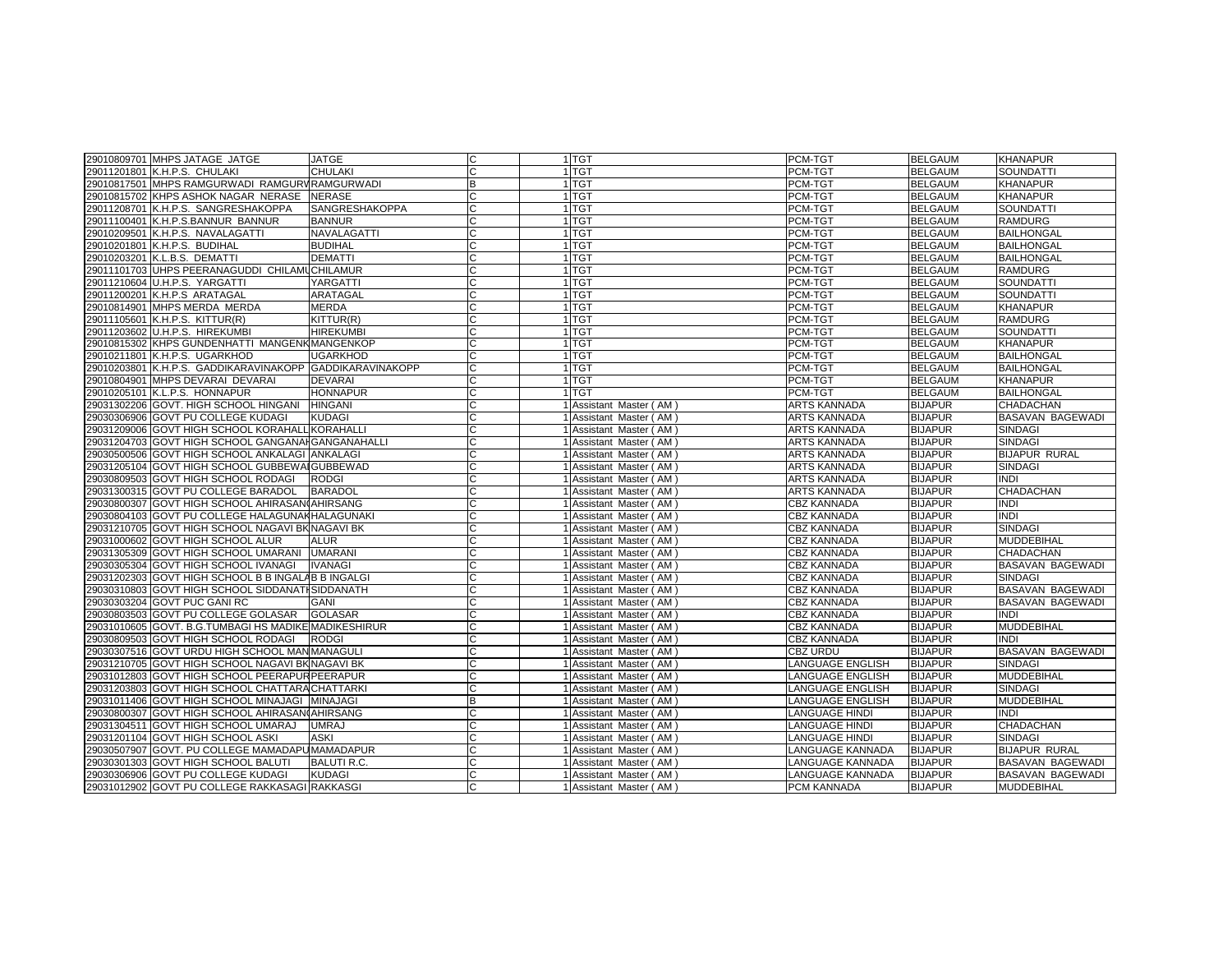| 29011201801 K.H.P.S. CHULAKI<br><b>CHULAKI</b><br>C<br>1 TGT<br>PCM-TGT<br><b>BELGAUM</b><br><b>SOUNDATTI</b><br>29010817501 MHPS RAMGURWADI RAMGURVRAMGURWADI<br>1 TGT<br>B<br>PCM-TGT<br><b>BELGAUM</b><br><b>KHANAPUR</b><br>1 TGT<br><b>BELGAUM</b><br><b>KHANAPUR</b><br>29010815702 KHPS ASHOK NAGAR NERASE<br><b>NERASE</b><br>PCM-TGT<br>29011208701 K.H.P.S. SANGRESHAKOPPA<br><b>SANGRESHAKOPPA</b><br>1 TGT<br>PCM-TGT<br><b>BELGAUM</b><br><b>SOUNDATTI</b><br>29011100401 K.H.P.S.BANNUR BANNUR<br>1 TGT<br>PCM-TGT<br><b>BELGAUM</b><br><b>RAMDURG</b><br><b>BANNUR</b><br>1 TGT<br>29010209501 K.H.P.S. NAVALAGATTI<br>NAVALAGATTI<br>PCM-TGT<br><b>BELGAUM</b><br><b>BAILHONGAL</b><br>1 <sub>TGT</sub><br>PCM-TGT<br><b>BELGAUM</b><br><b>BAILHONGAL</b><br>29010201801 K.H.P.S. BUDIHAL<br><b>BUDIHAL</b><br>29010203201 K.L.B.S. DEMATTI<br><b>DEMATTI</b><br>1 <sub>TGT</sub><br>PCM-TGT<br><b>BELGAUM</b><br><b>BAILHONGAL</b><br>29011101703 UHPS PEERANAGUDDI CHILAMUCHILAMUR<br>1 TGT<br>PCM-TGT<br><b>BELGAUM</b><br><b>RAMDURG</b><br>29011210604 U.H.P.S. YARGATTI<br>YARGATTI<br>1 TGT<br><b>BELGAUM</b><br><b>SOUNDATTI</b><br>PCM-TGT<br>29011200201 K.H.P.S ARATAGAL<br><b>ARATAGAL</b><br>1 TGT<br>PCM-TGT<br><b>BELGAUM</b><br><b>SOUNDATTI</b><br>29010814901 MHPS MERDA MERDA<br><b>MERDA</b><br>1 TGT<br>PCM-TGT<br><b>BELGAUM</b><br><b>KHANAPUR</b><br>1 TGT<br><b>BELGAUM</b><br><b>RAMDURG</b><br>29011105601 K.H.P.S. KITTUR(R)<br>KITTUR(R)<br>PCM-TGT<br>1 <sub>TGT</sub><br>PCM-TGT<br><b>BELGAUM</b><br><b>SOUNDATTI</b><br>29011203602 U.H.P.S. HIREKUMBI<br><b>HIREKUMBI</b><br>29010815302 KHPS GUNDENHATTI MANGENKMANGENKOP<br>1TGT<br>PCM-TGT<br><b>BELGAUM</b><br><b>KHANAPUR</b><br>29010211801 K.H.P.S. UGARKHOD<br>1 TGT<br>PCM-TGT<br><b>BELGAUM</b><br><b>BAILHONGAL</b><br><b>UGARKHOD</b><br>29010203801 K.H.P.S. GADDIKARAVINAKOPP GADDIKARAVINAKOPP<br>1 TGT<br><b>BELGAUM</b><br><b>BAILHONGAL</b><br>PCM-TGT<br>1 TGT<br><b>KHANAPUR</b><br>29010804901 MHPS DEVARAI DEVARAI<br><b>DEVARAI</b><br>PCM-TGT<br><b>BELGAUM</b><br>29010205101 K.L.P.S. HONNAPUR<br>1 TGT<br><b>BELGAUM</b><br><b>HONNAPUR</b><br>PCM-TGT<br><b>BAILHONGAL</b><br>29031302206 GOVT. HIGH SCHOOL HINGANI<br><b>ARTS KANNADA</b><br><b>HINGANI</b><br>1 Assistant Master (AM)<br><b>BIJAPUR</b><br>CHADACHAN<br><b>BIJAPUR</b><br><b>BASAVAN BAGEWADI</b><br>29030306906 GOVT PU COLLEGE KUDAGI<br><b>KUDAGI</b><br>1 Assistant Master (AM)<br><b>ARTS KANNADA</b><br>29031209006 GOVT HIGH SCHOOL KORAHALL KORAHALLI<br><b>ARTS KANNADA</b><br><b>BIJAPUR</b><br><b>SINDAGI</b><br>1 Assistant Master (AM)<br>29031204703 GOVT HIGH SCHOOL GANGANAHGANGANAHALLI<br>ARTS KANNADA<br><b>BIJAPUR</b><br><b>SINDAGI</b><br>1 Assistant Master (AM)<br><b>BIJAPUR</b><br><b>BIJAPUR RURAL</b><br>ARTS KANNADA<br>29030500506 GOVT HIGH SCHOOL ANKALAGI ANKALAGI<br>1 Assistant Master (AM)<br>ARTS KANNADA<br><b>BIJAPUR</b><br><b>SINDAGI</b><br>29031205104 GOVT HIGH SCHOOL GUBBEWAIGUBBEWAD<br>1 Assistant Master (AM)<br>29030809503 GOVT HIGH SCHOOL RODAGI<br><b>BIJAPUR</b><br><b>INDI</b><br><b>RODGI</b><br>1 Assistant Master (AM)<br><b>ARTS KANNADA</b><br>29031300315 GOVT PU COLLEGE BARADOL<br><b>BIJAPUR</b><br>CHADACHAN<br><b>BARADOL</b><br>1 Assistant Master (AM)<br>ARTS KANNADA<br>29030800307 GOVT HIGH SCHOOL AHIRASAN(AHIRSANG<br><b>BIJAPUR</b><br>1 Assistant Master (AM)<br>CBZ KANNADA<br><b>INDI</b><br><b>INDI</b><br>29030804103 GOVT PU COLLEGE HALAGUNAKHALAGUNAKI<br><b>CBZ KANNADA</b><br><b>BIJAPUR</b><br>1 Assistant Master (AM)<br>29031210705 GOVT HIGH SCHOOL NAGAVI BKNAGAVI BK<br><b>CBZ KANNADA</b><br><b>BIJAPUR</b><br><b>SINDAGI</b><br>1 Assistant Master (AM)<br><b>BIJAPUR</b><br><b>MUDDEBIHAL</b><br>29031000602 GOVT HIGH SCHOOL ALUR<br>1 Assistant Master (AM)<br><b>CBZ KANNADA</b><br><b>ALUR</b><br><b>BIJAPUR</b><br>CHADACHAN<br>29031305309 GOVT HIGH SCHOOL UMARANI<br><b>UMARANI</b><br>1 Assistant Master (AM)<br><b>CBZ KANNADA</b><br><b>BIJAPUR</b><br><b>BASAVAN BAGEWADI</b><br>29030305304 GOVT HIGH SCHOOL IVANAGI<br><b>IVANAGI</b><br>1 Assistant Master (AM)<br>CBZ KANNADA<br>C<br>29031202303 GOVT HIGH SCHOOL B B INGALAB B INGALGI<br><b>CBZ KANNADA</b><br><b>BIJAPUR</b><br><b>SINDAGI</b><br>1 Assistant Master (AM)<br><b>BASAVAN BAGEWADI</b><br>29030310803 GOVT HIGH SCHOOL SIDDANATI SIDDANATH<br><b>CBZ KANNADA</b><br><b>BIJAPUR</b><br>1 Assistant Master (AM)<br>29030303204 GOVT PUC GANI RC<br><b>BIJAPUR</b><br>BASAVAN BAGEWADI<br><b>GANI</b><br><b>CBZ KANNADA</b><br>1 Assistant Master (AM)<br>29030803503 GOVT PU COLLEGE GOLASAR<br><b>BIJAPUR</b><br><b>GOLASAR</b><br><b>CBZ KANNADA</b><br><b>INDI</b><br>1 Assistant Master (AM)<br>29031010605 GOVT. B.G.TUMBAGI HS MADIKE MADIKESHIRUR<br><b>BIJAPUR</b><br><b>MUDDEBIHAL</b><br>1 Assistant Master (AM)<br><b>CBZ KANNADA</b><br>29030809503 GOVT HIGH SCHOOL RODAGI<br><b>BIJAPUR</b><br><b>RODGI</b><br>1 Assistant Master (AM)<br><b>CBZ KANNADA</b><br><b>INDI</b><br><b>BIJAPUR</b><br>CBZ URDU<br><b>BASAVAN BAGEWADI</b><br>29030307516 GOVT URDU HIGH SCHOOL MAN MANAGULI<br>1 Assistant Master (AM)<br>29031210705 GOVT HIGH SCHOOL NAGAVI BKNAGAVI BK<br>LANGUAGE ENGLISH<br><b>BIJAPUR</b><br><b>SINDAGI</b><br>1 Assistant Master (AM)<br>29031012803 GOVT HIGH SCHOOL PEERAPUR PEERAPUR<br>ANGUAGE ENGLISH<br><b>BIJAPUR</b><br><b>MUDDEBIHAL</b><br>1 Assistant Master (AM)<br>29031203803 GOVT HIGH SCHOOL CHATTARA CHATTARKI<br>LANGUAGE ENGLISH<br><b>BIJAPUR</b><br><b>SINDAGI</b><br>1 Assistant Master (AM)<br>29031011406 GOVT HIGH SCHOOL MINAJAGI MINAJAGI<br>LANGUAGE ENGLISH<br><b>BIJAPUR</b><br><b>MUDDEBIHAL</b><br>R<br>1 Assistant Master (AM)<br>29030800307 GOVT HIGH SCHOOL AHIRASAN(AHIRSANG<br><b>LANGUAGE HINDI</b><br><b>BIJAPUR</b><br>INDI<br>1 Assistant Master (AM)<br><b>BIJAPUR</b><br><b>CHADACHAN</b><br>29031304511 GOVT HIGH SCHOOL UMARAJ<br><b>UMRAJ</b><br>1 Assistant Master (AM)<br>LANGUAGE HINDI<br><b>BIJAPUR</b><br>29031201104 GOVT HIGH SCHOOL ASKI<br><b>ASKI</b><br>1 Assistant Master (AM)<br><b>ANGUAGE HINDI</b><br><b>SINDAGI</b><br>29030507907 GOVT. PU COLLEGE MAMADAPUMAMADAPUR<br>LANGUAGE KANNADA<br><b>BIJAPUR</b><br><b>BIJAPUR RURAL</b><br>1 Assistant Master (AM)<br><b>BIJAPUR</b><br><b>BASAVAN BAGEWADI</b><br>29030301303 GOVT HIGH SCHOOL BALUTI<br><b>BALUTI R.C.</b><br>ANGUAGE KANNADA<br>1 Assistant Master (AM)<br>29030306906 GOVT PU COLLEGE KUDAGI<br><b>KUDAGI</b><br>1 Assistant Master (AM)<br>LANGUAGE KANNADA<br><b>BIJAPUR</b><br>BASAVAN BAGEWADI<br>29031012902 GOVT PU COLLEGE RAKKASAGI RAKKASGI<br>1 Assistant Master (AM)<br>PCM KANNADA<br><b>BIJAPUR</b><br><b>MUDDEBIHAL</b> | 29010809701 MHPS JATAGE JATGE | <b>JATGE</b> | 1 TGT | PCM-TGT | <b>BELGAUM</b> | <b>KHANAPUR</b> |
|---------------------------------------------------------------------------------------------------------------------------------------------------------------------------------------------------------------------------------------------------------------------------------------------------------------------------------------------------------------------------------------------------------------------------------------------------------------------------------------------------------------------------------------------------------------------------------------------------------------------------------------------------------------------------------------------------------------------------------------------------------------------------------------------------------------------------------------------------------------------------------------------------------------------------------------------------------------------------------------------------------------------------------------------------------------------------------------------------------------------------------------------------------------------------------------------------------------------------------------------------------------------------------------------------------------------------------------------------------------------------------------------------------------------------------------------------------------------------------------------------------------------------------------------------------------------------------------------------------------------------------------------------------------------------------------------------------------------------------------------------------------------------------------------------------------------------------------------------------------------------------------------------------------------------------------------------------------------------------------------------------------------------------------------------------------------------------------------------------------------------------------------------------------------------------------------------------------------------------------------------------------------------------------------------------------------------------------------------------------------------------------------------------------------------------------------------------------------------------------------------------------------------------------------------------------------------------------------------------------------------------------------------------------------------------------------------------------------------------------------------------------------------------------------------------------------------------------------------------------------------------------------------------------------------------------------------------------------------------------------------------------------------------------------------------------------------------------------------------------------------------------------------------------------------------------------------------------------------------------------------------------------------------------------------------------------------------------------------------------------------------------------------------------------------------------------------------------------------------------------------------------------------------------------------------------------------------------------------------------------------------------------------------------------------------------------------------------------------------------------------------------------------------------------------------------------------------------------------------------------------------------------------------------------------------------------------------------------------------------------------------------------------------------------------------------------------------------------------------------------------------------------------------------------------------------------------------------------------------------------------------------------------------------------------------------------------------------------------------------------------------------------------------------------------------------------------------------------------------------------------------------------------------------------------------------------------------------------------------------------------------------------------------------------------------------------------------------------------------------------------------------------------------------------------------------------------------------------------------------------------------------------------------------------------------------------------------------------------------------------------------------------------------------------------------------------------------------------------------------------------------------------------------------------------------------------------------------------------------------------------------------------------------------------------------------------------------------------------------------------------------------------------------------------------------------------------------------------------------------------------------------------------------------------------------------------------------------------------------------------------------------------------------------------------------------------------------------------------------------------------------------------------------------------------------------------------------------------------------------------------------------------------------------------------------------------------------------------------------------------------------------------------------------------------------------------------------------------------------------------------------------------------------------------------------------------------------------------------------------------------------------------------------------------------------------------------------------------------------------------------------------------------------------------------------------------------------------------------------------------------------------------------------------------------------------------------------------------------------------------------------------------------------------------------------------------------------------------------------------------------------------------------------------|-------------------------------|--------------|-------|---------|----------------|-----------------|
|                                                                                                                                                                                                                                                                                                                                                                                                                                                                                                                                                                                                                                                                                                                                                                                                                                                                                                                                                                                                                                                                                                                                                                                                                                                                                                                                                                                                                                                                                                                                                                                                                                                                                                                                                                                                                                                                                                                                                                                                                                                                                                                                                                                                                                                                                                                                                                                                                                                                                                                                                                                                                                                                                                                                                                                                                                                                                                                                                                                                                                                                                                                                                                                                                                                                                                                                                                                                                                                                                                                                                                                                                                                                                                                                                                                                                                                                                                                                                                                                                                                                                                                                                                                                                                                                                                                                                                                                                                                                                                                                                                                                                                                                                                                                                                                                                                                                                                                                                                                                                                                                                                                                                                                                                                                                                                                                                                                                                                                                                                                                                                                                                                                                                                                                                                                                                                                                                                                                                                                                                                                                                                                                                                                                                                                                                                                                                                                                                                                                                                                                                                                                                                                                                                                                                                                       |                               |              |       |         |                |                 |
|                                                                                                                                                                                                                                                                                                                                                                                                                                                                                                                                                                                                                                                                                                                                                                                                                                                                                                                                                                                                                                                                                                                                                                                                                                                                                                                                                                                                                                                                                                                                                                                                                                                                                                                                                                                                                                                                                                                                                                                                                                                                                                                                                                                                                                                                                                                                                                                                                                                                                                                                                                                                                                                                                                                                                                                                                                                                                                                                                                                                                                                                                                                                                                                                                                                                                                                                                                                                                                                                                                                                                                                                                                                                                                                                                                                                                                                                                                                                                                                                                                                                                                                                                                                                                                                                                                                                                                                                                                                                                                                                                                                                                                                                                                                                                                                                                                                                                                                                                                                                                                                                                                                                                                                                                                                                                                                                                                                                                                                                                                                                                                                                                                                                                                                                                                                                                                                                                                                                                                                                                                                                                                                                                                                                                                                                                                                                                                                                                                                                                                                                                                                                                                                                                                                                                                                       |                               |              |       |         |                |                 |
|                                                                                                                                                                                                                                                                                                                                                                                                                                                                                                                                                                                                                                                                                                                                                                                                                                                                                                                                                                                                                                                                                                                                                                                                                                                                                                                                                                                                                                                                                                                                                                                                                                                                                                                                                                                                                                                                                                                                                                                                                                                                                                                                                                                                                                                                                                                                                                                                                                                                                                                                                                                                                                                                                                                                                                                                                                                                                                                                                                                                                                                                                                                                                                                                                                                                                                                                                                                                                                                                                                                                                                                                                                                                                                                                                                                                                                                                                                                                                                                                                                                                                                                                                                                                                                                                                                                                                                                                                                                                                                                                                                                                                                                                                                                                                                                                                                                                                                                                                                                                                                                                                                                                                                                                                                                                                                                                                                                                                                                                                                                                                                                                                                                                                                                                                                                                                                                                                                                                                                                                                                                                                                                                                                                                                                                                                                                                                                                                                                                                                                                                                                                                                                                                                                                                                                                       |                               |              |       |         |                |                 |
|                                                                                                                                                                                                                                                                                                                                                                                                                                                                                                                                                                                                                                                                                                                                                                                                                                                                                                                                                                                                                                                                                                                                                                                                                                                                                                                                                                                                                                                                                                                                                                                                                                                                                                                                                                                                                                                                                                                                                                                                                                                                                                                                                                                                                                                                                                                                                                                                                                                                                                                                                                                                                                                                                                                                                                                                                                                                                                                                                                                                                                                                                                                                                                                                                                                                                                                                                                                                                                                                                                                                                                                                                                                                                                                                                                                                                                                                                                                                                                                                                                                                                                                                                                                                                                                                                                                                                                                                                                                                                                                                                                                                                                                                                                                                                                                                                                                                                                                                                                                                                                                                                                                                                                                                                                                                                                                                                                                                                                                                                                                                                                                                                                                                                                                                                                                                                                                                                                                                                                                                                                                                                                                                                                                                                                                                                                                                                                                                                                                                                                                                                                                                                                                                                                                                                                                       |                               |              |       |         |                |                 |
|                                                                                                                                                                                                                                                                                                                                                                                                                                                                                                                                                                                                                                                                                                                                                                                                                                                                                                                                                                                                                                                                                                                                                                                                                                                                                                                                                                                                                                                                                                                                                                                                                                                                                                                                                                                                                                                                                                                                                                                                                                                                                                                                                                                                                                                                                                                                                                                                                                                                                                                                                                                                                                                                                                                                                                                                                                                                                                                                                                                                                                                                                                                                                                                                                                                                                                                                                                                                                                                                                                                                                                                                                                                                                                                                                                                                                                                                                                                                                                                                                                                                                                                                                                                                                                                                                                                                                                                                                                                                                                                                                                                                                                                                                                                                                                                                                                                                                                                                                                                                                                                                                                                                                                                                                                                                                                                                                                                                                                                                                                                                                                                                                                                                                                                                                                                                                                                                                                                                                                                                                                                                                                                                                                                                                                                                                                                                                                                                                                                                                                                                                                                                                                                                                                                                                                                       |                               |              |       |         |                |                 |
|                                                                                                                                                                                                                                                                                                                                                                                                                                                                                                                                                                                                                                                                                                                                                                                                                                                                                                                                                                                                                                                                                                                                                                                                                                                                                                                                                                                                                                                                                                                                                                                                                                                                                                                                                                                                                                                                                                                                                                                                                                                                                                                                                                                                                                                                                                                                                                                                                                                                                                                                                                                                                                                                                                                                                                                                                                                                                                                                                                                                                                                                                                                                                                                                                                                                                                                                                                                                                                                                                                                                                                                                                                                                                                                                                                                                                                                                                                                                                                                                                                                                                                                                                                                                                                                                                                                                                                                                                                                                                                                                                                                                                                                                                                                                                                                                                                                                                                                                                                                                                                                                                                                                                                                                                                                                                                                                                                                                                                                                                                                                                                                                                                                                                                                                                                                                                                                                                                                                                                                                                                                                                                                                                                                                                                                                                                                                                                                                                                                                                                                                                                                                                                                                                                                                                                                       |                               |              |       |         |                |                 |
|                                                                                                                                                                                                                                                                                                                                                                                                                                                                                                                                                                                                                                                                                                                                                                                                                                                                                                                                                                                                                                                                                                                                                                                                                                                                                                                                                                                                                                                                                                                                                                                                                                                                                                                                                                                                                                                                                                                                                                                                                                                                                                                                                                                                                                                                                                                                                                                                                                                                                                                                                                                                                                                                                                                                                                                                                                                                                                                                                                                                                                                                                                                                                                                                                                                                                                                                                                                                                                                                                                                                                                                                                                                                                                                                                                                                                                                                                                                                                                                                                                                                                                                                                                                                                                                                                                                                                                                                                                                                                                                                                                                                                                                                                                                                                                                                                                                                                                                                                                                                                                                                                                                                                                                                                                                                                                                                                                                                                                                                                                                                                                                                                                                                                                                                                                                                                                                                                                                                                                                                                                                                                                                                                                                                                                                                                                                                                                                                                                                                                                                                                                                                                                                                                                                                                                                       |                               |              |       |         |                |                 |
|                                                                                                                                                                                                                                                                                                                                                                                                                                                                                                                                                                                                                                                                                                                                                                                                                                                                                                                                                                                                                                                                                                                                                                                                                                                                                                                                                                                                                                                                                                                                                                                                                                                                                                                                                                                                                                                                                                                                                                                                                                                                                                                                                                                                                                                                                                                                                                                                                                                                                                                                                                                                                                                                                                                                                                                                                                                                                                                                                                                                                                                                                                                                                                                                                                                                                                                                                                                                                                                                                                                                                                                                                                                                                                                                                                                                                                                                                                                                                                                                                                                                                                                                                                                                                                                                                                                                                                                                                                                                                                                                                                                                                                                                                                                                                                                                                                                                                                                                                                                                                                                                                                                                                                                                                                                                                                                                                                                                                                                                                                                                                                                                                                                                                                                                                                                                                                                                                                                                                                                                                                                                                                                                                                                                                                                                                                                                                                                                                                                                                                                                                                                                                                                                                                                                                                                       |                               |              |       |         |                |                 |
|                                                                                                                                                                                                                                                                                                                                                                                                                                                                                                                                                                                                                                                                                                                                                                                                                                                                                                                                                                                                                                                                                                                                                                                                                                                                                                                                                                                                                                                                                                                                                                                                                                                                                                                                                                                                                                                                                                                                                                                                                                                                                                                                                                                                                                                                                                                                                                                                                                                                                                                                                                                                                                                                                                                                                                                                                                                                                                                                                                                                                                                                                                                                                                                                                                                                                                                                                                                                                                                                                                                                                                                                                                                                                                                                                                                                                                                                                                                                                                                                                                                                                                                                                                                                                                                                                                                                                                                                                                                                                                                                                                                                                                                                                                                                                                                                                                                                                                                                                                                                                                                                                                                                                                                                                                                                                                                                                                                                                                                                                                                                                                                                                                                                                                                                                                                                                                                                                                                                                                                                                                                                                                                                                                                                                                                                                                                                                                                                                                                                                                                                                                                                                                                                                                                                                                                       |                               |              |       |         |                |                 |
|                                                                                                                                                                                                                                                                                                                                                                                                                                                                                                                                                                                                                                                                                                                                                                                                                                                                                                                                                                                                                                                                                                                                                                                                                                                                                                                                                                                                                                                                                                                                                                                                                                                                                                                                                                                                                                                                                                                                                                                                                                                                                                                                                                                                                                                                                                                                                                                                                                                                                                                                                                                                                                                                                                                                                                                                                                                                                                                                                                                                                                                                                                                                                                                                                                                                                                                                                                                                                                                                                                                                                                                                                                                                                                                                                                                                                                                                                                                                                                                                                                                                                                                                                                                                                                                                                                                                                                                                                                                                                                                                                                                                                                                                                                                                                                                                                                                                                                                                                                                                                                                                                                                                                                                                                                                                                                                                                                                                                                                                                                                                                                                                                                                                                                                                                                                                                                                                                                                                                                                                                                                                                                                                                                                                                                                                                                                                                                                                                                                                                                                                                                                                                                                                                                                                                                                       |                               |              |       |         |                |                 |
|                                                                                                                                                                                                                                                                                                                                                                                                                                                                                                                                                                                                                                                                                                                                                                                                                                                                                                                                                                                                                                                                                                                                                                                                                                                                                                                                                                                                                                                                                                                                                                                                                                                                                                                                                                                                                                                                                                                                                                                                                                                                                                                                                                                                                                                                                                                                                                                                                                                                                                                                                                                                                                                                                                                                                                                                                                                                                                                                                                                                                                                                                                                                                                                                                                                                                                                                                                                                                                                                                                                                                                                                                                                                                                                                                                                                                                                                                                                                                                                                                                                                                                                                                                                                                                                                                                                                                                                                                                                                                                                                                                                                                                                                                                                                                                                                                                                                                                                                                                                                                                                                                                                                                                                                                                                                                                                                                                                                                                                                                                                                                                                                                                                                                                                                                                                                                                                                                                                                                                                                                                                                                                                                                                                                                                                                                                                                                                                                                                                                                                                                                                                                                                                                                                                                                                                       |                               |              |       |         |                |                 |
|                                                                                                                                                                                                                                                                                                                                                                                                                                                                                                                                                                                                                                                                                                                                                                                                                                                                                                                                                                                                                                                                                                                                                                                                                                                                                                                                                                                                                                                                                                                                                                                                                                                                                                                                                                                                                                                                                                                                                                                                                                                                                                                                                                                                                                                                                                                                                                                                                                                                                                                                                                                                                                                                                                                                                                                                                                                                                                                                                                                                                                                                                                                                                                                                                                                                                                                                                                                                                                                                                                                                                                                                                                                                                                                                                                                                                                                                                                                                                                                                                                                                                                                                                                                                                                                                                                                                                                                                                                                                                                                                                                                                                                                                                                                                                                                                                                                                                                                                                                                                                                                                                                                                                                                                                                                                                                                                                                                                                                                                                                                                                                                                                                                                                                                                                                                                                                                                                                                                                                                                                                                                                                                                                                                                                                                                                                                                                                                                                                                                                                                                                                                                                                                                                                                                                                                       |                               |              |       |         |                |                 |
|                                                                                                                                                                                                                                                                                                                                                                                                                                                                                                                                                                                                                                                                                                                                                                                                                                                                                                                                                                                                                                                                                                                                                                                                                                                                                                                                                                                                                                                                                                                                                                                                                                                                                                                                                                                                                                                                                                                                                                                                                                                                                                                                                                                                                                                                                                                                                                                                                                                                                                                                                                                                                                                                                                                                                                                                                                                                                                                                                                                                                                                                                                                                                                                                                                                                                                                                                                                                                                                                                                                                                                                                                                                                                                                                                                                                                                                                                                                                                                                                                                                                                                                                                                                                                                                                                                                                                                                                                                                                                                                                                                                                                                                                                                                                                                                                                                                                                                                                                                                                                                                                                                                                                                                                                                                                                                                                                                                                                                                                                                                                                                                                                                                                                                                                                                                                                                                                                                                                                                                                                                                                                                                                                                                                                                                                                                                                                                                                                                                                                                                                                                                                                                                                                                                                                                                       |                               |              |       |         |                |                 |
|                                                                                                                                                                                                                                                                                                                                                                                                                                                                                                                                                                                                                                                                                                                                                                                                                                                                                                                                                                                                                                                                                                                                                                                                                                                                                                                                                                                                                                                                                                                                                                                                                                                                                                                                                                                                                                                                                                                                                                                                                                                                                                                                                                                                                                                                                                                                                                                                                                                                                                                                                                                                                                                                                                                                                                                                                                                                                                                                                                                                                                                                                                                                                                                                                                                                                                                                                                                                                                                                                                                                                                                                                                                                                                                                                                                                                                                                                                                                                                                                                                                                                                                                                                                                                                                                                                                                                                                                                                                                                                                                                                                                                                                                                                                                                                                                                                                                                                                                                                                                                                                                                                                                                                                                                                                                                                                                                                                                                                                                                                                                                                                                                                                                                                                                                                                                                                                                                                                                                                                                                                                                                                                                                                                                                                                                                                                                                                                                                                                                                                                                                                                                                                                                                                                                                                                       |                               |              |       |         |                |                 |
|                                                                                                                                                                                                                                                                                                                                                                                                                                                                                                                                                                                                                                                                                                                                                                                                                                                                                                                                                                                                                                                                                                                                                                                                                                                                                                                                                                                                                                                                                                                                                                                                                                                                                                                                                                                                                                                                                                                                                                                                                                                                                                                                                                                                                                                                                                                                                                                                                                                                                                                                                                                                                                                                                                                                                                                                                                                                                                                                                                                                                                                                                                                                                                                                                                                                                                                                                                                                                                                                                                                                                                                                                                                                                                                                                                                                                                                                                                                                                                                                                                                                                                                                                                                                                                                                                                                                                                                                                                                                                                                                                                                                                                                                                                                                                                                                                                                                                                                                                                                                                                                                                                                                                                                                                                                                                                                                                                                                                                                                                                                                                                                                                                                                                                                                                                                                                                                                                                                                                                                                                                                                                                                                                                                                                                                                                                                                                                                                                                                                                                                                                                                                                                                                                                                                                                                       |                               |              |       |         |                |                 |
|                                                                                                                                                                                                                                                                                                                                                                                                                                                                                                                                                                                                                                                                                                                                                                                                                                                                                                                                                                                                                                                                                                                                                                                                                                                                                                                                                                                                                                                                                                                                                                                                                                                                                                                                                                                                                                                                                                                                                                                                                                                                                                                                                                                                                                                                                                                                                                                                                                                                                                                                                                                                                                                                                                                                                                                                                                                                                                                                                                                                                                                                                                                                                                                                                                                                                                                                                                                                                                                                                                                                                                                                                                                                                                                                                                                                                                                                                                                                                                                                                                                                                                                                                                                                                                                                                                                                                                                                                                                                                                                                                                                                                                                                                                                                                                                                                                                                                                                                                                                                                                                                                                                                                                                                                                                                                                                                                                                                                                                                                                                                                                                                                                                                                                                                                                                                                                                                                                                                                                                                                                                                                                                                                                                                                                                                                                                                                                                                                                                                                                                                                                                                                                                                                                                                                                                       |                               |              |       |         |                |                 |
|                                                                                                                                                                                                                                                                                                                                                                                                                                                                                                                                                                                                                                                                                                                                                                                                                                                                                                                                                                                                                                                                                                                                                                                                                                                                                                                                                                                                                                                                                                                                                                                                                                                                                                                                                                                                                                                                                                                                                                                                                                                                                                                                                                                                                                                                                                                                                                                                                                                                                                                                                                                                                                                                                                                                                                                                                                                                                                                                                                                                                                                                                                                                                                                                                                                                                                                                                                                                                                                                                                                                                                                                                                                                                                                                                                                                                                                                                                                                                                                                                                                                                                                                                                                                                                                                                                                                                                                                                                                                                                                                                                                                                                                                                                                                                                                                                                                                                                                                                                                                                                                                                                                                                                                                                                                                                                                                                                                                                                                                                                                                                                                                                                                                                                                                                                                                                                                                                                                                                                                                                                                                                                                                                                                                                                                                                                                                                                                                                                                                                                                                                                                                                                                                                                                                                                                       |                               |              |       |         |                |                 |
|                                                                                                                                                                                                                                                                                                                                                                                                                                                                                                                                                                                                                                                                                                                                                                                                                                                                                                                                                                                                                                                                                                                                                                                                                                                                                                                                                                                                                                                                                                                                                                                                                                                                                                                                                                                                                                                                                                                                                                                                                                                                                                                                                                                                                                                                                                                                                                                                                                                                                                                                                                                                                                                                                                                                                                                                                                                                                                                                                                                                                                                                                                                                                                                                                                                                                                                                                                                                                                                                                                                                                                                                                                                                                                                                                                                                                                                                                                                                                                                                                                                                                                                                                                                                                                                                                                                                                                                                                                                                                                                                                                                                                                                                                                                                                                                                                                                                                                                                                                                                                                                                                                                                                                                                                                                                                                                                                                                                                                                                                                                                                                                                                                                                                                                                                                                                                                                                                                                                                                                                                                                                                                                                                                                                                                                                                                                                                                                                                                                                                                                                                                                                                                                                                                                                                                                       |                               |              |       |         |                |                 |
|                                                                                                                                                                                                                                                                                                                                                                                                                                                                                                                                                                                                                                                                                                                                                                                                                                                                                                                                                                                                                                                                                                                                                                                                                                                                                                                                                                                                                                                                                                                                                                                                                                                                                                                                                                                                                                                                                                                                                                                                                                                                                                                                                                                                                                                                                                                                                                                                                                                                                                                                                                                                                                                                                                                                                                                                                                                                                                                                                                                                                                                                                                                                                                                                                                                                                                                                                                                                                                                                                                                                                                                                                                                                                                                                                                                                                                                                                                                                                                                                                                                                                                                                                                                                                                                                                                                                                                                                                                                                                                                                                                                                                                                                                                                                                                                                                                                                                                                                                                                                                                                                                                                                                                                                                                                                                                                                                                                                                                                                                                                                                                                                                                                                                                                                                                                                                                                                                                                                                                                                                                                                                                                                                                                                                                                                                                                                                                                                                                                                                                                                                                                                                                                                                                                                                                                       |                               |              |       |         |                |                 |
|                                                                                                                                                                                                                                                                                                                                                                                                                                                                                                                                                                                                                                                                                                                                                                                                                                                                                                                                                                                                                                                                                                                                                                                                                                                                                                                                                                                                                                                                                                                                                                                                                                                                                                                                                                                                                                                                                                                                                                                                                                                                                                                                                                                                                                                                                                                                                                                                                                                                                                                                                                                                                                                                                                                                                                                                                                                                                                                                                                                                                                                                                                                                                                                                                                                                                                                                                                                                                                                                                                                                                                                                                                                                                                                                                                                                                                                                                                                                                                                                                                                                                                                                                                                                                                                                                                                                                                                                                                                                                                                                                                                                                                                                                                                                                                                                                                                                                                                                                                                                                                                                                                                                                                                                                                                                                                                                                                                                                                                                                                                                                                                                                                                                                                                                                                                                                                                                                                                                                                                                                                                                                                                                                                                                                                                                                                                                                                                                                                                                                                                                                                                                                                                                                                                                                                                       |                               |              |       |         |                |                 |
|                                                                                                                                                                                                                                                                                                                                                                                                                                                                                                                                                                                                                                                                                                                                                                                                                                                                                                                                                                                                                                                                                                                                                                                                                                                                                                                                                                                                                                                                                                                                                                                                                                                                                                                                                                                                                                                                                                                                                                                                                                                                                                                                                                                                                                                                                                                                                                                                                                                                                                                                                                                                                                                                                                                                                                                                                                                                                                                                                                                                                                                                                                                                                                                                                                                                                                                                                                                                                                                                                                                                                                                                                                                                                                                                                                                                                                                                                                                                                                                                                                                                                                                                                                                                                                                                                                                                                                                                                                                                                                                                                                                                                                                                                                                                                                                                                                                                                                                                                                                                                                                                                                                                                                                                                                                                                                                                                                                                                                                                                                                                                                                                                                                                                                                                                                                                                                                                                                                                                                                                                                                                                                                                                                                                                                                                                                                                                                                                                                                                                                                                                                                                                                                                                                                                                                                       |                               |              |       |         |                |                 |
|                                                                                                                                                                                                                                                                                                                                                                                                                                                                                                                                                                                                                                                                                                                                                                                                                                                                                                                                                                                                                                                                                                                                                                                                                                                                                                                                                                                                                                                                                                                                                                                                                                                                                                                                                                                                                                                                                                                                                                                                                                                                                                                                                                                                                                                                                                                                                                                                                                                                                                                                                                                                                                                                                                                                                                                                                                                                                                                                                                                                                                                                                                                                                                                                                                                                                                                                                                                                                                                                                                                                                                                                                                                                                                                                                                                                                                                                                                                                                                                                                                                                                                                                                                                                                                                                                                                                                                                                                                                                                                                                                                                                                                                                                                                                                                                                                                                                                                                                                                                                                                                                                                                                                                                                                                                                                                                                                                                                                                                                                                                                                                                                                                                                                                                                                                                                                                                                                                                                                                                                                                                                                                                                                                                                                                                                                                                                                                                                                                                                                                                                                                                                                                                                                                                                                                                       |                               |              |       |         |                |                 |
|                                                                                                                                                                                                                                                                                                                                                                                                                                                                                                                                                                                                                                                                                                                                                                                                                                                                                                                                                                                                                                                                                                                                                                                                                                                                                                                                                                                                                                                                                                                                                                                                                                                                                                                                                                                                                                                                                                                                                                                                                                                                                                                                                                                                                                                                                                                                                                                                                                                                                                                                                                                                                                                                                                                                                                                                                                                                                                                                                                                                                                                                                                                                                                                                                                                                                                                                                                                                                                                                                                                                                                                                                                                                                                                                                                                                                                                                                                                                                                                                                                                                                                                                                                                                                                                                                                                                                                                                                                                                                                                                                                                                                                                                                                                                                                                                                                                                                                                                                                                                                                                                                                                                                                                                                                                                                                                                                                                                                                                                                                                                                                                                                                                                                                                                                                                                                                                                                                                                                                                                                                                                                                                                                                                                                                                                                                                                                                                                                                                                                                                                                                                                                                                                                                                                                                                       |                               |              |       |         |                |                 |
|                                                                                                                                                                                                                                                                                                                                                                                                                                                                                                                                                                                                                                                                                                                                                                                                                                                                                                                                                                                                                                                                                                                                                                                                                                                                                                                                                                                                                                                                                                                                                                                                                                                                                                                                                                                                                                                                                                                                                                                                                                                                                                                                                                                                                                                                                                                                                                                                                                                                                                                                                                                                                                                                                                                                                                                                                                                                                                                                                                                                                                                                                                                                                                                                                                                                                                                                                                                                                                                                                                                                                                                                                                                                                                                                                                                                                                                                                                                                                                                                                                                                                                                                                                                                                                                                                                                                                                                                                                                                                                                                                                                                                                                                                                                                                                                                                                                                                                                                                                                                                                                                                                                                                                                                                                                                                                                                                                                                                                                                                                                                                                                                                                                                                                                                                                                                                                                                                                                                                                                                                                                                                                                                                                                                                                                                                                                                                                                                                                                                                                                                                                                                                                                                                                                                                                                       |                               |              |       |         |                |                 |
|                                                                                                                                                                                                                                                                                                                                                                                                                                                                                                                                                                                                                                                                                                                                                                                                                                                                                                                                                                                                                                                                                                                                                                                                                                                                                                                                                                                                                                                                                                                                                                                                                                                                                                                                                                                                                                                                                                                                                                                                                                                                                                                                                                                                                                                                                                                                                                                                                                                                                                                                                                                                                                                                                                                                                                                                                                                                                                                                                                                                                                                                                                                                                                                                                                                                                                                                                                                                                                                                                                                                                                                                                                                                                                                                                                                                                                                                                                                                                                                                                                                                                                                                                                                                                                                                                                                                                                                                                                                                                                                                                                                                                                                                                                                                                                                                                                                                                                                                                                                                                                                                                                                                                                                                                                                                                                                                                                                                                                                                                                                                                                                                                                                                                                                                                                                                                                                                                                                                                                                                                                                                                                                                                                                                                                                                                                                                                                                                                                                                                                                                                                                                                                                                                                                                                                                       |                               |              |       |         |                |                 |
|                                                                                                                                                                                                                                                                                                                                                                                                                                                                                                                                                                                                                                                                                                                                                                                                                                                                                                                                                                                                                                                                                                                                                                                                                                                                                                                                                                                                                                                                                                                                                                                                                                                                                                                                                                                                                                                                                                                                                                                                                                                                                                                                                                                                                                                                                                                                                                                                                                                                                                                                                                                                                                                                                                                                                                                                                                                                                                                                                                                                                                                                                                                                                                                                                                                                                                                                                                                                                                                                                                                                                                                                                                                                                                                                                                                                                                                                                                                                                                                                                                                                                                                                                                                                                                                                                                                                                                                                                                                                                                                                                                                                                                                                                                                                                                                                                                                                                                                                                                                                                                                                                                                                                                                                                                                                                                                                                                                                                                                                                                                                                                                                                                                                                                                                                                                                                                                                                                                                                                                                                                                                                                                                                                                                                                                                                                                                                                                                                                                                                                                                                                                                                                                                                                                                                                                       |                               |              |       |         |                |                 |
|                                                                                                                                                                                                                                                                                                                                                                                                                                                                                                                                                                                                                                                                                                                                                                                                                                                                                                                                                                                                                                                                                                                                                                                                                                                                                                                                                                                                                                                                                                                                                                                                                                                                                                                                                                                                                                                                                                                                                                                                                                                                                                                                                                                                                                                                                                                                                                                                                                                                                                                                                                                                                                                                                                                                                                                                                                                                                                                                                                                                                                                                                                                                                                                                                                                                                                                                                                                                                                                                                                                                                                                                                                                                                                                                                                                                                                                                                                                                                                                                                                                                                                                                                                                                                                                                                                                                                                                                                                                                                                                                                                                                                                                                                                                                                                                                                                                                                                                                                                                                                                                                                                                                                                                                                                                                                                                                                                                                                                                                                                                                                                                                                                                                                                                                                                                                                                                                                                                                                                                                                                                                                                                                                                                                                                                                                                                                                                                                                                                                                                                                                                                                                                                                                                                                                                                       |                               |              |       |         |                |                 |
|                                                                                                                                                                                                                                                                                                                                                                                                                                                                                                                                                                                                                                                                                                                                                                                                                                                                                                                                                                                                                                                                                                                                                                                                                                                                                                                                                                                                                                                                                                                                                                                                                                                                                                                                                                                                                                                                                                                                                                                                                                                                                                                                                                                                                                                                                                                                                                                                                                                                                                                                                                                                                                                                                                                                                                                                                                                                                                                                                                                                                                                                                                                                                                                                                                                                                                                                                                                                                                                                                                                                                                                                                                                                                                                                                                                                                                                                                                                                                                                                                                                                                                                                                                                                                                                                                                                                                                                                                                                                                                                                                                                                                                                                                                                                                                                                                                                                                                                                                                                                                                                                                                                                                                                                                                                                                                                                                                                                                                                                                                                                                                                                                                                                                                                                                                                                                                                                                                                                                                                                                                                                                                                                                                                                                                                                                                                                                                                                                                                                                                                                                                                                                                                                                                                                                                                       |                               |              |       |         |                |                 |
|                                                                                                                                                                                                                                                                                                                                                                                                                                                                                                                                                                                                                                                                                                                                                                                                                                                                                                                                                                                                                                                                                                                                                                                                                                                                                                                                                                                                                                                                                                                                                                                                                                                                                                                                                                                                                                                                                                                                                                                                                                                                                                                                                                                                                                                                                                                                                                                                                                                                                                                                                                                                                                                                                                                                                                                                                                                                                                                                                                                                                                                                                                                                                                                                                                                                                                                                                                                                                                                                                                                                                                                                                                                                                                                                                                                                                                                                                                                                                                                                                                                                                                                                                                                                                                                                                                                                                                                                                                                                                                                                                                                                                                                                                                                                                                                                                                                                                                                                                                                                                                                                                                                                                                                                                                                                                                                                                                                                                                                                                                                                                                                                                                                                                                                                                                                                                                                                                                                                                                                                                                                                                                                                                                                                                                                                                                                                                                                                                                                                                                                                                                                                                                                                                                                                                                                       |                               |              |       |         |                |                 |
|                                                                                                                                                                                                                                                                                                                                                                                                                                                                                                                                                                                                                                                                                                                                                                                                                                                                                                                                                                                                                                                                                                                                                                                                                                                                                                                                                                                                                                                                                                                                                                                                                                                                                                                                                                                                                                                                                                                                                                                                                                                                                                                                                                                                                                                                                                                                                                                                                                                                                                                                                                                                                                                                                                                                                                                                                                                                                                                                                                                                                                                                                                                                                                                                                                                                                                                                                                                                                                                                                                                                                                                                                                                                                                                                                                                                                                                                                                                                                                                                                                                                                                                                                                                                                                                                                                                                                                                                                                                                                                                                                                                                                                                                                                                                                                                                                                                                                                                                                                                                                                                                                                                                                                                                                                                                                                                                                                                                                                                                                                                                                                                                                                                                                                                                                                                                                                                                                                                                                                                                                                                                                                                                                                                                                                                                                                                                                                                                                                                                                                                                                                                                                                                                                                                                                                                       |                               |              |       |         |                |                 |
|                                                                                                                                                                                                                                                                                                                                                                                                                                                                                                                                                                                                                                                                                                                                                                                                                                                                                                                                                                                                                                                                                                                                                                                                                                                                                                                                                                                                                                                                                                                                                                                                                                                                                                                                                                                                                                                                                                                                                                                                                                                                                                                                                                                                                                                                                                                                                                                                                                                                                                                                                                                                                                                                                                                                                                                                                                                                                                                                                                                                                                                                                                                                                                                                                                                                                                                                                                                                                                                                                                                                                                                                                                                                                                                                                                                                                                                                                                                                                                                                                                                                                                                                                                                                                                                                                                                                                                                                                                                                                                                                                                                                                                                                                                                                                                                                                                                                                                                                                                                                                                                                                                                                                                                                                                                                                                                                                                                                                                                                                                                                                                                                                                                                                                                                                                                                                                                                                                                                                                                                                                                                                                                                                                                                                                                                                                                                                                                                                                                                                                                                                                                                                                                                                                                                                                                       |                               |              |       |         |                |                 |
|                                                                                                                                                                                                                                                                                                                                                                                                                                                                                                                                                                                                                                                                                                                                                                                                                                                                                                                                                                                                                                                                                                                                                                                                                                                                                                                                                                                                                                                                                                                                                                                                                                                                                                                                                                                                                                                                                                                                                                                                                                                                                                                                                                                                                                                                                                                                                                                                                                                                                                                                                                                                                                                                                                                                                                                                                                                                                                                                                                                                                                                                                                                                                                                                                                                                                                                                                                                                                                                                                                                                                                                                                                                                                                                                                                                                                                                                                                                                                                                                                                                                                                                                                                                                                                                                                                                                                                                                                                                                                                                                                                                                                                                                                                                                                                                                                                                                                                                                                                                                                                                                                                                                                                                                                                                                                                                                                                                                                                                                                                                                                                                                                                                                                                                                                                                                                                                                                                                                                                                                                                                                                                                                                                                                                                                                                                                                                                                                                                                                                                                                                                                                                                                                                                                                                                                       |                               |              |       |         |                |                 |
|                                                                                                                                                                                                                                                                                                                                                                                                                                                                                                                                                                                                                                                                                                                                                                                                                                                                                                                                                                                                                                                                                                                                                                                                                                                                                                                                                                                                                                                                                                                                                                                                                                                                                                                                                                                                                                                                                                                                                                                                                                                                                                                                                                                                                                                                                                                                                                                                                                                                                                                                                                                                                                                                                                                                                                                                                                                                                                                                                                                                                                                                                                                                                                                                                                                                                                                                                                                                                                                                                                                                                                                                                                                                                                                                                                                                                                                                                                                                                                                                                                                                                                                                                                                                                                                                                                                                                                                                                                                                                                                                                                                                                                                                                                                                                                                                                                                                                                                                                                                                                                                                                                                                                                                                                                                                                                                                                                                                                                                                                                                                                                                                                                                                                                                                                                                                                                                                                                                                                                                                                                                                                                                                                                                                                                                                                                                                                                                                                                                                                                                                                                                                                                                                                                                                                                                       |                               |              |       |         |                |                 |
|                                                                                                                                                                                                                                                                                                                                                                                                                                                                                                                                                                                                                                                                                                                                                                                                                                                                                                                                                                                                                                                                                                                                                                                                                                                                                                                                                                                                                                                                                                                                                                                                                                                                                                                                                                                                                                                                                                                                                                                                                                                                                                                                                                                                                                                                                                                                                                                                                                                                                                                                                                                                                                                                                                                                                                                                                                                                                                                                                                                                                                                                                                                                                                                                                                                                                                                                                                                                                                                                                                                                                                                                                                                                                                                                                                                                                                                                                                                                                                                                                                                                                                                                                                                                                                                                                                                                                                                                                                                                                                                                                                                                                                                                                                                                                                                                                                                                                                                                                                                                                                                                                                                                                                                                                                                                                                                                                                                                                                                                                                                                                                                                                                                                                                                                                                                                                                                                                                                                                                                                                                                                                                                                                                                                                                                                                                                                                                                                                                                                                                                                                                                                                                                                                                                                                                                       |                               |              |       |         |                |                 |
|                                                                                                                                                                                                                                                                                                                                                                                                                                                                                                                                                                                                                                                                                                                                                                                                                                                                                                                                                                                                                                                                                                                                                                                                                                                                                                                                                                                                                                                                                                                                                                                                                                                                                                                                                                                                                                                                                                                                                                                                                                                                                                                                                                                                                                                                                                                                                                                                                                                                                                                                                                                                                                                                                                                                                                                                                                                                                                                                                                                                                                                                                                                                                                                                                                                                                                                                                                                                                                                                                                                                                                                                                                                                                                                                                                                                                                                                                                                                                                                                                                                                                                                                                                                                                                                                                                                                                                                                                                                                                                                                                                                                                                                                                                                                                                                                                                                                                                                                                                                                                                                                                                                                                                                                                                                                                                                                                                                                                                                                                                                                                                                                                                                                                                                                                                                                                                                                                                                                                                                                                                                                                                                                                                                                                                                                                                                                                                                                                                                                                                                                                                                                                                                                                                                                                                                       |                               |              |       |         |                |                 |
|                                                                                                                                                                                                                                                                                                                                                                                                                                                                                                                                                                                                                                                                                                                                                                                                                                                                                                                                                                                                                                                                                                                                                                                                                                                                                                                                                                                                                                                                                                                                                                                                                                                                                                                                                                                                                                                                                                                                                                                                                                                                                                                                                                                                                                                                                                                                                                                                                                                                                                                                                                                                                                                                                                                                                                                                                                                                                                                                                                                                                                                                                                                                                                                                                                                                                                                                                                                                                                                                                                                                                                                                                                                                                                                                                                                                                                                                                                                                                                                                                                                                                                                                                                                                                                                                                                                                                                                                                                                                                                                                                                                                                                                                                                                                                                                                                                                                                                                                                                                                                                                                                                                                                                                                                                                                                                                                                                                                                                                                                                                                                                                                                                                                                                                                                                                                                                                                                                                                                                                                                                                                                                                                                                                                                                                                                                                                                                                                                                                                                                                                                                                                                                                                                                                                                                                       |                               |              |       |         |                |                 |
|                                                                                                                                                                                                                                                                                                                                                                                                                                                                                                                                                                                                                                                                                                                                                                                                                                                                                                                                                                                                                                                                                                                                                                                                                                                                                                                                                                                                                                                                                                                                                                                                                                                                                                                                                                                                                                                                                                                                                                                                                                                                                                                                                                                                                                                                                                                                                                                                                                                                                                                                                                                                                                                                                                                                                                                                                                                                                                                                                                                                                                                                                                                                                                                                                                                                                                                                                                                                                                                                                                                                                                                                                                                                                                                                                                                                                                                                                                                                                                                                                                                                                                                                                                                                                                                                                                                                                                                                                                                                                                                                                                                                                                                                                                                                                                                                                                                                                                                                                                                                                                                                                                                                                                                                                                                                                                                                                                                                                                                                                                                                                                                                                                                                                                                                                                                                                                                                                                                                                                                                                                                                                                                                                                                                                                                                                                                                                                                                                                                                                                                                                                                                                                                                                                                                                                                       |                               |              |       |         |                |                 |
|                                                                                                                                                                                                                                                                                                                                                                                                                                                                                                                                                                                                                                                                                                                                                                                                                                                                                                                                                                                                                                                                                                                                                                                                                                                                                                                                                                                                                                                                                                                                                                                                                                                                                                                                                                                                                                                                                                                                                                                                                                                                                                                                                                                                                                                                                                                                                                                                                                                                                                                                                                                                                                                                                                                                                                                                                                                                                                                                                                                                                                                                                                                                                                                                                                                                                                                                                                                                                                                                                                                                                                                                                                                                                                                                                                                                                                                                                                                                                                                                                                                                                                                                                                                                                                                                                                                                                                                                                                                                                                                                                                                                                                                                                                                                                                                                                                                                                                                                                                                                                                                                                                                                                                                                                                                                                                                                                                                                                                                                                                                                                                                                                                                                                                                                                                                                                                                                                                                                                                                                                                                                                                                                                                                                                                                                                                                                                                                                                                                                                                                                                                                                                                                                                                                                                                                       |                               |              |       |         |                |                 |
|                                                                                                                                                                                                                                                                                                                                                                                                                                                                                                                                                                                                                                                                                                                                                                                                                                                                                                                                                                                                                                                                                                                                                                                                                                                                                                                                                                                                                                                                                                                                                                                                                                                                                                                                                                                                                                                                                                                                                                                                                                                                                                                                                                                                                                                                                                                                                                                                                                                                                                                                                                                                                                                                                                                                                                                                                                                                                                                                                                                                                                                                                                                                                                                                                                                                                                                                                                                                                                                                                                                                                                                                                                                                                                                                                                                                                                                                                                                                                                                                                                                                                                                                                                                                                                                                                                                                                                                                                                                                                                                                                                                                                                                                                                                                                                                                                                                                                                                                                                                                                                                                                                                                                                                                                                                                                                                                                                                                                                                                                                                                                                                                                                                                                                                                                                                                                                                                                                                                                                                                                                                                                                                                                                                                                                                                                                                                                                                                                                                                                                                                                                                                                                                                                                                                                                                       |                               |              |       |         |                |                 |
|                                                                                                                                                                                                                                                                                                                                                                                                                                                                                                                                                                                                                                                                                                                                                                                                                                                                                                                                                                                                                                                                                                                                                                                                                                                                                                                                                                                                                                                                                                                                                                                                                                                                                                                                                                                                                                                                                                                                                                                                                                                                                                                                                                                                                                                                                                                                                                                                                                                                                                                                                                                                                                                                                                                                                                                                                                                                                                                                                                                                                                                                                                                                                                                                                                                                                                                                                                                                                                                                                                                                                                                                                                                                                                                                                                                                                                                                                                                                                                                                                                                                                                                                                                                                                                                                                                                                                                                                                                                                                                                                                                                                                                                                                                                                                                                                                                                                                                                                                                                                                                                                                                                                                                                                                                                                                                                                                                                                                                                                                                                                                                                                                                                                                                                                                                                                                                                                                                                                                                                                                                                                                                                                                                                                                                                                                                                                                                                                                                                                                                                                                                                                                                                                                                                                                                                       |                               |              |       |         |                |                 |
|                                                                                                                                                                                                                                                                                                                                                                                                                                                                                                                                                                                                                                                                                                                                                                                                                                                                                                                                                                                                                                                                                                                                                                                                                                                                                                                                                                                                                                                                                                                                                                                                                                                                                                                                                                                                                                                                                                                                                                                                                                                                                                                                                                                                                                                                                                                                                                                                                                                                                                                                                                                                                                                                                                                                                                                                                                                                                                                                                                                                                                                                                                                                                                                                                                                                                                                                                                                                                                                                                                                                                                                                                                                                                                                                                                                                                                                                                                                                                                                                                                                                                                                                                                                                                                                                                                                                                                                                                                                                                                                                                                                                                                                                                                                                                                                                                                                                                                                                                                                                                                                                                                                                                                                                                                                                                                                                                                                                                                                                                                                                                                                                                                                                                                                                                                                                                                                                                                                                                                                                                                                                                                                                                                                                                                                                                                                                                                                                                                                                                                                                                                                                                                                                                                                                                                                       |                               |              |       |         |                |                 |
|                                                                                                                                                                                                                                                                                                                                                                                                                                                                                                                                                                                                                                                                                                                                                                                                                                                                                                                                                                                                                                                                                                                                                                                                                                                                                                                                                                                                                                                                                                                                                                                                                                                                                                                                                                                                                                                                                                                                                                                                                                                                                                                                                                                                                                                                                                                                                                                                                                                                                                                                                                                                                                                                                                                                                                                                                                                                                                                                                                                                                                                                                                                                                                                                                                                                                                                                                                                                                                                                                                                                                                                                                                                                                                                                                                                                                                                                                                                                                                                                                                                                                                                                                                                                                                                                                                                                                                                                                                                                                                                                                                                                                                                                                                                                                                                                                                                                                                                                                                                                                                                                                                                                                                                                                                                                                                                                                                                                                                                                                                                                                                                                                                                                                                                                                                                                                                                                                                                                                                                                                                                                                                                                                                                                                                                                                                                                                                                                                                                                                                                                                                                                                                                                                                                                                                                       |                               |              |       |         |                |                 |
|                                                                                                                                                                                                                                                                                                                                                                                                                                                                                                                                                                                                                                                                                                                                                                                                                                                                                                                                                                                                                                                                                                                                                                                                                                                                                                                                                                                                                                                                                                                                                                                                                                                                                                                                                                                                                                                                                                                                                                                                                                                                                                                                                                                                                                                                                                                                                                                                                                                                                                                                                                                                                                                                                                                                                                                                                                                                                                                                                                                                                                                                                                                                                                                                                                                                                                                                                                                                                                                                                                                                                                                                                                                                                                                                                                                                                                                                                                                                                                                                                                                                                                                                                                                                                                                                                                                                                                                                                                                                                                                                                                                                                                                                                                                                                                                                                                                                                                                                                                                                                                                                                                                                                                                                                                                                                                                                                                                                                                                                                                                                                                                                                                                                                                                                                                                                                                                                                                                                                                                                                                                                                                                                                                                                                                                                                                                                                                                                                                                                                                                                                                                                                                                                                                                                                                                       |                               |              |       |         |                |                 |
|                                                                                                                                                                                                                                                                                                                                                                                                                                                                                                                                                                                                                                                                                                                                                                                                                                                                                                                                                                                                                                                                                                                                                                                                                                                                                                                                                                                                                                                                                                                                                                                                                                                                                                                                                                                                                                                                                                                                                                                                                                                                                                                                                                                                                                                                                                                                                                                                                                                                                                                                                                                                                                                                                                                                                                                                                                                                                                                                                                                                                                                                                                                                                                                                                                                                                                                                                                                                                                                                                                                                                                                                                                                                                                                                                                                                                                                                                                                                                                                                                                                                                                                                                                                                                                                                                                                                                                                                                                                                                                                                                                                                                                                                                                                                                                                                                                                                                                                                                                                                                                                                                                                                                                                                                                                                                                                                                                                                                                                                                                                                                                                                                                                                                                                                                                                                                                                                                                                                                                                                                                                                                                                                                                                                                                                                                                                                                                                                                                                                                                                                                                                                                                                                                                                                                                                       |                               |              |       |         |                |                 |
|                                                                                                                                                                                                                                                                                                                                                                                                                                                                                                                                                                                                                                                                                                                                                                                                                                                                                                                                                                                                                                                                                                                                                                                                                                                                                                                                                                                                                                                                                                                                                                                                                                                                                                                                                                                                                                                                                                                                                                                                                                                                                                                                                                                                                                                                                                                                                                                                                                                                                                                                                                                                                                                                                                                                                                                                                                                                                                                                                                                                                                                                                                                                                                                                                                                                                                                                                                                                                                                                                                                                                                                                                                                                                                                                                                                                                                                                                                                                                                                                                                                                                                                                                                                                                                                                                                                                                                                                                                                                                                                                                                                                                                                                                                                                                                                                                                                                                                                                                                                                                                                                                                                                                                                                                                                                                                                                                                                                                                                                                                                                                                                                                                                                                                                                                                                                                                                                                                                                                                                                                                                                                                                                                                                                                                                                                                                                                                                                                                                                                                                                                                                                                                                                                                                                                                                       |                               |              |       |         |                |                 |
|                                                                                                                                                                                                                                                                                                                                                                                                                                                                                                                                                                                                                                                                                                                                                                                                                                                                                                                                                                                                                                                                                                                                                                                                                                                                                                                                                                                                                                                                                                                                                                                                                                                                                                                                                                                                                                                                                                                                                                                                                                                                                                                                                                                                                                                                                                                                                                                                                                                                                                                                                                                                                                                                                                                                                                                                                                                                                                                                                                                                                                                                                                                                                                                                                                                                                                                                                                                                                                                                                                                                                                                                                                                                                                                                                                                                                                                                                                                                                                                                                                                                                                                                                                                                                                                                                                                                                                                                                                                                                                                                                                                                                                                                                                                                                                                                                                                                                                                                                                                                                                                                                                                                                                                                                                                                                                                                                                                                                                                                                                                                                                                                                                                                                                                                                                                                                                                                                                                                                                                                                                                                                                                                                                                                                                                                                                                                                                                                                                                                                                                                                                                                                                                                                                                                                                                       |                               |              |       |         |                |                 |
|                                                                                                                                                                                                                                                                                                                                                                                                                                                                                                                                                                                                                                                                                                                                                                                                                                                                                                                                                                                                                                                                                                                                                                                                                                                                                                                                                                                                                                                                                                                                                                                                                                                                                                                                                                                                                                                                                                                                                                                                                                                                                                                                                                                                                                                                                                                                                                                                                                                                                                                                                                                                                                                                                                                                                                                                                                                                                                                                                                                                                                                                                                                                                                                                                                                                                                                                                                                                                                                                                                                                                                                                                                                                                                                                                                                                                                                                                                                                                                                                                                                                                                                                                                                                                                                                                                                                                                                                                                                                                                                                                                                                                                                                                                                                                                                                                                                                                                                                                                                                                                                                                                                                                                                                                                                                                                                                                                                                                                                                                                                                                                                                                                                                                                                                                                                                                                                                                                                                                                                                                                                                                                                                                                                                                                                                                                                                                                                                                                                                                                                                                                                                                                                                                                                                                                                       |                               |              |       |         |                |                 |
|                                                                                                                                                                                                                                                                                                                                                                                                                                                                                                                                                                                                                                                                                                                                                                                                                                                                                                                                                                                                                                                                                                                                                                                                                                                                                                                                                                                                                                                                                                                                                                                                                                                                                                                                                                                                                                                                                                                                                                                                                                                                                                                                                                                                                                                                                                                                                                                                                                                                                                                                                                                                                                                                                                                                                                                                                                                                                                                                                                                                                                                                                                                                                                                                                                                                                                                                                                                                                                                                                                                                                                                                                                                                                                                                                                                                                                                                                                                                                                                                                                                                                                                                                                                                                                                                                                                                                                                                                                                                                                                                                                                                                                                                                                                                                                                                                                                                                                                                                                                                                                                                                                                                                                                                                                                                                                                                                                                                                                                                                                                                                                                                                                                                                                                                                                                                                                                                                                                                                                                                                                                                                                                                                                                                                                                                                                                                                                                                                                                                                                                                                                                                                                                                                                                                                                                       |                               |              |       |         |                |                 |
|                                                                                                                                                                                                                                                                                                                                                                                                                                                                                                                                                                                                                                                                                                                                                                                                                                                                                                                                                                                                                                                                                                                                                                                                                                                                                                                                                                                                                                                                                                                                                                                                                                                                                                                                                                                                                                                                                                                                                                                                                                                                                                                                                                                                                                                                                                                                                                                                                                                                                                                                                                                                                                                                                                                                                                                                                                                                                                                                                                                                                                                                                                                                                                                                                                                                                                                                                                                                                                                                                                                                                                                                                                                                                                                                                                                                                                                                                                                                                                                                                                                                                                                                                                                                                                                                                                                                                                                                                                                                                                                                                                                                                                                                                                                                                                                                                                                                                                                                                                                                                                                                                                                                                                                                                                                                                                                                                                                                                                                                                                                                                                                                                                                                                                                                                                                                                                                                                                                                                                                                                                                                                                                                                                                                                                                                                                                                                                                                                                                                                                                                                                                                                                                                                                                                                                                       |                               |              |       |         |                |                 |
|                                                                                                                                                                                                                                                                                                                                                                                                                                                                                                                                                                                                                                                                                                                                                                                                                                                                                                                                                                                                                                                                                                                                                                                                                                                                                                                                                                                                                                                                                                                                                                                                                                                                                                                                                                                                                                                                                                                                                                                                                                                                                                                                                                                                                                                                                                                                                                                                                                                                                                                                                                                                                                                                                                                                                                                                                                                                                                                                                                                                                                                                                                                                                                                                                                                                                                                                                                                                                                                                                                                                                                                                                                                                                                                                                                                                                                                                                                                                                                                                                                                                                                                                                                                                                                                                                                                                                                                                                                                                                                                                                                                                                                                                                                                                                                                                                                                                                                                                                                                                                                                                                                                                                                                                                                                                                                                                                                                                                                                                                                                                                                                                                                                                                                                                                                                                                                                                                                                                                                                                                                                                                                                                                                                                                                                                                                                                                                                                                                                                                                                                                                                                                                                                                                                                                                                       |                               |              |       |         |                |                 |
|                                                                                                                                                                                                                                                                                                                                                                                                                                                                                                                                                                                                                                                                                                                                                                                                                                                                                                                                                                                                                                                                                                                                                                                                                                                                                                                                                                                                                                                                                                                                                                                                                                                                                                                                                                                                                                                                                                                                                                                                                                                                                                                                                                                                                                                                                                                                                                                                                                                                                                                                                                                                                                                                                                                                                                                                                                                                                                                                                                                                                                                                                                                                                                                                                                                                                                                                                                                                                                                                                                                                                                                                                                                                                                                                                                                                                                                                                                                                                                                                                                                                                                                                                                                                                                                                                                                                                                                                                                                                                                                                                                                                                                                                                                                                                                                                                                                                                                                                                                                                                                                                                                                                                                                                                                                                                                                                                                                                                                                                                                                                                                                                                                                                                                                                                                                                                                                                                                                                                                                                                                                                                                                                                                                                                                                                                                                                                                                                                                                                                                                                                                                                                                                                                                                                                                                       |                               |              |       |         |                |                 |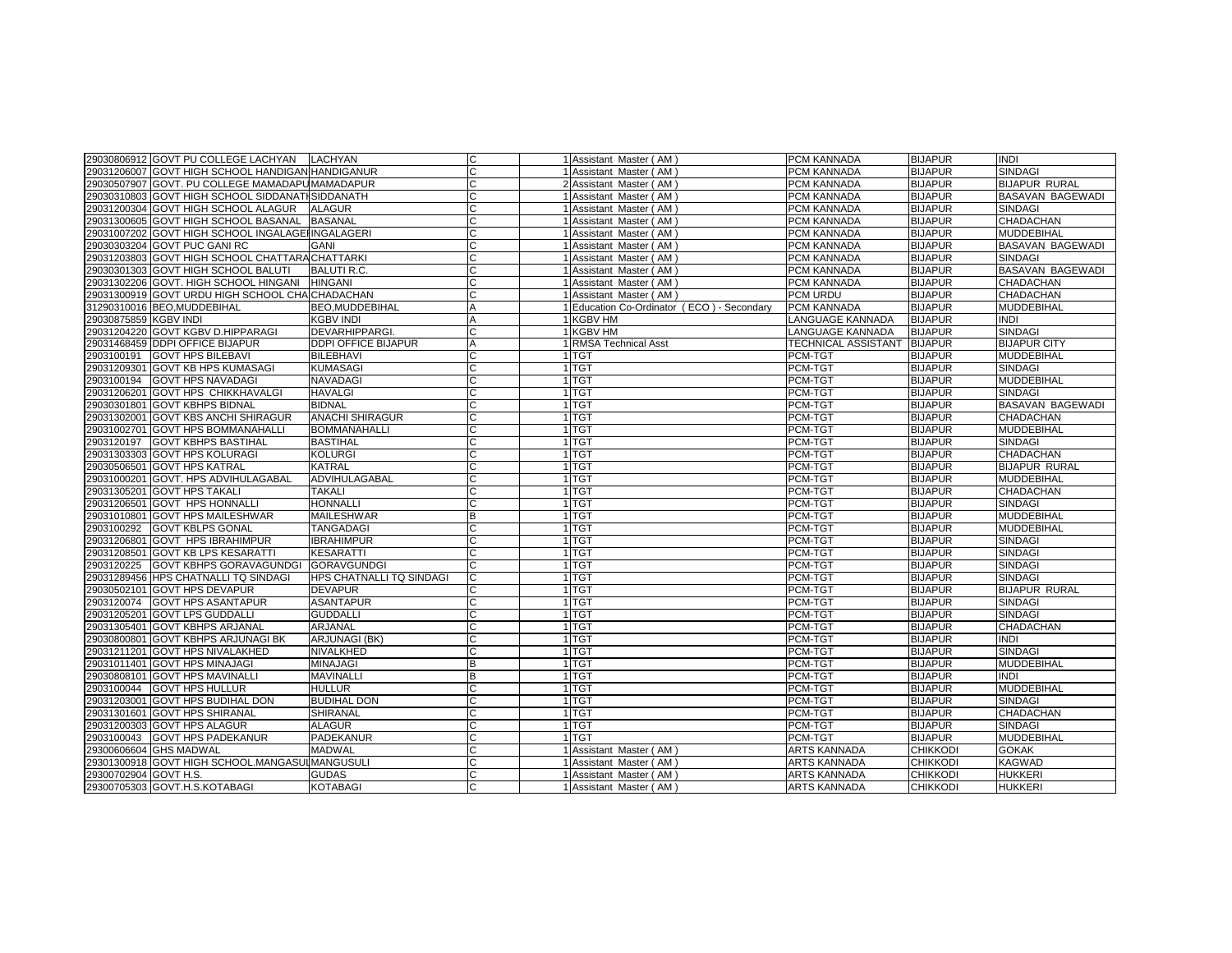|                       | 29030806912 GOVT PU COLLEGE LACHYAN              | <b>LACHYAN</b>             | C      | 1 Assistant Master (AM)                    | <b>PCM KANNADA</b>         | <b>BIJAPUR</b>  | <b>INDI</b>             |
|-----------------------|--------------------------------------------------|----------------------------|--------|--------------------------------------------|----------------------------|-----------------|-------------------------|
|                       | 29031206007 GOVT HIGH SCHOOL HANDIGAN HANDIGANUR |                            |        | 1 Assistant Master (AM)                    | PCM KANNADA                | <b>BIJAPUR</b>  | <b>SINDAGI</b>          |
|                       | 29030507907 GOVT. PU COLLEGE MAMADAPUMAMADAPUR   |                            |        | 2 Assistant Master (AM)                    | PCM KANNADA                | <b>BIJAPUR</b>  | <b>BIJAPUR RURAL</b>    |
|                       | 29030310803 GOVT HIGH SCHOOL SIDDANATI SIDDANATH |                            |        | 1 Assistant Master (AM)                    | PCM KANNADA                | <b>BIJAPUR</b>  | <b>BASAVAN BAGEWADI</b> |
|                       | 29031200304 GOVT HIGH SCHOOL ALAGUR              | <b>ALAGUR</b>              |        | 1 Assistant Master (AM)                    | PCM KANNADA                | <b>BIJAPUR</b>  | <b>SINDAGI</b>          |
|                       | 29031300605 GOVT HIGH SCHOOL BASANAL             | <b>BASANAL</b>             | $\cap$ | 1 Assistant Master (AM)                    | PCM KANNADA                | <b>BIJAPUR</b>  | CHADACHAN               |
|                       | 29031007202 GOVT HIGH SCHOOL INGALAGE INGALAGERI |                            |        | 1 Assistant Master (AM)                    | PCM KANNADA                | <b>BIJAPUR</b>  | MUDDEBIHAL              |
|                       | 29030303204 GOVT PUC GANI RC                     | GANI                       | $\cap$ | 1 Assistant Master (AM)                    | PCM KANNADA                | <b>BIJAPUR</b>  | BASAVAN BAGEWADI        |
|                       | 29031203803 GOVT HIGH SCHOOL CHATTARACHATTARKI   |                            |        | 1 Assistant Master (AM)                    | PCM KANNADA                | <b>BIJAPUR</b>  | <b>SINDAGI</b>          |
|                       | 29030301303 GOVT HIGH SCHOOL BALUTI              | <b>BALUTI R.C.</b>         |        | 1 Assistant Master (AM)                    | PCM KANNADA                | <b>BIJAPUR</b>  | BASAVAN BAGEWADI        |
|                       | 29031302206 GOVT. HIGH SCHOOL HINGANI            | <b>HINGANI</b>             |        | 1 Assistant Master (AM)                    | PCM KANNADA                | <b>BIJAPUR</b>  | <b>CHADACHAN</b>        |
|                       | 29031300919 GOVT URDU HIGH SCHOOL CHA CHADACHAN  |                            |        | 1 Assistant Master (AM)                    | PCM URDU                   | <b>BIJAPUR</b>  | CHADACHAN               |
|                       | 31290310016 BEO, MUDDEBIHAL                      | <b>BEO.MUDDEBIHAL</b>      | A      | 1 Education Co-Ordinator (ECO) - Secondary | PCM KANNADA                | <b>BIJAPUR</b>  | <b>MUDDEBIHAL</b>       |
| 29030875859 KGBV INDI |                                                  | <b>KGBV INDI</b>           | A      | 1 KGBV HM                                  | LANGUAGE KANNADA           | <b>BIJAPUR</b>  | INDI                    |
|                       | 29031204220 GOVT KGBV D.HIPPARAGI                | DEVARHIPPARGI.             |        | 1 KGBV HM                                  | LANGUAGE KANNADA           | <b>BIJAPUR</b>  | SINDAGI                 |
|                       | 29031468459 DDPI OFFICE BIJAPUR                  | <b>DDPI OFFICE BIJAPUR</b> | A      | 1 RMSA Technical Asst                      | <b>TECHNICAL ASSISTANT</b> | <b>BIJAPUR</b>  | <b>BIJAPUR CITY</b>     |
| 2903100191            | <b>GOVT HPS BILEBAVI</b>                         | <b>BILEBHAVI</b>           |        | 1 TGT                                      | PCM-TGT                    | <b>BIJAPUR</b>  | MUDDEBIHAL              |
| 29031209301           | <b>GOVT KB HPS KUMASAGI</b>                      | KUMASAGI                   |        | 1 TGT                                      | PCM-TGT                    | <b>BIJAPUR</b>  | <b>SINDAGI</b>          |
| 2903100194            | <b>GOVT HPS NAVADAGI</b>                         | NAVADAGI                   |        | 1 TGT                                      | PCM-TGT                    | <b>BIJAPUR</b>  | MUDDEBIHAL              |
|                       | 29031206201 GOVT HPS CHIKKHAVALGI                | HAVALGI                    | C      | 1 TGT                                      | PCM-TGT                    | <b>BIJAPUR</b>  | <b>SINDAGI</b>          |
|                       | 29030301801 GOVT KBHPS BIDNAL                    | <b>BIDNAL</b>              |        | 1 TGT                                      | PCM-TGT                    | <b>BIJAPUR</b>  | BASAVAN BAGEWADI        |
|                       | 29031302001 GOVT KBS ANCHI SHIRAGUR              | <b>ANACHI SHIRAGUR</b>     |        | 1 TGT                                      | PCM-TGT                    | <b>BIJAPUR</b>  | CHADACHAN               |
|                       | 29031002701 GOVT HPS BOMMANAHALLI                | <b>BOMMANAHALLI</b>        |        | 1 TGT                                      | PCM-TGT                    | <b>BIJAPUR</b>  | MUDDEBIHAL              |
| 2903120197            | <b>GOVT KBHPS BASTIHAL</b>                       | <b>BASTIHAL</b>            |        | 1 <sup>TGT</sup>                           | PCM-TGT                    | <b>BIJAPUR</b>  | <b>SINDAGI</b>          |
|                       | 29031303303 GOVT HPS KOLURAGI                    | KOLURGI                    |        | 1 TGT                                      | PCM-TGT                    | <b>BIJAPUR</b>  | CHADACHAN               |
|                       | 29030506501 GOVT HPS KATRAL                      | <b>KATRAL</b>              | C      | 1 TGT                                      | PCM-TGT                    | <b>BIJAPUR</b>  | <b>BIJAPUR RURAL</b>    |
|                       | 29031000201 GOVT. HPS ADVIHULAGABAL              | ADVIHULAGABAL              | C      | 1 TGT                                      | PCM-TGT                    | <b>BIJAPUR</b>  | MUDDEBIHAL              |
| 29031305201           | <b>GOVT HPS TAKALI</b>                           | <b>TAKALI</b>              |        | 1 TGT                                      | PCM-TGT                    | <b>BIJAPUR</b>  | CHADACHAN               |
|                       | 29031206501 GOVT HPS HONNALLI                    | HONNALLI                   |        | 1 TGT                                      | PCM-TGT                    | <b>BIJAPUR</b>  | <b>SINDAGI</b>          |
|                       | 29031010801 GOVT HPS MAILESHWAR                  | MAILESHWAR                 | B      | 1 TGT                                      | PCM-TGT                    | <b>BIJAPUR</b>  | MUDDEBIHAL              |
| 2903100292            | <b>GOVT KBLPS GONAL</b>                          | TANGADAGI                  |        | 1 TGT                                      | PCM-TGT                    | <b>BIJAPUR</b>  | MUDDEBIHAL              |
| 29031206801           | <b>GOVT HPS IBRAHIMPUR</b>                       | <b>BRAHIMPUR</b>           |        | 1 TGT                                      | PCM-TGT                    | <b>BIJAPUR</b>  | <b>SINDAGI</b>          |
|                       | 29031208501 GOVT KB LPS KESARATTI                | <b>KESARATTI</b>           |        | 1 TGT                                      | PCM-TGT                    | <b>BIJAPUR</b>  | <b>SINDAGI</b>          |
| 2903120225            | <b>GOVT KBHPS GORAVAGUNDGI</b>                   | <b>GORAVGUNDGI</b>         |        | 1 TGT                                      | PCM-TGT                    | <b>BIJAPUR</b>  | SINDAGI                 |
|                       | 29031289456 HPS CHATNALLI TQ SINDAGI             | HPS CHATNALLI TQ SINDAGI   | C      | 1 <sup>TGT</sup>                           | PCM-TGT                    | <b>BIJAPUR</b>  | <b>SINDAGI</b>          |
|                       | 29030502101 GOVT HPS DEVAPUR                     | <b>DEVAPUR</b>             |        | 1 TGT                                      | PCM-TGT                    | <b>BIJAPUR</b>  | <b>BIJAPUR RURAL</b>    |
| 2903120074            | <b>GOVT HPS ASANTAPUR</b>                        | <b>ASANTAPUR</b>           | C      | 1 TGT                                      | PCM-TGT                    | <b>BIJAPUR</b>  | <b>SINDAGI</b>          |
| 29031205201           | <b>GOVT LPS GUDDALLI</b>                         | <b>GUDDALLI</b>            |        | 1 TGT                                      | PCM-TGT                    | <b>BIJAPUR</b>  | <b>SINDAGI</b>          |
|                       | 29031305401 GOVT KBHPS ARJANAL                   | <b>ARJANAL</b>             |        | 1 <sup>TGT</sup>                           | PCM-TGT                    | <b>BIJAPUR</b>  | CHADACHAN               |
|                       | 29030800801 GOVT KBHPS ARJUNAGI BK               | <b>ARJUNAGI (BK)</b>       |        | 1 TGT                                      | PCM-TGT                    | <b>BIJAPUR</b>  | <b>INDI</b>             |
|                       | 29031211201 GOVT HPS NIVALAKHED                  | NIVALKHED                  | C      | 1 TGT                                      | PCM-TGT                    | <b>BIJAPUR</b>  | <b>SINDAGI</b>          |
|                       | 29031011401 GOVT HPS MINAJAGI                    | <b>MINAJAGI</b>            | B      | 1 TGT                                      | PCM-TGT                    | <b>BIJAPUR</b>  | MUDDEBIHAL              |
|                       | 29030808101 GOVT HPS MAVINALLI                   | <b>MAVINALLI</b>           | B      | 1 TGT                                      | PCM-TGT                    | <b>BIJAPUR</b>  | INDI                    |
| 2903100044            | <b>GOVT HPS HULLUR</b>                           | HULLUR                     |        | 1 TGT                                      | PCM-TGT                    | <b>BIJAPUR</b>  | MUDDEBIHAL              |
| 29031203001           | <b>GOVT HPS BUDIHAL DON</b>                      | <b>BUDIHAL DON</b>         |        | 1 <sup>TGT</sup>                           | PCM-TGT                    | <b>BIJAPUR</b>  | <b>SINDAGI</b>          |
|                       | 29031301601 GOVT HPS SHIRANAL                    | <b>SHIRANAL</b>            |        | 1 TGT                                      | PCM-TGT                    | <b>BIJAPUR</b>  | CHADACHAN               |
|                       | 29031200303 GOVT HPS ALAGUR                      | <b>ALAGUR</b>              |        | 1 TGT                                      | PCM-TGT                    | <b>BIJAPUR</b>  | <b>SINDAGI</b>          |
| 2903100043            | <b>GOVT HPS PADEKANUR</b>                        | <b>PADEKANUR</b>           | $\cap$ | 1 TGT                                      | PCM-TGT                    | <b>BIJAPUR</b>  | MUDDEBIHAL              |
|                       | 29300606604 GHS MADWAL                           | <b>MADWAL</b>              |        | 1 Assistant Master (AM)                    | ARTS KANNADA               | <b>CHIKKODI</b> | <b>GOKAK</b>            |
|                       | 29301300918 GOVT HIGH SCHOOL.MANGASUI MANGUSULI  |                            |        | 1 Assistant Master (AM                     | ARTS KANNADA               | <b>CHIKKODI</b> | KAGWAD                  |
| 29300702904 GOVT H.S. |                                                  | <b>GUDAS</b>               |        | 1 Assistant Master (AM)                    | ARTS KANNADA               | <b>CHIKKODI</b> | HUKKERI                 |
|                       | 29300705303 GOVT.H.S.KOTABAGI                    | <b>KOTABAGI</b>            |        | 1 Assistant Master (AM)                    | ARTS KANNADA               | <b>CHIKKODI</b> | <b>HUKKERI</b>          |
|                       |                                                  |                            |        |                                            |                            |                 |                         |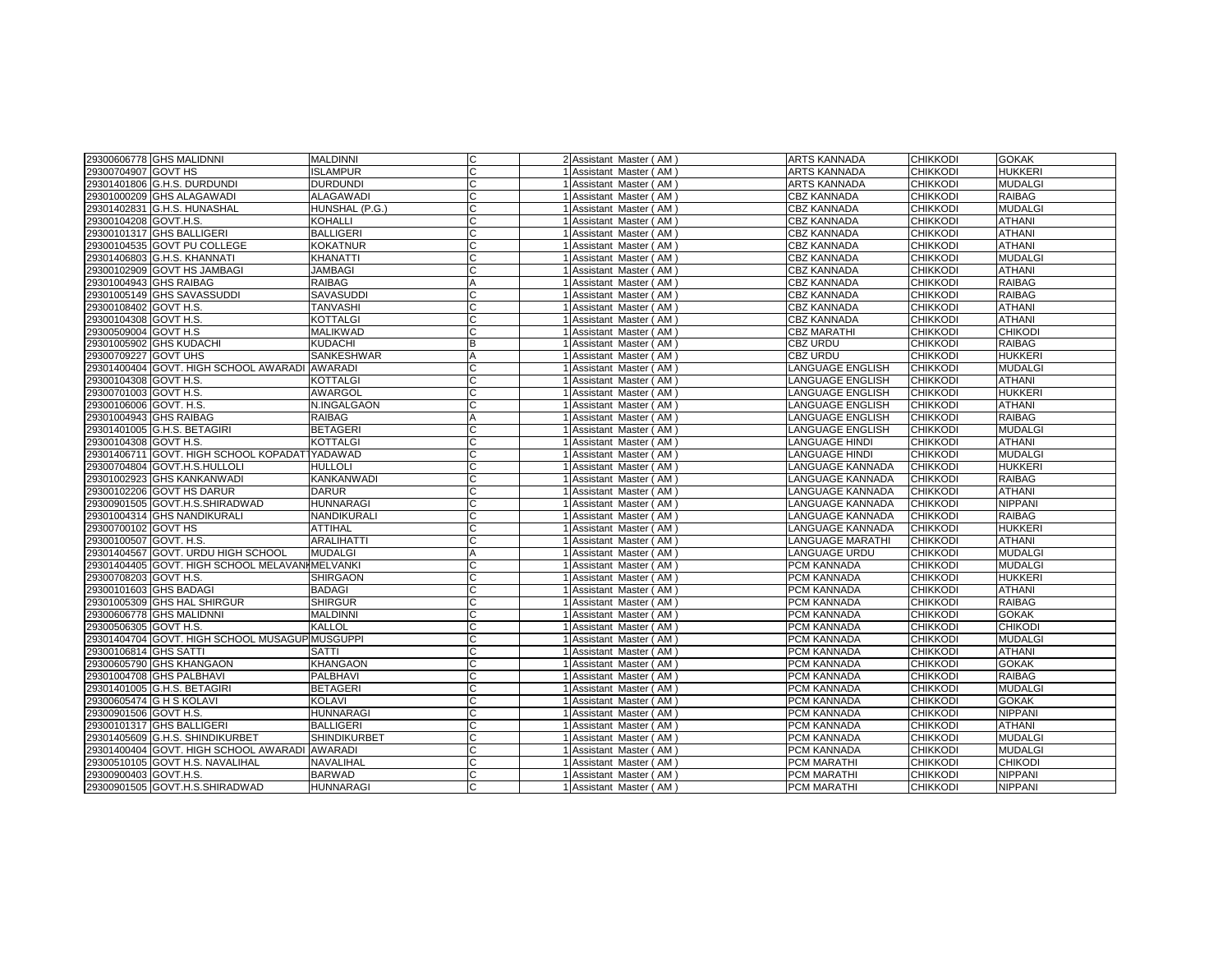| 29300606778 GHS MALIDNNI                        | <b>MALDINNI</b>     | C              | 2 Assistant Master (AM) | <b>ARTS KANNADA</b>     | <b>CHIKKODI</b> | <b>GOKAK</b>   |
|-------------------------------------------------|---------------------|----------------|-------------------------|-------------------------|-----------------|----------------|
| 29300704907 GOVT HS                             | <b>ISLAMPUR</b>     | C              | Assistant Master (AM)   | <b>ARTS KANNADA</b>     | <b>CHIKKODI</b> | <b>HUKKERI</b> |
| 29301401806 G.H.S. DURDUNDI                     | <b>DURDUNDI</b>     | C              | Assistant Master (AM)   | ARTS KANNADA            | <b>CHIKKODI</b> | <b>MUDALGI</b> |
| 29301000209 GHS ALAGAWADI                       | <b>ALAGAWADI</b>    | C              | Assistant Master (AM)   | <b>CBZ KANNADA</b>      | <b>CHIKKODI</b> | <b>RAIBAG</b>  |
|                                                 |                     | C              |                         |                         |                 |                |
| 29301402831 G.H.S. HUNASHAL                     | HUNSHAL (P.G.)      |                | Assistant Master (AM)   | <b>CBZ KANNADA</b>      | <b>CHIKKODI</b> | <b>MUDALGI</b> |
| 29300104208 GOVT.H.S.                           | <b>KOHALLI</b>      | C              | Assistant Master (AM)   | <b>CBZ KANNADA</b>      | <b>CHIKKODI</b> | <b>ATHANI</b>  |
| 29300101317 GHS BALLIGERI                       | <b>BALLIGERI</b>    | C              | Assistant Master (AM)   | <b>CBZ KANNADA</b>      | <b>CHIKKODI</b> | <b>ATHANI</b>  |
| 29300104535 GOVT PU COLLEGE                     | <b>KOKATNUR</b>     | ГC             | Assistant Master (AM)   | CBZ KANNADA             | <b>CHIKKODI</b> | <b>ATHANI</b>  |
| 29301406803 G.H.S. KHANNATI                     | <b>KHANATTI</b>     | C              | Assistant Master (AM)   | <b>CBZ KANNADA</b>      | <b>CHIKKODI</b> | <b>MUDALGI</b> |
| 29300102909 GOVT HS JAMBAGI                     | <b>JAMBAGI</b>      | C              | Assistant Master (AM)   | CBZ KANNADA             | <b>CHIKKODI</b> | <b>ATHANI</b>  |
| 29301004943 GHS RAIBAG                          | <b>RAIBAG</b>       | A              | Assistant Master (AM)   | <b>CBZ KANNADA</b>      | <b>CHIKKODI</b> | <b>RAIBAG</b>  |
| 29301005149 GHS SAVASSUDDI                      | <b>SAVASUDDI</b>    | C              | Assistant Master (AM)   | <b>CBZ KANNADA</b>      | <b>CHIKKODI</b> | <b>RAIBAG</b>  |
| 29300108402 GOVT H.S.                           | TANVASHI            | C              | Assistant Master (AM)   | <b>CBZ KANNADA</b>      | <b>CHIKKODI</b> | <b>ATHANI</b>  |
| 29300104308 GOVT H.S.                           | <b>KOTTALGI</b>     | C              | Assistant Master (AM)   | <b>CBZ KANNADA</b>      | <b>CHIKKODI</b> | <b>ATHANI</b>  |
| 29300509004 GOVT H.S                            | <b>MALIKWAD</b>     | C              | Assistant Master (AM)   | <b>CBZ MARATHI</b>      | <b>CHIKKODI</b> | <b>CHIKODI</b> |
| 29301005902 GHS KUDACHI                         | <b>KUDACHI</b>      | B              | Assistant Master (AM)   | CBZ URDU                | <b>CHIKKODI</b> | <b>RAIBAG</b>  |
| 29300709227 IGOVT UHS                           | <b>SANKESHWAR</b>   | $\overline{A}$ | Assistant Master (AM)   | CBZ URDU                | <b>CHIKKODI</b> | <b>HUKKERI</b> |
| 29301400404 GOVT. HIGH SCHOOL AWARADI AWARADI   |                     |                | Assistant Master (AM)   | LANGUAGE ENGLISH        | <b>CHIKKODI</b> | <b>MUDALGI</b> |
| 29300104308 GOVT H.S.                           | <b>KOTTALGI</b>     | C              | Assistant Master (AM)   | LANGUAGE ENGLISH        | <b>CHIKKODI</b> | <b>ATHANI</b>  |
| 29300701003 GOVT H.S.                           | <b>AWARGOL</b>      | C              | Assistant Master (AM)   | LANGUAGE ENGLISH        | <b>CHIKKODI</b> | <b>HUKKERI</b> |
| 29300106006 GOVT. H.S.                          | N.INGALGAON         | C              | Assistant Master (AM)   | LANGUAGE ENGLISH        | <b>CHIKKODI</b> | <b>ATHANI</b>  |
| 29301004943 GHS RAIBAG                          | <b>RAIBAG</b>       | $\overline{A}$ | Assistant Master (AM)   | LANGUAGE ENGLISH        | <b>CHIKKODI</b> | <b>RAIBAG</b>  |
| 29301401005 G.H.S. BETAGIRI                     | <b>BETAGERI</b>     | C              | Assistant Master (AM)   | LANGUAGE ENGLISH        | <b>CHIKKODI</b> | <b>MUDALGI</b> |
| 29300104308 GOVT H.S.                           | <b>KOTTALGI</b>     | C              | Assistant Master (AM)   | <b>LANGUAGE HINDI</b>   | <b>CHIKKODI</b> | <b>ATHANI</b>  |
| 29301406711 GOVT. HIGH SCHOOL KOPADATTYADAWAD   |                     | C              | Assistant Master (AM)   | LANGUAGE HINDI          | <b>CHIKKODI</b> | <b>MUDALGI</b> |
| 29300704804 GOVT.H.S.HULLOLI                    | <b>HULLOLI</b>      | C.             | Assistant Master (AM)   | LANGUAGE KANNADA        | <b>CHIKKODI</b> | <b>HUKKERI</b> |
| 29301002923 GHS KANKANWADI                      | <b>KANKANWADI</b>   | C              |                         | LANGUAGE KANNADA        | <b>CHIKKODI</b> | <b>RAIBAG</b>  |
|                                                 |                     |                | Assistant Master (AM)   |                         |                 | <b>ATHANI</b>  |
| 29300102206 GOVT HS DARUR                       | <b>DARUR</b>        | C              | Assistant Master (AM)   | LANGUAGE KANNADA        | <b>CHIKKODI</b> |                |
| 29300901505 GOVT.H.S.SHIRADWAD                  | <b>HUNNARAGI</b>    | C              | Assistant Master (AM)   | LANGUAGE KANNADA        | <b>CHIKKODI</b> | <b>NIPPANI</b> |
| 29301004314 GHS NANDIKURALI                     | NANDIKURALI         | C              | Assistant Master (AM)   | LANGUAGE KANNADA        | <b>CHIKKODI</b> | <b>RAIBAG</b>  |
| 29300700102 GOVT HS                             | <b>ATTIHAL</b>      | C              | Assistant Master (AM)   | LANGUAGE KANNADA        | <b>CHIKKODI</b> | <b>HUKKERI</b> |
| 29300100507 GOVT. H.S.                          | <b>ARALIHATTI</b>   | C              | Assistant Master (AM)   | <b>LANGUAGE MARATHI</b> | <b>CHIKKODI</b> | <b>ATHANI</b>  |
| 29301404567 GOVT. URDU HIGH SCHOOL              | <b>MUDALGI</b>      | $\overline{A}$ | Assistant Master (AM)   | <b>LANGUAGE URDU</b>    | <b>CHIKKODI</b> | <b>MUDALGI</b> |
| 29301404405 GOVT. HIGH SCHOOL MELAVANI MELVANKI |                     | C              | Assistant Master (AM)   | PCM KANNADA             | <b>CHIKKODI</b> | <b>MUDALGI</b> |
| 29300708203 GOVT H.S.                           | <b>SHIRGAON</b>     | C              | Assistant Master (AM)   | PCM KANNADA             | <b>CHIKKODI</b> | <b>HUKKERI</b> |
| 29300101603 GHS BADAGI                          | <b>BADAGI</b>       | C              | Assistant Master (AM)   | PCM KANNADA             | <b>CHIKKODI</b> | <b>ATHANI</b>  |
| 29301005309 GHS HAL SHIRGUR                     | <b>SHIRGUR</b>      | C              | Assistant Master (AM)   | PCM KANNADA             | <b>CHIKKODI</b> | <b>RAIBAG</b>  |
| 29300606778 GHS MALIDNNI                        | <b>MALDINNI</b>     |                | Assistant Master (AM)   | PCM KANNADA             | <b>CHIKKODI</b> | <b>GOKAK</b>   |
| 29300506305 GOVT H.S.                           | KALLOL              |                | Assistant Master (AM)   | PCM KANNADA             | <b>CHIKKODI</b> | <b>CHIKODI</b> |
| 29301404704 GOVT. HIGH SCHOOL MUSAGUP MUSGUPPI  |                     | C              | Assistant Master (AM)   | PCM KANNADA             | <b>CHIKKODI</b> | <b>MUDALGI</b> |
| 29300106814 GHS SATTI                           | <b>SATTI</b>        | C              | Assistant Master (AM)   | PCM KANNADA             | <b>CHIKKODI</b> | <b>ATHANI</b>  |
| 29300605790 GHS KHANGAON                        | <b>KHANGAON</b>     | C              | Assistant Master (AM)   | PCM KANNADA             | <b>CHIKKODI</b> | <b>GOKAK</b>   |
| 29301004708 GHS PALBHAVI                        | PALBHAVI            | C              | Assistant Master (AM)   | PCM KANNADA             | <b>CHIKKODI</b> | <b>RAIBAG</b>  |
| 29301401005 G.H.S. BETAGIRI                     | <b>BETAGERI</b>     | C              | Assistant Master (AM)   | PCM KANNADA             | <b>CHIKKODI</b> | <b>MUDALGI</b> |
| 29300605474 G H S KOLAVI                        | KOLAVI              |                | Assistant Master (AM)   | PCM KANNADA             | <b>CHIKKODI</b> | <b>GOKAK</b>   |
| 29300901506 GOVT H.S.                           | <b>HUNNARAGI</b>    | C              | Assistant Master (AM)   | PCM KANNADA             | <b>CHIKKODI</b> | <b>NIPPANI</b> |
| 29300101317 GHS BALLIGERI                       | <b>BALLIGERI</b>    | C              | Assistant Master (AM)   | PCM KANNADA             | <b>CHIKKODI</b> | <b>ATHANI</b>  |
| 29301405609 G.H.S. SHINDIKURBET                 | <b>SHINDIKURBET</b> | C              | Assistant Master (AM)   | PCM KANNADA             | <b>CHIKKODI</b> | <b>MUDALGI</b> |
| 29301400404 GOVT. HIGH SCHOOL AWARADI AWARADI   |                     | C              | Assistant Master (AM)   | PCM KANNADA             | <b>CHIKKODI</b> | <b>MUDALGI</b> |
| 29300510105 GOVT H.S. NAVALIHAL                 | NAVALIHAL           | C              | Assistant Master (AM)   | PCM MARATHI             | <b>CHIKKODI</b> | <b>CHIKODI</b> |
| 29300900403 GOVT.H.S.                           | <b>BARWAD</b>       | C              | Assistant Master (AM)   | PCM MARATHI             | <b>CHIKKODI</b> | <b>NIPPANI</b> |
| 29300901505 GOVT.H.S.SHIRADWAD                  | <b>HUNNARAGI</b>    | C              | Assistant Master (AM)   | <b>PCM MARATHI</b>      | <b>CHIKKODI</b> | <b>NIPPANI</b> |
|                                                 |                     |                |                         |                         |                 |                |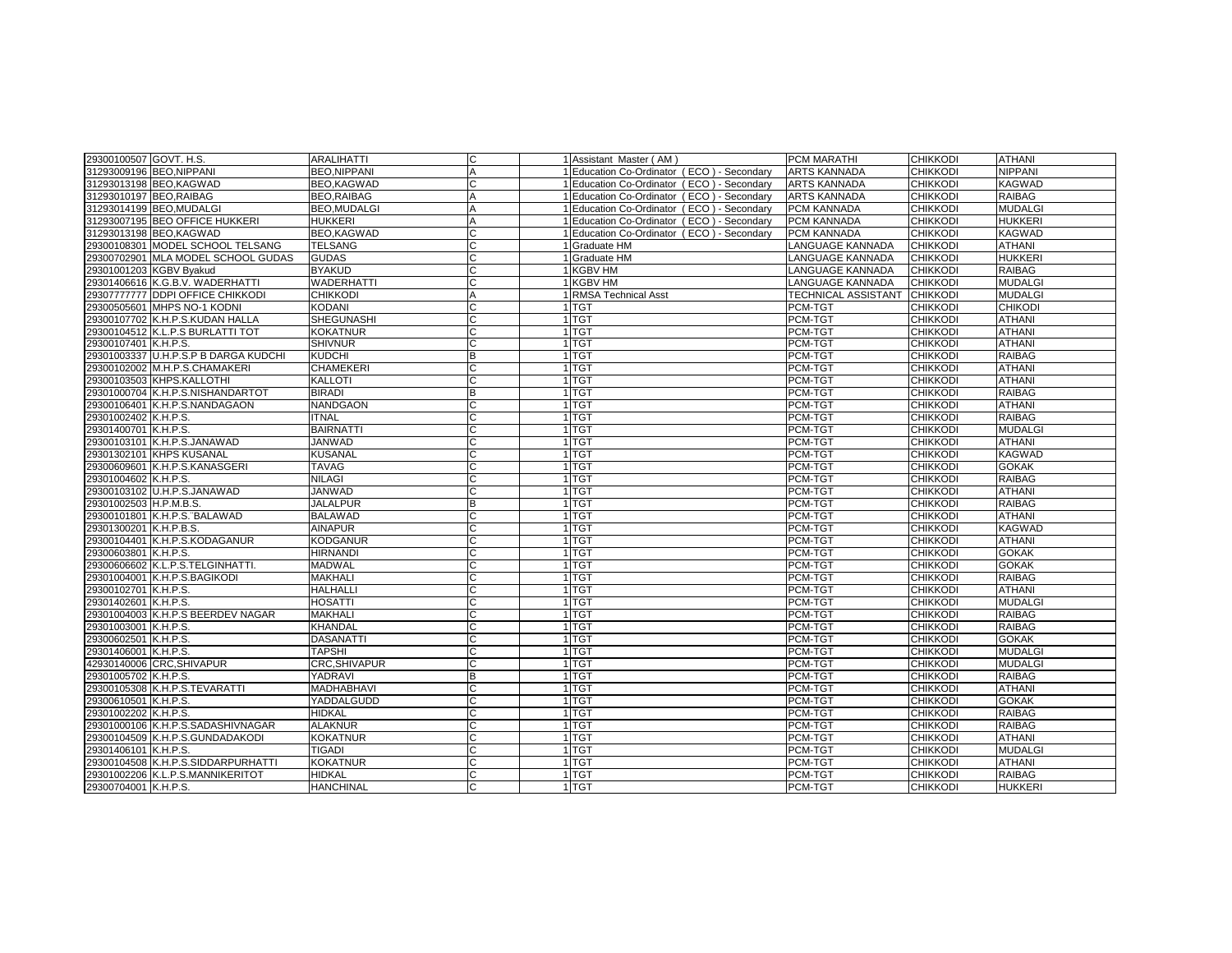| <b>NIPPANI</b><br><b>BEO, NIPPANI</b><br>Α<br>Education Co-Ordinator (ECO) - Secondary<br><b>ARTS KANNADA</b><br><b>CHIKKODI</b><br>31293009196 BEO, NIPPANI<br><b>KAGWAD</b><br>31293013198 BEO, KAGWAD<br><b>BEO.KAGWAD</b><br>Education Co-Ordinator (ECO) - Secondary<br><b>ARTS KANNADA</b><br><b>CHIKKODI</b><br>C<br><b>CHIKKODI</b><br><b>RAIBAG</b><br>31293010197 BEO, RAIBAG<br><b>BEO, RAIBAG</b><br>$\overline{A}$<br>Education Co-Ordinator (ECO) - Secondary<br><b>ARTS KANNADA</b><br><b>MUDALGI</b><br>31293014199 BEO, MUDALGI<br><b>BEO.MUDALGI</b><br>PCM KANNADA<br><b>CHIKKODI</b><br>A<br>Education Co-Ordinator (ECO) - Secondary<br>31293007195 BEO OFFICE HUKKERI<br><b>HUKKERI</b><br>Education Co-Ordinator (ECO) - Secondary<br>PCM KANNADA<br><b>CHIKKODI</b><br><b>HUKKERI</b><br>A<br>C<br>31293013198 BEO, KAGWAD<br>BEO,KAGWAD<br>Education Co-Ordinator (ECO) - Secondary<br>PCM KANNADA<br><b>CHIKKODI</b><br><b>KAGWAD</b><br>29300108301 MODEL SCHOOL TELSANG<br><b>TELSANG</b><br>C<br>LANGUAGE KANNADA<br><b>CHIKKODI</b><br><b>ATHANI</b><br>Graduate HM<br>29300702901 MLA MODEL SCHOOL GUDAS<br>lC.<br><b>CHIKKODI</b><br><b>HUKKERI</b><br><b>GUDAS</b><br>Graduate HM<br>LANGUAGE KANNADA<br><b>BYAKUD</b><br>C<br><b>KGBV HM</b><br>LANGUAGE KANNADA<br><b>CHIKKODI</b><br><b>RAIBAG</b><br>29301001203 KGBV Byakud<br>29301406616 K.G.B.V. WADERHATTI<br><b>WADERHATTI</b><br>C<br>1 KGBV HM<br>LANGUAGE KANNADA<br><b>CHIKKODI</b><br><b>MUDALGI</b><br><b>CHIKKODI</b><br><b>MUDALGI</b><br>29307777777 DDPI OFFICE CHIKKODI<br><b>CHIKKODI</b><br>$\overline{A}$<br><b>RMSA Technical Asst</b><br>TECHNICAL ASSISTANT<br>29300505601 MHPS NO-1 KODNI<br><b>KODANI</b><br>C<br>1 TGT<br>PCM-TGT<br><b>CHIKKODI</b><br><b>CHIKODI</b><br>29300107702 K.H.P.S.KUDAN HALLA<br><b>SHEGUNASHI</b><br>1 TGT<br>PCM-TGT<br><b>CHIKKODI</b><br><b>ATHANI</b><br>C<br><b>KOKATNUR</b><br>C<br>1TGT<br><b>CHIKKODI</b><br><b>ATHANI</b><br>29300104512 K.L.P.S BURLATTI TOT<br>PCM-TGT<br>C<br>1 TGT<br>29300107401 K.H.P.S.<br>PCM-TGT<br><b>CHIKKODI</b><br><b>ATHANI</b><br><b>SHIVNUR</b><br>29301003337 U.H.P.S.P B DARGA KUDCHI<br><b>KUDCHI</b><br>B<br>1 TGT<br>PCM-TGT<br><b>CHIKKODI</b><br><b>RAIBAG</b><br>29300102002 M.H.P.S.CHAMAKERI<br><b>CHAMEKERI</b><br>1 TGT<br>PCM-TGT<br><b>CHIKKODI</b><br><b>ATHANI</b><br>C<br>29300103503 KHPS.KALLOTHI<br><b>KALLOTI</b><br><b>TGT</b><br>PCM-TGT<br><b>CHIKKODI</b><br><b>ATHANI</b><br>C<br>29301000704 K.H.P.S.NISHANDARTOT<br><b>BIRADI</b><br>B<br><b>TGT</b><br>PCM-TGT<br><b>CHIKKODI</b><br><b>RAIBAG</b><br><b>NANDGAON</b><br><b>TGT</b><br>PCM-TGT<br><b>CHIKKODI</b><br><b>ATHANI</b><br>29300106401 K.H.P.S.NANDAGAON<br>C<br><b>TGT</b><br><b>CHIKKODI</b><br><b>RAIBAG</b><br>29301002402 K.H.P.S.<br><b>ITNAL</b><br>C<br>PCM-TGT<br><b>BAIRNATTI</b><br>C<br>1 <sup>TGT</sup><br><b>MUDALGI</b><br>29301400701 K.H.P.S.<br>PCM-TGT<br><b>CHIKKODI</b><br><b>JANWAD</b><br>29300103101 K.H.P.S.JANAWAD<br>C<br><b>TGT</b><br>PCM-TGT<br><b>CHIKKODI</b><br><b>ATHANI</b><br><b>KUSANAL</b><br>C<br>1 TGT<br><b>CHIKKODI</b><br><b>KAGWAD</b><br>29301302101 KHPS KUSANAL<br>PCM-TGT<br>C<br><b>TGT</b><br><b>CHIKKODI</b><br><b>GOKAK</b><br>29300609601 K.H.P.S.KANASGERI<br>TAVAG<br>PCM-TGT<br><b>TGT</b><br>PCM-TGT<br><b>RAIBAG</b><br>29301004602 K.H.P.S.<br><b>NILAGI</b><br><b>CHIKKODI</b><br><b>JANWAD</b><br>C<br><b>TGT</b><br><b>ATHANI</b><br>29300103102 U.H.P.S.JANAWAD<br>PCM-TGT<br><b>CHIKKODI</b><br><b>JALALPUR</b><br>B<br><b>RAIBAG</b><br>29301002503 H.P.M.B.S.<br>1 ITGT<br>PCM-TGT<br><b>CHIKKODI</b><br>C<br>1 <sup>TGT</sup><br><b>ATHANI</b><br>29300101801 K.H.P.S. BALAWAD<br><b>BALAWAD</b><br>PCM-TGT<br><b>CHIKKODI</b><br>29301300201 K.H.P.B.S.<br><b>AINAPUR</b><br>C<br>1 TGT<br>PCM-TGT<br><b>CHIKKODI</b><br><b>KAGWAD</b><br><b>CHIKKODI</b><br><b>ATHANI</b><br>29300104401 K.H.P.S.KODAGANUR<br><b>KODGANUR</b><br>C<br>1TGT<br>PCM-TGT<br><b>GOKAK</b><br><b>HIRNANDI</b><br>C<br><b>TGT</b><br>PCM-TGT<br><b>CHIKKODI</b><br>29300603801 K.H.P.S.<br>1 <sup>TGT</sup><br>29300606602 K.L.P.S.TELGINHATTI.<br><b>MADWAL</b><br>C<br>PCM-TGT<br><b>CHIKKODI</b><br><b>GOKAK</b><br>29301004001 K.H.P.S.BAGIKODI<br><b>MAKHALI</b><br>C<br>1 TGT<br>PCM-TGT<br><b>CHIKKODI</b><br><b>RAIBAG</b><br><b>CHIKKODI</b><br><b>ATHANI</b><br>29300102701 K.H.P.S.<br><b>HALHALLI</b><br>C<br><b>TGT</b><br>PCM-TGT<br>C<br>1 TGT<br>29301402601 K.H.P.S.<br><b>HOSATTI</b><br>PCM-TGT<br><b>CHIKKODI</b><br><b>MUDALGI</b><br>29301004003 K.H.P.S BEERDEV NAGAR<br><b>MAKHALI</b><br>C<br>1 TGT<br>PCM-TGT<br><b>CHIKKODI</b><br><b>RAIBAG</b><br><b>RAIBAG</b><br>29301003001 K.H.P.S.<br><b>KHANDAL</b><br>C<br>1TGT<br>PCM-TGT<br><b>CHIKKODI</b><br><b>DASANATTI</b><br><b>TGT</b><br><b>CHIKKODI</b><br><b>GOKAK</b><br>29300602501 K.H.P.S.<br>C<br>PCM-TGT<br><b>TAPSHI</b><br>C<br>1 TGT<br>PCM-TGT<br><b>CHIKKODI</b><br><b>MUDALGI</b><br>29301406001 K.H.P.S.<br>42930140006 CRC, SHIVAPUR<br><b>CRC.SHIVAPUR</b><br><b>TGT</b><br>PCM-TGT<br><b>CHIKKODI</b><br><b>MUDALGI</b><br>C<br>B<br><b>TGT</b><br><b>CHIKKODI</b><br><b>RAIBAG</b><br>29301005702 K.H.P.S.<br>YADRAVI<br>PCM-TGT<br>29300105308 K.H.P.S.TEVARATTI<br><b>MADHABHAVI</b><br>C<br>1 <sup>TGT</sup><br><b>ATHANI</b><br>PCM-TGT<br><b>CHIKKODI</b><br>YADDALGUDD<br><b>TGT</b><br><b>CHIKKODI</b><br><b>GOKAK</b><br>29300610501 K.H.P.S.<br>C<br>PCM-TGT<br>C<br>1 ITGT<br><b>CHIKKODI</b><br><b>RAIBAG</b><br>29301002202 K.H.P.S.<br><b>HIDKAL</b><br>PCM-TGT<br><b>ALAKNUR</b><br><b>TGT</b><br><b>CHIKKODI</b><br><b>RAIBAG</b><br>29301000106 K.H.P.S.SADASHIVNAGAR<br>PCM-TGT<br><b>TGT</b><br>29300104509 K.H.P.S.GUNDADAKODI<br><b>KOKATNUR</b><br>C<br>PCM-TGT<br><b>CHIKKODI</b><br><b>ATHANI</b><br>C<br>1 <sup>TGT</sup><br><b>MUDALGI</b><br>29301406101 K.H.P.S.<br><b>TIGADI</b><br>PCM-TGT<br><b>CHIKKODI</b><br>29300104508 K.H.P.S.SIDDARPURHATTI<br><b>KOKATNUR</b><br>1 ITGT<br><b>CHIKKODI</b><br><b>ATHANI</b><br>C<br>PCM-TGT<br>C<br>1 <sup>TGT</sup><br>29301002206 K.L.P.S.MANNIKERITOT<br><b>HIDKAL</b><br>PCM-TGT<br><b>CHIKKODI</b><br><b>RAIBAG</b><br><b>HANCHINAL</b><br>C<br>1 TGT<br>PCM-TGT<br><b>CHIKKODI</b><br><b>HUKKERI</b> |                        |                   |   |                         |             |                 |               |
|---------------------------------------------------------------------------------------------------------------------------------------------------------------------------------------------------------------------------------------------------------------------------------------------------------------------------------------------------------------------------------------------------------------------------------------------------------------------------------------------------------------------------------------------------------------------------------------------------------------------------------------------------------------------------------------------------------------------------------------------------------------------------------------------------------------------------------------------------------------------------------------------------------------------------------------------------------------------------------------------------------------------------------------------------------------------------------------------------------------------------------------------------------------------------------------------------------------------------------------------------------------------------------------------------------------------------------------------------------------------------------------------------------------------------------------------------------------------------------------------------------------------------------------------------------------------------------------------------------------------------------------------------------------------------------------------------------------------------------------------------------------------------------------------------------------------------------------------------------------------------------------------------------------------------------------------------------------------------------------------------------------------------------------------------------------------------------------------------------------------------------------------------------------------------------------------------------------------------------------------------------------------------------------------------------------------------------------------------------------------------------------------------------------------------------------------------------------------------------------------------------------------------------------------------------------------------------------------------------------------------------------------------------------------------------------------------------------------------------------------------------------------------------------------------------------------------------------------------------------------------------------------------------------------------------------------------------------------------------------------------------------------------------------------------------------------------------------------------------------------------------------------------------------------------------------------------------------------------------------------------------------------------------------------------------------------------------------------------------------------------------------------------------------------------------------------------------------------------------------------------------------------------------------------------------------------------------------------------------------------------------------------------------------------------------------------------------------------------------------------------------------------------------------------------------------------------------------------------------------------------------------------------------------------------------------------------------------------------------------------------------------------------------------------------------------------------------------------------------------------------------------------------------------------------------------------------------------------------------------------------------------------------------------------------------------------------------------------------------------------------------------------------------------------------------------------------------------------------------------------------------------------------------------------------------------------------------------------------------------------------------------------------------------------------------------------------------------------------------------------------------------------------------------------------------------------------------------------------------------------------------------------------------------------------------------------------------------------------------------------------------------------------------------------------------------------------------------------------------------------------------------------------------------------------------------------------------------------------------------------------------------------------------------------------------------------------------------------------------------------------------------------------------------------------------------------------------------------------------------------------------------------------------------------------------------------------------------------------------------------------------------------------------------------------------------------------------------------------------------------------------------------------------------------------------------------------------------------------------------------------------------------------------------------------------------------------------------------------------------------------------------------------------------------------------------------------------------------------------------------------------------------------------------------------------------------------------------------------------------------------------------------------------------------------------------|------------------------|-------------------|---|-------------------------|-------------|-----------------|---------------|
|                                                                                                                                                                                                                                                                                                                                                                                                                                                                                                                                                                                                                                                                                                                                                                                                                                                                                                                                                                                                                                                                                                                                                                                                                                                                                                                                                                                                                                                                                                                                                                                                                                                                                                                                                                                                                                                                                                                                                                                                                                                                                                                                                                                                                                                                                                                                                                                                                                                                                                                                                                                                                                                                                                                                                                                                                                                                                                                                                                                                                                                                                                                                                                                                                                                                                                                                                                                                                                                                                                                                                                                                                                                                                                                                                                                                                                                                                                                                                                                                                                                                                                                                                                                                                                                                                                                                                                                                                                                                                                                                                                                                                                                                                                                                                                                                                                                                                                                                                                                                                                                                                                                                                                                                                                                                                                                                                                                                                                                                                                                                                                                                                                                                                                                                                                                                                                                                                                                                                                                                                                                                                                                                                                                                                                                                                                               | 29300100507 GOVT. H.S. | <b>ARALIHATTI</b> | C | 1 Assistant Master (AM) | PCM MARATHI | <b>CHIKKODI</b> | <b>ATHANI</b> |
|                                                                                                                                                                                                                                                                                                                                                                                                                                                                                                                                                                                                                                                                                                                                                                                                                                                                                                                                                                                                                                                                                                                                                                                                                                                                                                                                                                                                                                                                                                                                                                                                                                                                                                                                                                                                                                                                                                                                                                                                                                                                                                                                                                                                                                                                                                                                                                                                                                                                                                                                                                                                                                                                                                                                                                                                                                                                                                                                                                                                                                                                                                                                                                                                                                                                                                                                                                                                                                                                                                                                                                                                                                                                                                                                                                                                                                                                                                                                                                                                                                                                                                                                                                                                                                                                                                                                                                                                                                                                                                                                                                                                                                                                                                                                                                                                                                                                                                                                                                                                                                                                                                                                                                                                                                                                                                                                                                                                                                                                                                                                                                                                                                                                                                                                                                                                                                                                                                                                                                                                                                                                                                                                                                                                                                                                                                               |                        |                   |   |                         |             |                 |               |
|                                                                                                                                                                                                                                                                                                                                                                                                                                                                                                                                                                                                                                                                                                                                                                                                                                                                                                                                                                                                                                                                                                                                                                                                                                                                                                                                                                                                                                                                                                                                                                                                                                                                                                                                                                                                                                                                                                                                                                                                                                                                                                                                                                                                                                                                                                                                                                                                                                                                                                                                                                                                                                                                                                                                                                                                                                                                                                                                                                                                                                                                                                                                                                                                                                                                                                                                                                                                                                                                                                                                                                                                                                                                                                                                                                                                                                                                                                                                                                                                                                                                                                                                                                                                                                                                                                                                                                                                                                                                                                                                                                                                                                                                                                                                                                                                                                                                                                                                                                                                                                                                                                                                                                                                                                                                                                                                                                                                                                                                                                                                                                                                                                                                                                                                                                                                                                                                                                                                                                                                                                                                                                                                                                                                                                                                                                               |                        |                   |   |                         |             |                 |               |
|                                                                                                                                                                                                                                                                                                                                                                                                                                                                                                                                                                                                                                                                                                                                                                                                                                                                                                                                                                                                                                                                                                                                                                                                                                                                                                                                                                                                                                                                                                                                                                                                                                                                                                                                                                                                                                                                                                                                                                                                                                                                                                                                                                                                                                                                                                                                                                                                                                                                                                                                                                                                                                                                                                                                                                                                                                                                                                                                                                                                                                                                                                                                                                                                                                                                                                                                                                                                                                                                                                                                                                                                                                                                                                                                                                                                                                                                                                                                                                                                                                                                                                                                                                                                                                                                                                                                                                                                                                                                                                                                                                                                                                                                                                                                                                                                                                                                                                                                                                                                                                                                                                                                                                                                                                                                                                                                                                                                                                                                                                                                                                                                                                                                                                                                                                                                                                                                                                                                                                                                                                                                                                                                                                                                                                                                                                               |                        |                   |   |                         |             |                 |               |
|                                                                                                                                                                                                                                                                                                                                                                                                                                                                                                                                                                                                                                                                                                                                                                                                                                                                                                                                                                                                                                                                                                                                                                                                                                                                                                                                                                                                                                                                                                                                                                                                                                                                                                                                                                                                                                                                                                                                                                                                                                                                                                                                                                                                                                                                                                                                                                                                                                                                                                                                                                                                                                                                                                                                                                                                                                                                                                                                                                                                                                                                                                                                                                                                                                                                                                                                                                                                                                                                                                                                                                                                                                                                                                                                                                                                                                                                                                                                                                                                                                                                                                                                                                                                                                                                                                                                                                                                                                                                                                                                                                                                                                                                                                                                                                                                                                                                                                                                                                                                                                                                                                                                                                                                                                                                                                                                                                                                                                                                                                                                                                                                                                                                                                                                                                                                                                                                                                                                                                                                                                                                                                                                                                                                                                                                                                               |                        |                   |   |                         |             |                 |               |
|                                                                                                                                                                                                                                                                                                                                                                                                                                                                                                                                                                                                                                                                                                                                                                                                                                                                                                                                                                                                                                                                                                                                                                                                                                                                                                                                                                                                                                                                                                                                                                                                                                                                                                                                                                                                                                                                                                                                                                                                                                                                                                                                                                                                                                                                                                                                                                                                                                                                                                                                                                                                                                                                                                                                                                                                                                                                                                                                                                                                                                                                                                                                                                                                                                                                                                                                                                                                                                                                                                                                                                                                                                                                                                                                                                                                                                                                                                                                                                                                                                                                                                                                                                                                                                                                                                                                                                                                                                                                                                                                                                                                                                                                                                                                                                                                                                                                                                                                                                                                                                                                                                                                                                                                                                                                                                                                                                                                                                                                                                                                                                                                                                                                                                                                                                                                                                                                                                                                                                                                                                                                                                                                                                                                                                                                                                               |                        |                   |   |                         |             |                 |               |
|                                                                                                                                                                                                                                                                                                                                                                                                                                                                                                                                                                                                                                                                                                                                                                                                                                                                                                                                                                                                                                                                                                                                                                                                                                                                                                                                                                                                                                                                                                                                                                                                                                                                                                                                                                                                                                                                                                                                                                                                                                                                                                                                                                                                                                                                                                                                                                                                                                                                                                                                                                                                                                                                                                                                                                                                                                                                                                                                                                                                                                                                                                                                                                                                                                                                                                                                                                                                                                                                                                                                                                                                                                                                                                                                                                                                                                                                                                                                                                                                                                                                                                                                                                                                                                                                                                                                                                                                                                                                                                                                                                                                                                                                                                                                                                                                                                                                                                                                                                                                                                                                                                                                                                                                                                                                                                                                                                                                                                                                                                                                                                                                                                                                                                                                                                                                                                                                                                                                                                                                                                                                                                                                                                                                                                                                                                               |                        |                   |   |                         |             |                 |               |
|                                                                                                                                                                                                                                                                                                                                                                                                                                                                                                                                                                                                                                                                                                                                                                                                                                                                                                                                                                                                                                                                                                                                                                                                                                                                                                                                                                                                                                                                                                                                                                                                                                                                                                                                                                                                                                                                                                                                                                                                                                                                                                                                                                                                                                                                                                                                                                                                                                                                                                                                                                                                                                                                                                                                                                                                                                                                                                                                                                                                                                                                                                                                                                                                                                                                                                                                                                                                                                                                                                                                                                                                                                                                                                                                                                                                                                                                                                                                                                                                                                                                                                                                                                                                                                                                                                                                                                                                                                                                                                                                                                                                                                                                                                                                                                                                                                                                                                                                                                                                                                                                                                                                                                                                                                                                                                                                                                                                                                                                                                                                                                                                                                                                                                                                                                                                                                                                                                                                                                                                                                                                                                                                                                                                                                                                                                               |                        |                   |   |                         |             |                 |               |
|                                                                                                                                                                                                                                                                                                                                                                                                                                                                                                                                                                                                                                                                                                                                                                                                                                                                                                                                                                                                                                                                                                                                                                                                                                                                                                                                                                                                                                                                                                                                                                                                                                                                                                                                                                                                                                                                                                                                                                                                                                                                                                                                                                                                                                                                                                                                                                                                                                                                                                                                                                                                                                                                                                                                                                                                                                                                                                                                                                                                                                                                                                                                                                                                                                                                                                                                                                                                                                                                                                                                                                                                                                                                                                                                                                                                                                                                                                                                                                                                                                                                                                                                                                                                                                                                                                                                                                                                                                                                                                                                                                                                                                                                                                                                                                                                                                                                                                                                                                                                                                                                                                                                                                                                                                                                                                                                                                                                                                                                                                                                                                                                                                                                                                                                                                                                                                                                                                                                                                                                                                                                                                                                                                                                                                                                                                               |                        |                   |   |                         |             |                 |               |
|                                                                                                                                                                                                                                                                                                                                                                                                                                                                                                                                                                                                                                                                                                                                                                                                                                                                                                                                                                                                                                                                                                                                                                                                                                                                                                                                                                                                                                                                                                                                                                                                                                                                                                                                                                                                                                                                                                                                                                                                                                                                                                                                                                                                                                                                                                                                                                                                                                                                                                                                                                                                                                                                                                                                                                                                                                                                                                                                                                                                                                                                                                                                                                                                                                                                                                                                                                                                                                                                                                                                                                                                                                                                                                                                                                                                                                                                                                                                                                                                                                                                                                                                                                                                                                                                                                                                                                                                                                                                                                                                                                                                                                                                                                                                                                                                                                                                                                                                                                                                                                                                                                                                                                                                                                                                                                                                                                                                                                                                                                                                                                                                                                                                                                                                                                                                                                                                                                                                                                                                                                                                                                                                                                                                                                                                                                               |                        |                   |   |                         |             |                 |               |
|                                                                                                                                                                                                                                                                                                                                                                                                                                                                                                                                                                                                                                                                                                                                                                                                                                                                                                                                                                                                                                                                                                                                                                                                                                                                                                                                                                                                                                                                                                                                                                                                                                                                                                                                                                                                                                                                                                                                                                                                                                                                                                                                                                                                                                                                                                                                                                                                                                                                                                                                                                                                                                                                                                                                                                                                                                                                                                                                                                                                                                                                                                                                                                                                                                                                                                                                                                                                                                                                                                                                                                                                                                                                                                                                                                                                                                                                                                                                                                                                                                                                                                                                                                                                                                                                                                                                                                                                                                                                                                                                                                                                                                                                                                                                                                                                                                                                                                                                                                                                                                                                                                                                                                                                                                                                                                                                                                                                                                                                                                                                                                                                                                                                                                                                                                                                                                                                                                                                                                                                                                                                                                                                                                                                                                                                                                               |                        |                   |   |                         |             |                 |               |
|                                                                                                                                                                                                                                                                                                                                                                                                                                                                                                                                                                                                                                                                                                                                                                                                                                                                                                                                                                                                                                                                                                                                                                                                                                                                                                                                                                                                                                                                                                                                                                                                                                                                                                                                                                                                                                                                                                                                                                                                                                                                                                                                                                                                                                                                                                                                                                                                                                                                                                                                                                                                                                                                                                                                                                                                                                                                                                                                                                                                                                                                                                                                                                                                                                                                                                                                                                                                                                                                                                                                                                                                                                                                                                                                                                                                                                                                                                                                                                                                                                                                                                                                                                                                                                                                                                                                                                                                                                                                                                                                                                                                                                                                                                                                                                                                                                                                                                                                                                                                                                                                                                                                                                                                                                                                                                                                                                                                                                                                                                                                                                                                                                                                                                                                                                                                                                                                                                                                                                                                                                                                                                                                                                                                                                                                                                               |                        |                   |   |                         |             |                 |               |
|                                                                                                                                                                                                                                                                                                                                                                                                                                                                                                                                                                                                                                                                                                                                                                                                                                                                                                                                                                                                                                                                                                                                                                                                                                                                                                                                                                                                                                                                                                                                                                                                                                                                                                                                                                                                                                                                                                                                                                                                                                                                                                                                                                                                                                                                                                                                                                                                                                                                                                                                                                                                                                                                                                                                                                                                                                                                                                                                                                                                                                                                                                                                                                                                                                                                                                                                                                                                                                                                                                                                                                                                                                                                                                                                                                                                                                                                                                                                                                                                                                                                                                                                                                                                                                                                                                                                                                                                                                                                                                                                                                                                                                                                                                                                                                                                                                                                                                                                                                                                                                                                                                                                                                                                                                                                                                                                                                                                                                                                                                                                                                                                                                                                                                                                                                                                                                                                                                                                                                                                                                                                                                                                                                                                                                                                                                               |                        |                   |   |                         |             |                 |               |
|                                                                                                                                                                                                                                                                                                                                                                                                                                                                                                                                                                                                                                                                                                                                                                                                                                                                                                                                                                                                                                                                                                                                                                                                                                                                                                                                                                                                                                                                                                                                                                                                                                                                                                                                                                                                                                                                                                                                                                                                                                                                                                                                                                                                                                                                                                                                                                                                                                                                                                                                                                                                                                                                                                                                                                                                                                                                                                                                                                                                                                                                                                                                                                                                                                                                                                                                                                                                                                                                                                                                                                                                                                                                                                                                                                                                                                                                                                                                                                                                                                                                                                                                                                                                                                                                                                                                                                                                                                                                                                                                                                                                                                                                                                                                                                                                                                                                                                                                                                                                                                                                                                                                                                                                                                                                                                                                                                                                                                                                                                                                                                                                                                                                                                                                                                                                                                                                                                                                                                                                                                                                                                                                                                                                                                                                                                               |                        |                   |   |                         |             |                 |               |
|                                                                                                                                                                                                                                                                                                                                                                                                                                                                                                                                                                                                                                                                                                                                                                                                                                                                                                                                                                                                                                                                                                                                                                                                                                                                                                                                                                                                                                                                                                                                                                                                                                                                                                                                                                                                                                                                                                                                                                                                                                                                                                                                                                                                                                                                                                                                                                                                                                                                                                                                                                                                                                                                                                                                                                                                                                                                                                                                                                                                                                                                                                                                                                                                                                                                                                                                                                                                                                                                                                                                                                                                                                                                                                                                                                                                                                                                                                                                                                                                                                                                                                                                                                                                                                                                                                                                                                                                                                                                                                                                                                                                                                                                                                                                                                                                                                                                                                                                                                                                                                                                                                                                                                                                                                                                                                                                                                                                                                                                                                                                                                                                                                                                                                                                                                                                                                                                                                                                                                                                                                                                                                                                                                                                                                                                                                               |                        |                   |   |                         |             |                 |               |
|                                                                                                                                                                                                                                                                                                                                                                                                                                                                                                                                                                                                                                                                                                                                                                                                                                                                                                                                                                                                                                                                                                                                                                                                                                                                                                                                                                                                                                                                                                                                                                                                                                                                                                                                                                                                                                                                                                                                                                                                                                                                                                                                                                                                                                                                                                                                                                                                                                                                                                                                                                                                                                                                                                                                                                                                                                                                                                                                                                                                                                                                                                                                                                                                                                                                                                                                                                                                                                                                                                                                                                                                                                                                                                                                                                                                                                                                                                                                                                                                                                                                                                                                                                                                                                                                                                                                                                                                                                                                                                                                                                                                                                                                                                                                                                                                                                                                                                                                                                                                                                                                                                                                                                                                                                                                                                                                                                                                                                                                                                                                                                                                                                                                                                                                                                                                                                                                                                                                                                                                                                                                                                                                                                                                                                                                                                               |                        |                   |   |                         |             |                 |               |
|                                                                                                                                                                                                                                                                                                                                                                                                                                                                                                                                                                                                                                                                                                                                                                                                                                                                                                                                                                                                                                                                                                                                                                                                                                                                                                                                                                                                                                                                                                                                                                                                                                                                                                                                                                                                                                                                                                                                                                                                                                                                                                                                                                                                                                                                                                                                                                                                                                                                                                                                                                                                                                                                                                                                                                                                                                                                                                                                                                                                                                                                                                                                                                                                                                                                                                                                                                                                                                                                                                                                                                                                                                                                                                                                                                                                                                                                                                                                                                                                                                                                                                                                                                                                                                                                                                                                                                                                                                                                                                                                                                                                                                                                                                                                                                                                                                                                                                                                                                                                                                                                                                                                                                                                                                                                                                                                                                                                                                                                                                                                                                                                                                                                                                                                                                                                                                                                                                                                                                                                                                                                                                                                                                                                                                                                                                               |                        |                   |   |                         |             |                 |               |
|                                                                                                                                                                                                                                                                                                                                                                                                                                                                                                                                                                                                                                                                                                                                                                                                                                                                                                                                                                                                                                                                                                                                                                                                                                                                                                                                                                                                                                                                                                                                                                                                                                                                                                                                                                                                                                                                                                                                                                                                                                                                                                                                                                                                                                                                                                                                                                                                                                                                                                                                                                                                                                                                                                                                                                                                                                                                                                                                                                                                                                                                                                                                                                                                                                                                                                                                                                                                                                                                                                                                                                                                                                                                                                                                                                                                                                                                                                                                                                                                                                                                                                                                                                                                                                                                                                                                                                                                                                                                                                                                                                                                                                                                                                                                                                                                                                                                                                                                                                                                                                                                                                                                                                                                                                                                                                                                                                                                                                                                                                                                                                                                                                                                                                                                                                                                                                                                                                                                                                                                                                                                                                                                                                                                                                                                                                               |                        |                   |   |                         |             |                 |               |
|                                                                                                                                                                                                                                                                                                                                                                                                                                                                                                                                                                                                                                                                                                                                                                                                                                                                                                                                                                                                                                                                                                                                                                                                                                                                                                                                                                                                                                                                                                                                                                                                                                                                                                                                                                                                                                                                                                                                                                                                                                                                                                                                                                                                                                                                                                                                                                                                                                                                                                                                                                                                                                                                                                                                                                                                                                                                                                                                                                                                                                                                                                                                                                                                                                                                                                                                                                                                                                                                                                                                                                                                                                                                                                                                                                                                                                                                                                                                                                                                                                                                                                                                                                                                                                                                                                                                                                                                                                                                                                                                                                                                                                                                                                                                                                                                                                                                                                                                                                                                                                                                                                                                                                                                                                                                                                                                                                                                                                                                                                                                                                                                                                                                                                                                                                                                                                                                                                                                                                                                                                                                                                                                                                                                                                                                                                               |                        |                   |   |                         |             |                 |               |
|                                                                                                                                                                                                                                                                                                                                                                                                                                                                                                                                                                                                                                                                                                                                                                                                                                                                                                                                                                                                                                                                                                                                                                                                                                                                                                                                                                                                                                                                                                                                                                                                                                                                                                                                                                                                                                                                                                                                                                                                                                                                                                                                                                                                                                                                                                                                                                                                                                                                                                                                                                                                                                                                                                                                                                                                                                                                                                                                                                                                                                                                                                                                                                                                                                                                                                                                                                                                                                                                                                                                                                                                                                                                                                                                                                                                                                                                                                                                                                                                                                                                                                                                                                                                                                                                                                                                                                                                                                                                                                                                                                                                                                                                                                                                                                                                                                                                                                                                                                                                                                                                                                                                                                                                                                                                                                                                                                                                                                                                                                                                                                                                                                                                                                                                                                                                                                                                                                                                                                                                                                                                                                                                                                                                                                                                                                               |                        |                   |   |                         |             |                 |               |
|                                                                                                                                                                                                                                                                                                                                                                                                                                                                                                                                                                                                                                                                                                                                                                                                                                                                                                                                                                                                                                                                                                                                                                                                                                                                                                                                                                                                                                                                                                                                                                                                                                                                                                                                                                                                                                                                                                                                                                                                                                                                                                                                                                                                                                                                                                                                                                                                                                                                                                                                                                                                                                                                                                                                                                                                                                                                                                                                                                                                                                                                                                                                                                                                                                                                                                                                                                                                                                                                                                                                                                                                                                                                                                                                                                                                                                                                                                                                                                                                                                                                                                                                                                                                                                                                                                                                                                                                                                                                                                                                                                                                                                                                                                                                                                                                                                                                                                                                                                                                                                                                                                                                                                                                                                                                                                                                                                                                                                                                                                                                                                                                                                                                                                                                                                                                                                                                                                                                                                                                                                                                                                                                                                                                                                                                                                               |                        |                   |   |                         |             |                 |               |
|                                                                                                                                                                                                                                                                                                                                                                                                                                                                                                                                                                                                                                                                                                                                                                                                                                                                                                                                                                                                                                                                                                                                                                                                                                                                                                                                                                                                                                                                                                                                                                                                                                                                                                                                                                                                                                                                                                                                                                                                                                                                                                                                                                                                                                                                                                                                                                                                                                                                                                                                                                                                                                                                                                                                                                                                                                                                                                                                                                                                                                                                                                                                                                                                                                                                                                                                                                                                                                                                                                                                                                                                                                                                                                                                                                                                                                                                                                                                                                                                                                                                                                                                                                                                                                                                                                                                                                                                                                                                                                                                                                                                                                                                                                                                                                                                                                                                                                                                                                                                                                                                                                                                                                                                                                                                                                                                                                                                                                                                                                                                                                                                                                                                                                                                                                                                                                                                                                                                                                                                                                                                                                                                                                                                                                                                                                               |                        |                   |   |                         |             |                 |               |
|                                                                                                                                                                                                                                                                                                                                                                                                                                                                                                                                                                                                                                                                                                                                                                                                                                                                                                                                                                                                                                                                                                                                                                                                                                                                                                                                                                                                                                                                                                                                                                                                                                                                                                                                                                                                                                                                                                                                                                                                                                                                                                                                                                                                                                                                                                                                                                                                                                                                                                                                                                                                                                                                                                                                                                                                                                                                                                                                                                                                                                                                                                                                                                                                                                                                                                                                                                                                                                                                                                                                                                                                                                                                                                                                                                                                                                                                                                                                                                                                                                                                                                                                                                                                                                                                                                                                                                                                                                                                                                                                                                                                                                                                                                                                                                                                                                                                                                                                                                                                                                                                                                                                                                                                                                                                                                                                                                                                                                                                                                                                                                                                                                                                                                                                                                                                                                                                                                                                                                                                                                                                                                                                                                                                                                                                                                               |                        |                   |   |                         |             |                 |               |
|                                                                                                                                                                                                                                                                                                                                                                                                                                                                                                                                                                                                                                                                                                                                                                                                                                                                                                                                                                                                                                                                                                                                                                                                                                                                                                                                                                                                                                                                                                                                                                                                                                                                                                                                                                                                                                                                                                                                                                                                                                                                                                                                                                                                                                                                                                                                                                                                                                                                                                                                                                                                                                                                                                                                                                                                                                                                                                                                                                                                                                                                                                                                                                                                                                                                                                                                                                                                                                                                                                                                                                                                                                                                                                                                                                                                                                                                                                                                                                                                                                                                                                                                                                                                                                                                                                                                                                                                                                                                                                                                                                                                                                                                                                                                                                                                                                                                                                                                                                                                                                                                                                                                                                                                                                                                                                                                                                                                                                                                                                                                                                                                                                                                                                                                                                                                                                                                                                                                                                                                                                                                                                                                                                                                                                                                                                               |                        |                   |   |                         |             |                 |               |
|                                                                                                                                                                                                                                                                                                                                                                                                                                                                                                                                                                                                                                                                                                                                                                                                                                                                                                                                                                                                                                                                                                                                                                                                                                                                                                                                                                                                                                                                                                                                                                                                                                                                                                                                                                                                                                                                                                                                                                                                                                                                                                                                                                                                                                                                                                                                                                                                                                                                                                                                                                                                                                                                                                                                                                                                                                                                                                                                                                                                                                                                                                                                                                                                                                                                                                                                                                                                                                                                                                                                                                                                                                                                                                                                                                                                                                                                                                                                                                                                                                                                                                                                                                                                                                                                                                                                                                                                                                                                                                                                                                                                                                                                                                                                                                                                                                                                                                                                                                                                                                                                                                                                                                                                                                                                                                                                                                                                                                                                                                                                                                                                                                                                                                                                                                                                                                                                                                                                                                                                                                                                                                                                                                                                                                                                                                               |                        |                   |   |                         |             |                 |               |
|                                                                                                                                                                                                                                                                                                                                                                                                                                                                                                                                                                                                                                                                                                                                                                                                                                                                                                                                                                                                                                                                                                                                                                                                                                                                                                                                                                                                                                                                                                                                                                                                                                                                                                                                                                                                                                                                                                                                                                                                                                                                                                                                                                                                                                                                                                                                                                                                                                                                                                                                                                                                                                                                                                                                                                                                                                                                                                                                                                                                                                                                                                                                                                                                                                                                                                                                                                                                                                                                                                                                                                                                                                                                                                                                                                                                                                                                                                                                                                                                                                                                                                                                                                                                                                                                                                                                                                                                                                                                                                                                                                                                                                                                                                                                                                                                                                                                                                                                                                                                                                                                                                                                                                                                                                                                                                                                                                                                                                                                                                                                                                                                                                                                                                                                                                                                                                                                                                                                                                                                                                                                                                                                                                                                                                                                                                               |                        |                   |   |                         |             |                 |               |
|                                                                                                                                                                                                                                                                                                                                                                                                                                                                                                                                                                                                                                                                                                                                                                                                                                                                                                                                                                                                                                                                                                                                                                                                                                                                                                                                                                                                                                                                                                                                                                                                                                                                                                                                                                                                                                                                                                                                                                                                                                                                                                                                                                                                                                                                                                                                                                                                                                                                                                                                                                                                                                                                                                                                                                                                                                                                                                                                                                                                                                                                                                                                                                                                                                                                                                                                                                                                                                                                                                                                                                                                                                                                                                                                                                                                                                                                                                                                                                                                                                                                                                                                                                                                                                                                                                                                                                                                                                                                                                                                                                                                                                                                                                                                                                                                                                                                                                                                                                                                                                                                                                                                                                                                                                                                                                                                                                                                                                                                                                                                                                                                                                                                                                                                                                                                                                                                                                                                                                                                                                                                                                                                                                                                                                                                                                               |                        |                   |   |                         |             |                 |               |
|                                                                                                                                                                                                                                                                                                                                                                                                                                                                                                                                                                                                                                                                                                                                                                                                                                                                                                                                                                                                                                                                                                                                                                                                                                                                                                                                                                                                                                                                                                                                                                                                                                                                                                                                                                                                                                                                                                                                                                                                                                                                                                                                                                                                                                                                                                                                                                                                                                                                                                                                                                                                                                                                                                                                                                                                                                                                                                                                                                                                                                                                                                                                                                                                                                                                                                                                                                                                                                                                                                                                                                                                                                                                                                                                                                                                                                                                                                                                                                                                                                                                                                                                                                                                                                                                                                                                                                                                                                                                                                                                                                                                                                                                                                                                                                                                                                                                                                                                                                                                                                                                                                                                                                                                                                                                                                                                                                                                                                                                                                                                                                                                                                                                                                                                                                                                                                                                                                                                                                                                                                                                                                                                                                                                                                                                                                               |                        |                   |   |                         |             |                 |               |
|                                                                                                                                                                                                                                                                                                                                                                                                                                                                                                                                                                                                                                                                                                                                                                                                                                                                                                                                                                                                                                                                                                                                                                                                                                                                                                                                                                                                                                                                                                                                                                                                                                                                                                                                                                                                                                                                                                                                                                                                                                                                                                                                                                                                                                                                                                                                                                                                                                                                                                                                                                                                                                                                                                                                                                                                                                                                                                                                                                                                                                                                                                                                                                                                                                                                                                                                                                                                                                                                                                                                                                                                                                                                                                                                                                                                                                                                                                                                                                                                                                                                                                                                                                                                                                                                                                                                                                                                                                                                                                                                                                                                                                                                                                                                                                                                                                                                                                                                                                                                                                                                                                                                                                                                                                                                                                                                                                                                                                                                                                                                                                                                                                                                                                                                                                                                                                                                                                                                                                                                                                                                                                                                                                                                                                                                                                               |                        |                   |   |                         |             |                 |               |
|                                                                                                                                                                                                                                                                                                                                                                                                                                                                                                                                                                                                                                                                                                                                                                                                                                                                                                                                                                                                                                                                                                                                                                                                                                                                                                                                                                                                                                                                                                                                                                                                                                                                                                                                                                                                                                                                                                                                                                                                                                                                                                                                                                                                                                                                                                                                                                                                                                                                                                                                                                                                                                                                                                                                                                                                                                                                                                                                                                                                                                                                                                                                                                                                                                                                                                                                                                                                                                                                                                                                                                                                                                                                                                                                                                                                                                                                                                                                                                                                                                                                                                                                                                                                                                                                                                                                                                                                                                                                                                                                                                                                                                                                                                                                                                                                                                                                                                                                                                                                                                                                                                                                                                                                                                                                                                                                                                                                                                                                                                                                                                                                                                                                                                                                                                                                                                                                                                                                                                                                                                                                                                                                                                                                                                                                                                               |                        |                   |   |                         |             |                 |               |
|                                                                                                                                                                                                                                                                                                                                                                                                                                                                                                                                                                                                                                                                                                                                                                                                                                                                                                                                                                                                                                                                                                                                                                                                                                                                                                                                                                                                                                                                                                                                                                                                                                                                                                                                                                                                                                                                                                                                                                                                                                                                                                                                                                                                                                                                                                                                                                                                                                                                                                                                                                                                                                                                                                                                                                                                                                                                                                                                                                                                                                                                                                                                                                                                                                                                                                                                                                                                                                                                                                                                                                                                                                                                                                                                                                                                                                                                                                                                                                                                                                                                                                                                                                                                                                                                                                                                                                                                                                                                                                                                                                                                                                                                                                                                                                                                                                                                                                                                                                                                                                                                                                                                                                                                                                                                                                                                                                                                                                                                                                                                                                                                                                                                                                                                                                                                                                                                                                                                                                                                                                                                                                                                                                                                                                                                                                               |                        |                   |   |                         |             |                 |               |
|                                                                                                                                                                                                                                                                                                                                                                                                                                                                                                                                                                                                                                                                                                                                                                                                                                                                                                                                                                                                                                                                                                                                                                                                                                                                                                                                                                                                                                                                                                                                                                                                                                                                                                                                                                                                                                                                                                                                                                                                                                                                                                                                                                                                                                                                                                                                                                                                                                                                                                                                                                                                                                                                                                                                                                                                                                                                                                                                                                                                                                                                                                                                                                                                                                                                                                                                                                                                                                                                                                                                                                                                                                                                                                                                                                                                                                                                                                                                                                                                                                                                                                                                                                                                                                                                                                                                                                                                                                                                                                                                                                                                                                                                                                                                                                                                                                                                                                                                                                                                                                                                                                                                                                                                                                                                                                                                                                                                                                                                                                                                                                                                                                                                                                                                                                                                                                                                                                                                                                                                                                                                                                                                                                                                                                                                                                               |                        |                   |   |                         |             |                 |               |
|                                                                                                                                                                                                                                                                                                                                                                                                                                                                                                                                                                                                                                                                                                                                                                                                                                                                                                                                                                                                                                                                                                                                                                                                                                                                                                                                                                                                                                                                                                                                                                                                                                                                                                                                                                                                                                                                                                                                                                                                                                                                                                                                                                                                                                                                                                                                                                                                                                                                                                                                                                                                                                                                                                                                                                                                                                                                                                                                                                                                                                                                                                                                                                                                                                                                                                                                                                                                                                                                                                                                                                                                                                                                                                                                                                                                                                                                                                                                                                                                                                                                                                                                                                                                                                                                                                                                                                                                                                                                                                                                                                                                                                                                                                                                                                                                                                                                                                                                                                                                                                                                                                                                                                                                                                                                                                                                                                                                                                                                                                                                                                                                                                                                                                                                                                                                                                                                                                                                                                                                                                                                                                                                                                                                                                                                                                               |                        |                   |   |                         |             |                 |               |
|                                                                                                                                                                                                                                                                                                                                                                                                                                                                                                                                                                                                                                                                                                                                                                                                                                                                                                                                                                                                                                                                                                                                                                                                                                                                                                                                                                                                                                                                                                                                                                                                                                                                                                                                                                                                                                                                                                                                                                                                                                                                                                                                                                                                                                                                                                                                                                                                                                                                                                                                                                                                                                                                                                                                                                                                                                                                                                                                                                                                                                                                                                                                                                                                                                                                                                                                                                                                                                                                                                                                                                                                                                                                                                                                                                                                                                                                                                                                                                                                                                                                                                                                                                                                                                                                                                                                                                                                                                                                                                                                                                                                                                                                                                                                                                                                                                                                                                                                                                                                                                                                                                                                                                                                                                                                                                                                                                                                                                                                                                                                                                                                                                                                                                                                                                                                                                                                                                                                                                                                                                                                                                                                                                                                                                                                                                               |                        |                   |   |                         |             |                 |               |
|                                                                                                                                                                                                                                                                                                                                                                                                                                                                                                                                                                                                                                                                                                                                                                                                                                                                                                                                                                                                                                                                                                                                                                                                                                                                                                                                                                                                                                                                                                                                                                                                                                                                                                                                                                                                                                                                                                                                                                                                                                                                                                                                                                                                                                                                                                                                                                                                                                                                                                                                                                                                                                                                                                                                                                                                                                                                                                                                                                                                                                                                                                                                                                                                                                                                                                                                                                                                                                                                                                                                                                                                                                                                                                                                                                                                                                                                                                                                                                                                                                                                                                                                                                                                                                                                                                                                                                                                                                                                                                                                                                                                                                                                                                                                                                                                                                                                                                                                                                                                                                                                                                                                                                                                                                                                                                                                                                                                                                                                                                                                                                                                                                                                                                                                                                                                                                                                                                                                                                                                                                                                                                                                                                                                                                                                                                               |                        |                   |   |                         |             |                 |               |
|                                                                                                                                                                                                                                                                                                                                                                                                                                                                                                                                                                                                                                                                                                                                                                                                                                                                                                                                                                                                                                                                                                                                                                                                                                                                                                                                                                                                                                                                                                                                                                                                                                                                                                                                                                                                                                                                                                                                                                                                                                                                                                                                                                                                                                                                                                                                                                                                                                                                                                                                                                                                                                                                                                                                                                                                                                                                                                                                                                                                                                                                                                                                                                                                                                                                                                                                                                                                                                                                                                                                                                                                                                                                                                                                                                                                                                                                                                                                                                                                                                                                                                                                                                                                                                                                                                                                                                                                                                                                                                                                                                                                                                                                                                                                                                                                                                                                                                                                                                                                                                                                                                                                                                                                                                                                                                                                                                                                                                                                                                                                                                                                                                                                                                                                                                                                                                                                                                                                                                                                                                                                                                                                                                                                                                                                                                               |                        |                   |   |                         |             |                 |               |
|                                                                                                                                                                                                                                                                                                                                                                                                                                                                                                                                                                                                                                                                                                                                                                                                                                                                                                                                                                                                                                                                                                                                                                                                                                                                                                                                                                                                                                                                                                                                                                                                                                                                                                                                                                                                                                                                                                                                                                                                                                                                                                                                                                                                                                                                                                                                                                                                                                                                                                                                                                                                                                                                                                                                                                                                                                                                                                                                                                                                                                                                                                                                                                                                                                                                                                                                                                                                                                                                                                                                                                                                                                                                                                                                                                                                                                                                                                                                                                                                                                                                                                                                                                                                                                                                                                                                                                                                                                                                                                                                                                                                                                                                                                                                                                                                                                                                                                                                                                                                                                                                                                                                                                                                                                                                                                                                                                                                                                                                                                                                                                                                                                                                                                                                                                                                                                                                                                                                                                                                                                                                                                                                                                                                                                                                                                               |                        |                   |   |                         |             |                 |               |
|                                                                                                                                                                                                                                                                                                                                                                                                                                                                                                                                                                                                                                                                                                                                                                                                                                                                                                                                                                                                                                                                                                                                                                                                                                                                                                                                                                                                                                                                                                                                                                                                                                                                                                                                                                                                                                                                                                                                                                                                                                                                                                                                                                                                                                                                                                                                                                                                                                                                                                                                                                                                                                                                                                                                                                                                                                                                                                                                                                                                                                                                                                                                                                                                                                                                                                                                                                                                                                                                                                                                                                                                                                                                                                                                                                                                                                                                                                                                                                                                                                                                                                                                                                                                                                                                                                                                                                                                                                                                                                                                                                                                                                                                                                                                                                                                                                                                                                                                                                                                                                                                                                                                                                                                                                                                                                                                                                                                                                                                                                                                                                                                                                                                                                                                                                                                                                                                                                                                                                                                                                                                                                                                                                                                                                                                                                               |                        |                   |   |                         |             |                 |               |
|                                                                                                                                                                                                                                                                                                                                                                                                                                                                                                                                                                                                                                                                                                                                                                                                                                                                                                                                                                                                                                                                                                                                                                                                                                                                                                                                                                                                                                                                                                                                                                                                                                                                                                                                                                                                                                                                                                                                                                                                                                                                                                                                                                                                                                                                                                                                                                                                                                                                                                                                                                                                                                                                                                                                                                                                                                                                                                                                                                                                                                                                                                                                                                                                                                                                                                                                                                                                                                                                                                                                                                                                                                                                                                                                                                                                                                                                                                                                                                                                                                                                                                                                                                                                                                                                                                                                                                                                                                                                                                                                                                                                                                                                                                                                                                                                                                                                                                                                                                                                                                                                                                                                                                                                                                                                                                                                                                                                                                                                                                                                                                                                                                                                                                                                                                                                                                                                                                                                                                                                                                                                                                                                                                                                                                                                                                               |                        |                   |   |                         |             |                 |               |
|                                                                                                                                                                                                                                                                                                                                                                                                                                                                                                                                                                                                                                                                                                                                                                                                                                                                                                                                                                                                                                                                                                                                                                                                                                                                                                                                                                                                                                                                                                                                                                                                                                                                                                                                                                                                                                                                                                                                                                                                                                                                                                                                                                                                                                                                                                                                                                                                                                                                                                                                                                                                                                                                                                                                                                                                                                                                                                                                                                                                                                                                                                                                                                                                                                                                                                                                                                                                                                                                                                                                                                                                                                                                                                                                                                                                                                                                                                                                                                                                                                                                                                                                                                                                                                                                                                                                                                                                                                                                                                                                                                                                                                                                                                                                                                                                                                                                                                                                                                                                                                                                                                                                                                                                                                                                                                                                                                                                                                                                                                                                                                                                                                                                                                                                                                                                                                                                                                                                                                                                                                                                                                                                                                                                                                                                                                               |                        |                   |   |                         |             |                 |               |
|                                                                                                                                                                                                                                                                                                                                                                                                                                                                                                                                                                                                                                                                                                                                                                                                                                                                                                                                                                                                                                                                                                                                                                                                                                                                                                                                                                                                                                                                                                                                                                                                                                                                                                                                                                                                                                                                                                                                                                                                                                                                                                                                                                                                                                                                                                                                                                                                                                                                                                                                                                                                                                                                                                                                                                                                                                                                                                                                                                                                                                                                                                                                                                                                                                                                                                                                                                                                                                                                                                                                                                                                                                                                                                                                                                                                                                                                                                                                                                                                                                                                                                                                                                                                                                                                                                                                                                                                                                                                                                                                                                                                                                                                                                                                                                                                                                                                                                                                                                                                                                                                                                                                                                                                                                                                                                                                                                                                                                                                                                                                                                                                                                                                                                                                                                                                                                                                                                                                                                                                                                                                                                                                                                                                                                                                                                               |                        |                   |   |                         |             |                 |               |
|                                                                                                                                                                                                                                                                                                                                                                                                                                                                                                                                                                                                                                                                                                                                                                                                                                                                                                                                                                                                                                                                                                                                                                                                                                                                                                                                                                                                                                                                                                                                                                                                                                                                                                                                                                                                                                                                                                                                                                                                                                                                                                                                                                                                                                                                                                                                                                                                                                                                                                                                                                                                                                                                                                                                                                                                                                                                                                                                                                                                                                                                                                                                                                                                                                                                                                                                                                                                                                                                                                                                                                                                                                                                                                                                                                                                                                                                                                                                                                                                                                                                                                                                                                                                                                                                                                                                                                                                                                                                                                                                                                                                                                                                                                                                                                                                                                                                                                                                                                                                                                                                                                                                                                                                                                                                                                                                                                                                                                                                                                                                                                                                                                                                                                                                                                                                                                                                                                                                                                                                                                                                                                                                                                                                                                                                                                               |                        |                   |   |                         |             |                 |               |
|                                                                                                                                                                                                                                                                                                                                                                                                                                                                                                                                                                                                                                                                                                                                                                                                                                                                                                                                                                                                                                                                                                                                                                                                                                                                                                                                                                                                                                                                                                                                                                                                                                                                                                                                                                                                                                                                                                                                                                                                                                                                                                                                                                                                                                                                                                                                                                                                                                                                                                                                                                                                                                                                                                                                                                                                                                                                                                                                                                                                                                                                                                                                                                                                                                                                                                                                                                                                                                                                                                                                                                                                                                                                                                                                                                                                                                                                                                                                                                                                                                                                                                                                                                                                                                                                                                                                                                                                                                                                                                                                                                                                                                                                                                                                                                                                                                                                                                                                                                                                                                                                                                                                                                                                                                                                                                                                                                                                                                                                                                                                                                                                                                                                                                                                                                                                                                                                                                                                                                                                                                                                                                                                                                                                                                                                                                               |                        |                   |   |                         |             |                 |               |
|                                                                                                                                                                                                                                                                                                                                                                                                                                                                                                                                                                                                                                                                                                                                                                                                                                                                                                                                                                                                                                                                                                                                                                                                                                                                                                                                                                                                                                                                                                                                                                                                                                                                                                                                                                                                                                                                                                                                                                                                                                                                                                                                                                                                                                                                                                                                                                                                                                                                                                                                                                                                                                                                                                                                                                                                                                                                                                                                                                                                                                                                                                                                                                                                                                                                                                                                                                                                                                                                                                                                                                                                                                                                                                                                                                                                                                                                                                                                                                                                                                                                                                                                                                                                                                                                                                                                                                                                                                                                                                                                                                                                                                                                                                                                                                                                                                                                                                                                                                                                                                                                                                                                                                                                                                                                                                                                                                                                                                                                                                                                                                                                                                                                                                                                                                                                                                                                                                                                                                                                                                                                                                                                                                                                                                                                                                               |                        |                   |   |                         |             |                 |               |
|                                                                                                                                                                                                                                                                                                                                                                                                                                                                                                                                                                                                                                                                                                                                                                                                                                                                                                                                                                                                                                                                                                                                                                                                                                                                                                                                                                                                                                                                                                                                                                                                                                                                                                                                                                                                                                                                                                                                                                                                                                                                                                                                                                                                                                                                                                                                                                                                                                                                                                                                                                                                                                                                                                                                                                                                                                                                                                                                                                                                                                                                                                                                                                                                                                                                                                                                                                                                                                                                                                                                                                                                                                                                                                                                                                                                                                                                                                                                                                                                                                                                                                                                                                                                                                                                                                                                                                                                                                                                                                                                                                                                                                                                                                                                                                                                                                                                                                                                                                                                                                                                                                                                                                                                                                                                                                                                                                                                                                                                                                                                                                                                                                                                                                                                                                                                                                                                                                                                                                                                                                                                                                                                                                                                                                                                                                               |                        |                   |   |                         |             |                 |               |
|                                                                                                                                                                                                                                                                                                                                                                                                                                                                                                                                                                                                                                                                                                                                                                                                                                                                                                                                                                                                                                                                                                                                                                                                                                                                                                                                                                                                                                                                                                                                                                                                                                                                                                                                                                                                                                                                                                                                                                                                                                                                                                                                                                                                                                                                                                                                                                                                                                                                                                                                                                                                                                                                                                                                                                                                                                                                                                                                                                                                                                                                                                                                                                                                                                                                                                                                                                                                                                                                                                                                                                                                                                                                                                                                                                                                                                                                                                                                                                                                                                                                                                                                                                                                                                                                                                                                                                                                                                                                                                                                                                                                                                                                                                                                                                                                                                                                                                                                                                                                                                                                                                                                                                                                                                                                                                                                                                                                                                                                                                                                                                                                                                                                                                                                                                                                                                                                                                                                                                                                                                                                                                                                                                                                                                                                                                               |                        |                   |   |                         |             |                 |               |
|                                                                                                                                                                                                                                                                                                                                                                                                                                                                                                                                                                                                                                                                                                                                                                                                                                                                                                                                                                                                                                                                                                                                                                                                                                                                                                                                                                                                                                                                                                                                                                                                                                                                                                                                                                                                                                                                                                                                                                                                                                                                                                                                                                                                                                                                                                                                                                                                                                                                                                                                                                                                                                                                                                                                                                                                                                                                                                                                                                                                                                                                                                                                                                                                                                                                                                                                                                                                                                                                                                                                                                                                                                                                                                                                                                                                                                                                                                                                                                                                                                                                                                                                                                                                                                                                                                                                                                                                                                                                                                                                                                                                                                                                                                                                                                                                                                                                                                                                                                                                                                                                                                                                                                                                                                                                                                                                                                                                                                                                                                                                                                                                                                                                                                                                                                                                                                                                                                                                                                                                                                                                                                                                                                                                                                                                                                               |                        |                   |   |                         |             |                 |               |
|                                                                                                                                                                                                                                                                                                                                                                                                                                                                                                                                                                                                                                                                                                                                                                                                                                                                                                                                                                                                                                                                                                                                                                                                                                                                                                                                                                                                                                                                                                                                                                                                                                                                                                                                                                                                                                                                                                                                                                                                                                                                                                                                                                                                                                                                                                                                                                                                                                                                                                                                                                                                                                                                                                                                                                                                                                                                                                                                                                                                                                                                                                                                                                                                                                                                                                                                                                                                                                                                                                                                                                                                                                                                                                                                                                                                                                                                                                                                                                                                                                                                                                                                                                                                                                                                                                                                                                                                                                                                                                                                                                                                                                                                                                                                                                                                                                                                                                                                                                                                                                                                                                                                                                                                                                                                                                                                                                                                                                                                                                                                                                                                                                                                                                                                                                                                                                                                                                                                                                                                                                                                                                                                                                                                                                                                                                               |                        |                   |   |                         |             |                 |               |
|                                                                                                                                                                                                                                                                                                                                                                                                                                                                                                                                                                                                                                                                                                                                                                                                                                                                                                                                                                                                                                                                                                                                                                                                                                                                                                                                                                                                                                                                                                                                                                                                                                                                                                                                                                                                                                                                                                                                                                                                                                                                                                                                                                                                                                                                                                                                                                                                                                                                                                                                                                                                                                                                                                                                                                                                                                                                                                                                                                                                                                                                                                                                                                                                                                                                                                                                                                                                                                                                                                                                                                                                                                                                                                                                                                                                                                                                                                                                                                                                                                                                                                                                                                                                                                                                                                                                                                                                                                                                                                                                                                                                                                                                                                                                                                                                                                                                                                                                                                                                                                                                                                                                                                                                                                                                                                                                                                                                                                                                                                                                                                                                                                                                                                                                                                                                                                                                                                                                                                                                                                                                                                                                                                                                                                                                                                               |                        |                   |   |                         |             |                 |               |
|                                                                                                                                                                                                                                                                                                                                                                                                                                                                                                                                                                                                                                                                                                                                                                                                                                                                                                                                                                                                                                                                                                                                                                                                                                                                                                                                                                                                                                                                                                                                                                                                                                                                                                                                                                                                                                                                                                                                                                                                                                                                                                                                                                                                                                                                                                                                                                                                                                                                                                                                                                                                                                                                                                                                                                                                                                                                                                                                                                                                                                                                                                                                                                                                                                                                                                                                                                                                                                                                                                                                                                                                                                                                                                                                                                                                                                                                                                                                                                                                                                                                                                                                                                                                                                                                                                                                                                                                                                                                                                                                                                                                                                                                                                                                                                                                                                                                                                                                                                                                                                                                                                                                                                                                                                                                                                                                                                                                                                                                                                                                                                                                                                                                                                                                                                                                                                                                                                                                                                                                                                                                                                                                                                                                                                                                                                               |                        |                   |   |                         |             |                 |               |
|                                                                                                                                                                                                                                                                                                                                                                                                                                                                                                                                                                                                                                                                                                                                                                                                                                                                                                                                                                                                                                                                                                                                                                                                                                                                                                                                                                                                                                                                                                                                                                                                                                                                                                                                                                                                                                                                                                                                                                                                                                                                                                                                                                                                                                                                                                                                                                                                                                                                                                                                                                                                                                                                                                                                                                                                                                                                                                                                                                                                                                                                                                                                                                                                                                                                                                                                                                                                                                                                                                                                                                                                                                                                                                                                                                                                                                                                                                                                                                                                                                                                                                                                                                                                                                                                                                                                                                                                                                                                                                                                                                                                                                                                                                                                                                                                                                                                                                                                                                                                                                                                                                                                                                                                                                                                                                                                                                                                                                                                                                                                                                                                                                                                                                                                                                                                                                                                                                                                                                                                                                                                                                                                                                                                                                                                                                               |                        |                   |   |                         |             |                 |               |
|                                                                                                                                                                                                                                                                                                                                                                                                                                                                                                                                                                                                                                                                                                                                                                                                                                                                                                                                                                                                                                                                                                                                                                                                                                                                                                                                                                                                                                                                                                                                                                                                                                                                                                                                                                                                                                                                                                                                                                                                                                                                                                                                                                                                                                                                                                                                                                                                                                                                                                                                                                                                                                                                                                                                                                                                                                                                                                                                                                                                                                                                                                                                                                                                                                                                                                                                                                                                                                                                                                                                                                                                                                                                                                                                                                                                                                                                                                                                                                                                                                                                                                                                                                                                                                                                                                                                                                                                                                                                                                                                                                                                                                                                                                                                                                                                                                                                                                                                                                                                                                                                                                                                                                                                                                                                                                                                                                                                                                                                                                                                                                                                                                                                                                                                                                                                                                                                                                                                                                                                                                                                                                                                                                                                                                                                                                               | 29300704001 K.H.P.S.   |                   |   |                         |             |                 |               |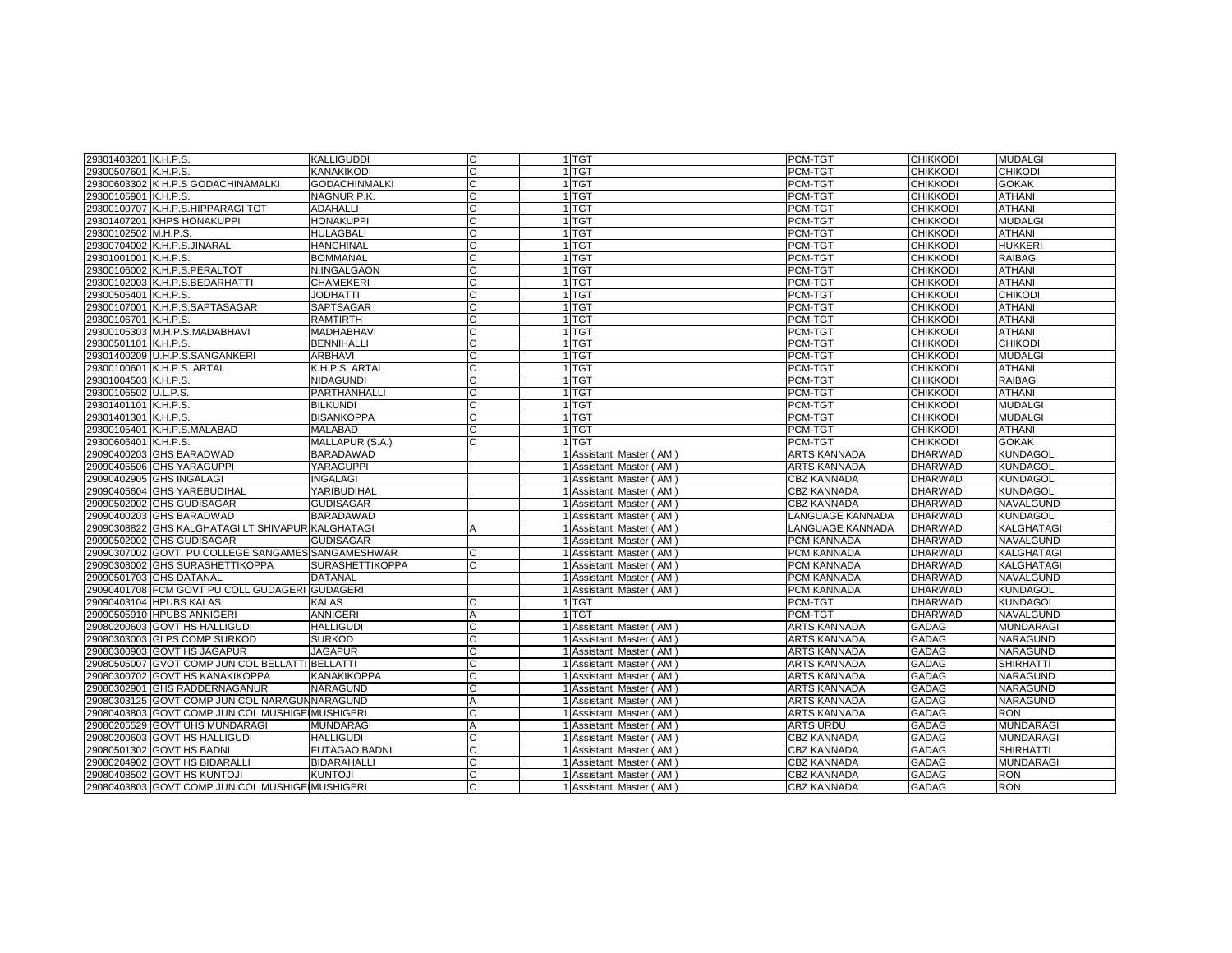| 29301403201 K.H.P.S. |                                                    | <b>KALLIGUDDI</b>      |   | 1 TGT                   | PCM-TGT             | <b>CHIKKODI</b> | <b>MUDALGI</b>   |
|----------------------|----------------------------------------------------|------------------------|---|-------------------------|---------------------|-----------------|------------------|
| 29300507601 K.H.P.S. |                                                    | KANAKIKODI             | C | 1 TGT                   | PCM-TGT             | <b>CHIKKODI</b> | <b>CHIKODI</b>   |
|                      | 29300603302 K H.P.S GODACHINAMALKI                 | <b>GODACHINMALKI</b>   | C | 1 TGT                   | PCM-TGT             | <b>CHIKKODI</b> | <b>GOKAK</b>     |
| 29300105901 K.H.P.S. |                                                    | NAGNUR P.K.            | C | 1 TGT                   | PCM-TGT             | <b>CHIKKODI</b> | <b>ATHANI</b>    |
|                      | 29300100707 K.H.P.S.HIPPARAGI TOT                  | <b>ADAHALLI</b>        | C | 1 TGT                   | PCM-TGT             | <b>CHIKKODI</b> | <b>ATHANI</b>    |
|                      | 29301407201 KHPS HONAKUPPI                         | <b>HONAKUPPI</b>       | C | 1 TGT                   | PCM-TGT             | <b>CHIKKODI</b> | <b>MUDALGI</b>   |
| 29300102502 M.H.P.S. |                                                    | <b>HULAGBALI</b>       | C | 1 TGT                   | PCM-TGT             | <b>CHIKKODI</b> | <b>ATHANI</b>    |
|                      | 29300704002 K.H.P.S.JINARAL                        | <b>HANCHINAL</b>       | Ć | 1 <sub>TGT</sub>        | PCM-TGT             | <b>CHIKKODI</b> | <b>HUKKERI</b>   |
| 29301001001 K.H.P.S. |                                                    | <b>BOMMANAL</b>        | C | 1 <sub>TGT</sub>        | PCM-TGT             | <b>CHIKKODI</b> | <b>RAIBAG</b>    |
|                      | 29300106002 K.H.P.S.PERALTOT                       | N.INGALGAON            | C | 1 TGT                   | PCM-TGT             | <b>CHIKKODI</b> | <b>ATHANI</b>    |
|                      | 29300102003 K.H.P.S.BEDARHATTI                     | <b>CHAMEKERI</b>       | C | 1 TGT                   | PCM-TGT             | <b>CHIKKODI</b> | <b>ATHANI</b>    |
| 29300505401 K.H.P.S. |                                                    | <b>JODHATTI</b>        | C | 1 TGT                   | PCM-TGT             | <b>CHIKKODI</b> | <b>CHIKODI</b>   |
|                      | 29300107001 K.H.P.S.SAPTASAGAR                     | SAPTSAGAR              | C | 1 TGT                   | PCM-TGT             | <b>CHIKKODI</b> | <b>ATHANI</b>    |
| 29300106701 K.H.P.S. |                                                    | <b>RAMTIRTH</b>        | C | 1 TGT                   | PCM-TGT             | <b>CHIKKODI</b> | <b>ATHANI</b>    |
|                      | 29300105303 M.H.P.S.MADABHAVI                      | <b>MADHABHAVI</b>      | C | 1 <sub>TGT</sub>        | PCM-TGT             | <b>CHIKKODI</b> | <b>ATHANI</b>    |
| 29300501101 K.H.P.S. |                                                    | <b>BENNIHALLI</b>      | C | 1 TGT                   | PCM-TGT             | <b>CHIKKODI</b> | <b>CHIKODI</b>   |
|                      | 29301400209 U.H.P.S.SANGANKERI                     | ARBHAVI                | C | 1 TGT                   | PCM-TGT             | <b>CHIKKODI</b> | <b>MUDALGI</b>   |
|                      | 29300100601 K.H.P.S. ARTAL                         | K.H.P.S. ARTAL         | C | 1 TGT                   | PCM-TGT             | <b>CHIKKODI</b> | <b>ATHANI</b>    |
| 29301004503 K.H.P.S. |                                                    | NIDAGUNDI              | C | 1 TGT                   | PCM-TGT             | <b>CHIKKODI</b> | <b>RAIBAG</b>    |
| 29300106502 U.L.P.S. |                                                    | PARTHANHALLI           | C | 1 TGT                   | PCM-TGT             | <b>CHIKKODI</b> | <b>ATHANI</b>    |
| 29301401101 K.H.P.S. |                                                    | <b>BILKUNDI</b>        | C | 1 TGT                   | PCM-TGT             | <b>CHIKKODI</b> | <b>MUDALGI</b>   |
| 29301401301 K.H.P.S. |                                                    | <b>BISANKOPPA</b>      | C | 1 <sub>TGT</sub>        | PCM-TGT             | <b>CHIKKODI</b> | <b>MUDALGI</b>   |
|                      | 29300105401 K.H.P.S.MALABAD                        | <b>MALABAD</b>         | C | 1 TGT                   | PCM-TGT             | <b>CHIKKODI</b> | <b>ATHANI</b>    |
| 29300606401 K.H.P.S. |                                                    | MALLAPUR (S.A.)        | C | 1 TGT                   | PCM-TGT             | <b>CHIKKODI</b> | <b>GOKAK</b>     |
|                      | 29090400203 GHS BARADWAD                           | BARADAWAD              |   | 1 Assistant Master (AM) | ARTS KANNADA        | <b>DHARWAD</b>  | <b>KUNDAGOL</b>  |
|                      | 29090405506 GHS YARAGUPPI                          | <b>YARAGUPPI</b>       |   | 1 Assistant Master (AM) | <b>ARTS KANNADA</b> | <b>DHARWAD</b>  | <b>KUNDAGOL</b>  |
|                      | 29090402905 GHS INGALAGI                           | <b>INGALAGI</b>        |   | 1 Assistant Master (AM) | CBZ KANNADA         | <b>DHARWAD</b>  | <b>KUNDAGOL</b>  |
|                      | 29090405604 GHS YAREBUDIHAL                        | YARIBUDIHAL            |   | 1 Assistant Master (AM) | CBZ KANNADA         | <b>DHARWAD</b>  | <b>KUNDAGOL</b>  |
|                      | 29090502002 GHS GUDISAGAR                          | <b>GUDISAGAR</b>       |   | 1 Assistant Master (AM) | CBZ KANNADA         | <b>DHARWAD</b>  | NAVALGUND        |
|                      | 29090400203 GHS BARADWAD                           | <b>BARADAWAD</b>       |   | I Assistant Master (AM) | LANGUAGE KANNADA    | <b>DHARWAD</b>  | <b>KUNDAGOL</b>  |
|                      | 29090308822 GHS KALGHATAGI LT SHIVAPUR KALGHATAGI  |                        |   | 1 Assistant Master (AM) | LANGUAGE KANNADA    | <b>DHARWAD</b>  | KALGHATAGI       |
|                      | 29090502002 GHS GUDISAGAR                          | <b>GUDISAGAR</b>       |   | 1 Assistant Master (AM) | PCM KANNADA         | <b>DHARWAD</b>  | NAVALGUND        |
|                      | 29090307002 GOVT. PU COLLEGE SANGAMES SANGAMESHWAR |                        | C | 1 Assistant Master (AM) | PCM KANNADA         | <b>DHARWAD</b>  | KALGHATAGI       |
|                      | 29090308002 GHS SURASHETTIKOPPA                    | <b>SURASHETTIKOPPA</b> | C | 1 Assistant Master (AM) | PCM KANNADA         | <b>DHARWAD</b>  | KALGHATAGI       |
|                      | 29090501703 GHS DATANAL                            | <b>DATANAL</b>         |   | 1 Assistant Master (AM) | PCM KANNADA         | <b>DHARWAD</b>  | NAVALGUND        |
|                      | 29090401708 FCM GOVT PU COLL GUDAGERI GUDAGERI     |                        |   | 1 Assistant Master (AM) | PCM KANNADA         | <b>DHARWAD</b>  | <b>KUNDAGOL</b>  |
|                      | 29090403104 HPUBS KALAS                            | <b>KALAS</b>           |   | 1 TGT                   | PCM-TGT             | <b>DHARWAD</b>  | <b>KUNDAGOL</b>  |
|                      | 29090505910 HPUBS ANNIGERI                         | <b>ANNIGERI</b>        | A | 1 TGT                   | PCM-TGT             | <b>DHARWAD</b>  | NAVALGUND        |
|                      | 29080200603 GOVT HS HALLIGUDI                      | <b>HALLIGUDI</b>       | C | 1 Assistant Master (AM) | ARTS KANNADA        | <b>GADAG</b>    | <b>MUNDARAGI</b> |
|                      | 29080303003 GLPS COMP SURKOD                       | <b>SURKOD</b>          | C | 1 Assistant Master (AM) | ARTS KANNADA        | <b>GADAG</b>    | <b>NARAGUND</b>  |
|                      | 29080300903 GOVT HS JAGAPUR                        | <b>JAGAPUR</b>         | C | 1 Assistant Master (AM) | ARTS KANNADA        | <b>GADAG</b>    | NARAGUND         |
|                      | 29080505007 GVOT COMP JUN COL BELLATTI BELLATTI    |                        | C | 1 Assistant Master (AM) | <b>ARTS KANNADA</b> | <b>GADAG</b>    | <b>SHIRHATTI</b> |
|                      | 29080300702 GOVT HS KANAKIKOPPA                    | KANAKIKOPPA            | C | 1 Assistant Master (AM) | ARTS KANNADA        | <b>GADAG</b>    | NARAGUND         |
|                      | 29080302901 GHS RADDERNAGANUR                      | <b>NARAGUND</b>        | C | 1 Assistant Master (AM) | ARTS KANNADA        | <b>GADAG</b>    | NARAGUND         |
|                      | 29080303125 GOVT COMP JUN COL NARAGUNNARAGUND      |                        | A | Assistant Master (AM)   | ARTS KANNADA        | <b>GADAG</b>    | <b>NARAGUND</b>  |
|                      | 29080403803 GOVT COMP JUN COL MUSHIGE MUSHIGERI    |                        | C | Assistant Master (AM)   | <b>ARTS KANNADA</b> | <b>GADAG</b>    | <b>RON</b>       |
|                      | 29080205529 GOVT UHS MUNDARAGI                     | <b>MUNDARAGI</b>       | A | 1 Assistant Master (AM) | ARTS URDU           | <b>GADAG</b>    | <b>MUNDARAGI</b> |
|                      | 29080200603 GOVT HS HALLIGUDI                      | <b>HALLIGUDI</b>       | C | 1 Assistant Master (AM) | CBZ KANNADA         | <b>GADAG</b>    | <b>MUNDARAGI</b> |
|                      | 29080501302 GOVT HS BADNI                          | <b>FUTAGAO BADNI</b>   | C | 1 Assistant Master (AM) | CBZ KANNADA         | GADAG           | <b>SHIRHATTI</b> |
|                      | 29080204902 GOVT HS BIDARALLI                      | <b>BIDARAHALLI</b>     | C | 1 Assistant Master (AM) | CBZ KANNADA         | <b>GADAG</b>    | <b>MUNDARAGI</b> |
|                      | 29080408502 GOVT HS KUNTOJI                        | <b>KUNTOJI</b>         | C | 1 Assistant Master (AM) | CBZ KANNADA         | <b>GADAG</b>    | <b>RON</b>       |
|                      | 29080403803 GOVT COMP JUN COL MUSHIGE MUSHIGERI    |                        | Ć | 1 Assistant Master (AM) | CBZ KANNADA         | <b>GADAG</b>    | <b>RON</b>       |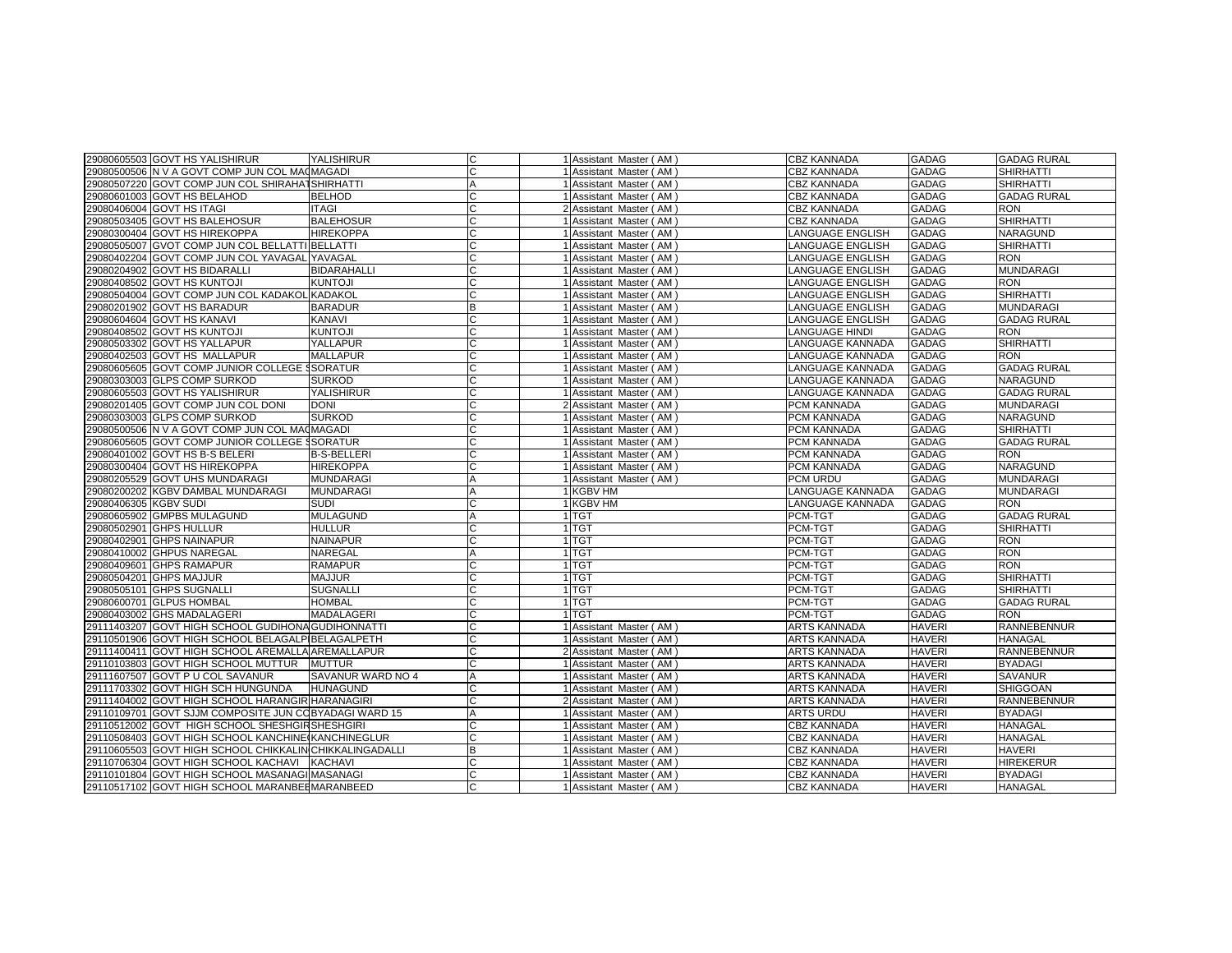|                       | 29080605503 GOVT HS YALISHIRUR                        | YALISHIRUR         | C              | 1 Assistant Master (AM) | <b>CBZ KANNADA</b>    | <b>GADAG</b>  | <b>GADAG RURAL</b> |
|-----------------------|-------------------------------------------------------|--------------------|----------------|-------------------------|-----------------------|---------------|--------------------|
|                       | 29080500506 N V A GOVT COMP JUN COL MACMAGADI         |                    | С              | Assistant Master (AM)   | <b>CBZ KANNADA</b>    | <b>GADAG</b>  | <b>SHIRHATTI</b>   |
|                       | 29080507220 GOVT COMP JUN COL SHIRAHATSHIRHATTI       |                    | $\overline{A}$ | Assistant Master (AM)   | <b>CBZ KANNADA</b>    | <b>GADAG</b>  | <b>SHIRHATTI</b>   |
|                       | 29080601003 GOVT HS BELAHOD                           | <b>BELHOD</b>      |                | Assistant Master (AM)   | <b>CBZ KANNADA</b>    | <b>GADAG</b>  | <b>GADAG RURAL</b> |
|                       | 29080406004 GOVT HS ITAGI                             | <b>ITAGI</b>       | C              | 2 Assistant Master (AM) | <b>CBZ KANNADA</b>    | <b>GADAG</b>  | <b>RON</b>         |
|                       | 29080503405 GOVT HS BALEHOSUR                         | <b>BALEHOSUR</b>   | C              | Assistant Master (AM)   | <b>CBZ KANNADA</b>    | <b>GADAG</b>  | <b>SHIRHATTI</b>   |
| 29080300404           | <b>GOVT HS HIREKOPPA</b>                              | <b>HIREKOPPA</b>   | C              | Assistant Master (AM)   | LANGUAGE ENGLISH      | <b>GADAG</b>  | NARAGUND           |
|                       | 29080505007 GVOT COMP JUN COL BELLATTI BELLATTI       |                    | ГC             | Assistant Master (AM)   | LANGUAGE ENGLISH      | <b>GADAG</b>  | <b>SHIRHATTI</b>   |
|                       | 29080402204 GOVT COMP JUN COL YAVAGAL YAVAGAL         |                    | C              | Assistant Master (AM)   | LANGUAGE ENGLISH      | <b>GADAG</b>  | <b>RON</b>         |
|                       | 29080204902 GOVT HS BIDARALLI                         | <b>BIDARAHALLI</b> | С              | Assistant Master (AM)   | LANGUAGE ENGLISH      | <b>GADAG</b>  | <b>MUNDARAGI</b>   |
|                       | 29080408502 GOVT HS KUNTOJI                           | <b>KUNTOJI</b>     |                | Assistant Master (AM)   | LANGUAGE ENGLISH      | <b>GADAG</b>  | <b>RON</b>         |
|                       | 29080504004 GOVT COMP JUN COL KADAKOL KADAKOL         |                    | C              | Assistant Master (AM)   | LANGUAGE ENGLISH      | <b>GADAG</b>  | <b>SHIRHATTI</b>   |
|                       | 29080201902 GOVT HS BARADUR                           | <b>BARADUR</b>     | B              | Assistant Master (AM)   | LANGUAGE ENGLISH      | <b>GADAG</b>  | <b>MUNDARAGI</b>   |
|                       | 29080604604 GOVT HS KANAVI                            | <b>KANAVI</b>      | ГC             | Assistant Master (AM)   | LANGUAGE ENGLISH      | <b>GADAG</b>  | <b>GADAG RURAL</b> |
|                       | 29080408502 GOVT HS KUNTOJI                           | <b>KUNTOJI</b>     | C              | Assistant Master (AM)   | <b>LANGUAGE HINDI</b> | <b>GADAG</b>  | <b>RON</b>         |
|                       | 29080503302 GOVT HS YALLAPUR                          | YALLAPUR           | C              | Assistant Master (AM)   | LANGUAGE KANNADA      | <b>GADAG</b>  | <b>SHIRHATTI</b>   |
|                       | 29080402503 GOVT HS MALLAPUR                          | <b>MALLAPUR</b>    | C              | Assistant Master (AM)   | LANGUAGE KANNADA      | <b>GADAG</b>  | <b>RON</b>         |
|                       | 29080605605 GOVT COMP JUNIOR COLLEGE SSORATUR         |                    |                | Assistant Master (AM)   | LANGUAGE KANNADA      | <b>GADAG</b>  | <b>GADAG RURAL</b> |
|                       | 29080303003 GLPS COMP SURKOD                          | <b>SURKOD</b>      | C              | Assistant Master (AM)   | LANGUAGE KANNADA      | <b>GADAG</b>  | <b>NARAGUND</b>    |
|                       | 29080605503 GOVT HS YALISHIRUR                        | <b>YALISHIRUR</b>  | C              | Assistant Master (AM)   | LANGUAGE KANNADA      | <b>GADAG</b>  | <b>GADAG RURAL</b> |
| 29080201405           | GOVT COMP JUN COL DONI                                | <b>DONI</b>        | C              | 2 Assistant Master (AM) | PCM KANNADA           | <b>GADAG</b>  | <b>MUNDARAGI</b>   |
|                       | 29080303003 GLPS COMP SURKOD                          | <b>SURKOD</b>      | C              | Assistant Master (AM)   | PCM KANNADA           | GADAG         | NARAGUND           |
|                       | 29080500506 N V A GOVT COMP JUN COL MACMAGADI         |                    | C              | Assistant Master (AM)   | PCM KANNADA           | <b>GADAG</b>  | <b>SHIRHATTI</b>   |
|                       | 29080605605 GOVT COMP JUNIOR COLLEGE SSORATUR         |                    |                | Assistant Master (AM)   | PCM KANNADA           | <b>GADAG</b>  | <b>GADAG RURAL</b> |
|                       | 29080401002 GOVT HS B-S BELERI                        | <b>B-S-BELLERI</b> | C              | Assistant Master (AM)   | PCM KANNADA           | <b>GADAG</b>  | <b>RON</b>         |
|                       | 29080300404 GOVT HS HIREKOPPA                         | <b>HIREKOPPA</b>   | C              | Assistant Master (AM)   | PCM KANNADA           | <b>GADAG</b>  | NARAGUND           |
|                       | 29080205529 GOVT UHS MUNDARAGI                        | <b>MUNDARAGI</b>   | A              | Assistant Master (AM)   | PCM URDU              | <b>GADAG</b>  | <b>MUNDARAGI</b>   |
|                       | 29080200202 KGBV DAMBAL MUNDARAGI                     | <b>MUNDARAGI</b>   | A              | <b>KGBV HM</b>          | LANGUAGE KANNADA      | <b>GADAG</b>  | <b>MUNDARAGI</b>   |
| 29080406305 KGBV SUDI |                                                       | <b>SUDI</b>        | C              | <b>KGBV HM</b>          | LANGUAGE KANNADA      | <b>GADAG</b>  | <b>RON</b>         |
|                       | 29080605902 GMPBS MULAGUND                            | <b>MULAGUND</b>    | $\overline{A}$ | 1TGT                    | PCM-TGT               | <b>GADAG</b>  | <b>GADAG RURAL</b> |
|                       | 29080502901 GHPS HULLUR                               | <b>HULLUR</b>      |                | <b>TGT</b>              | PCM-TGT               | <b>GADAG</b>  | <b>SHIRHATTI</b>   |
|                       | 29080402901 GHPS NAINAPUR                             | <b>NAINAPUR</b>    | C              | 1 <sup>TGT</sup>        | PCM-TGT               | <b>GADAG</b>  | <b>RON</b>         |
|                       | 29080410002 GHPUS NAREGAL                             | <b>NAREGAL</b>     | A              | 1 TGT                   | PCM-TGT               | <b>GADAG</b>  | <b>RON</b>         |
|                       | 29080409601 GHPS RAMAPUR                              | <b>RAMAPUR</b>     | C              | 1 TGT                   | PCM-TGT               | <b>GADAG</b>  | <b>RON</b>         |
|                       | 29080504201 GHPS MAJJUR                               | <b>MAJJUR</b>      | ГC             | 1 <sup>TGT</sup>        | PCM-TGT               | <b>GADAG</b>  | <b>SHIRHATTI</b>   |
|                       | 29080505101 GHPS SUGNALL                              | <b>SUGNALLI</b>    | C              | <b>TGT</b>              | PCM-TGT               | <b>GADAG</b>  | <b>SHIRHATTI</b>   |
|                       | 29080600701 GLPUS HOMBAL                              | <b>HOMBAL</b>      | C              | 1 TGT                   | PCM-TGT               | <b>GADAG</b>  | <b>GADAG RURAL</b> |
|                       | 29080403002 GHS MADALAGERI                            | <b>MADALAGERI</b>  | C              | <b>TGT</b>              | PCM-TGT               | <b>GADAG</b>  | <b>RON</b>         |
|                       | 29111403207 GOVT HIGH SCHOOL GUDIHONA GUDIHONNATTI    |                    |                | Assistant Master (AM)   | ARTS KANNADA          | <b>HAVERI</b> | <b>RANNEBENNUR</b> |
|                       | 29110501906 GOVT HIGH SCHOOL BELAGALP BELAGALPETH     |                    | C              | Assistant Master (AM)   | <b>ARTS KANNADA</b>   | <b>HAVERI</b> | <b>HANAGAL</b>     |
|                       | 29111400411 GOVT HIGH SCHOOL AREMALLA AREMALLAPUR     |                    | C              | 2 Assistant Master (AM) | ARTS KANNADA          | <b>HAVERI</b> | <b>RANNEBENNUR</b> |
|                       | 29110103803 GOVT HIGH SCHOOL MUTTUR                   | <b>MUTTUR</b>      | C              | Assistant Master (AM)   | ARTS KANNADA          | <b>HAVERI</b> | <b>BYADAGI</b>     |
|                       | 29111607507 GOVT P U COL SAVANUR                      | SAVANUR WARD NO 4  | $\overline{A}$ | Assistant Master (AM)   | ARTS KANNADA          | <b>HAVERI</b> | <b>SAVANUR</b>     |
|                       | 29111703302 GOVT HIGH SCH HUNGUNDA                    | <b>HUNAGUND</b>    | C              | Assistant Master (AM)   | ARTS KANNADA          | <b>HAVERI</b> | <b>SHIGGOAN</b>    |
|                       | 29111404002 GOVT HIGH SCHOOL HARANGIR HARANAGIRI      |                    |                | Assistant Master (AM)   | ARTS KANNADA          | <b>HAVERI</b> | <b>RANNEBENNUR</b> |
|                       | 29110109701 GOVT SJJM COMPOSITE JUN COBYADAGI WARD 15 |                    | $\overline{A}$ | Assistant Master (AM)   | ARTS URDU             | <b>HAVERI</b> | <b>BYADAGI</b>     |
|                       | 29110512002 GOVT HIGH SCHOOL SHESHGIRSHESHGIRI        |                    | C              | Assistant Master (AM)   | <b>CBZ KANNADA</b>    | <b>HAVERI</b> | <b>HANAGAL</b>     |
|                       | 29110508403 GOVT HIGH SCHOOL KANCHINE KANCHINEGLUR    |                    | C              | Assistant Master (AM)   | <b>CBZ KANNADA</b>    | <b>HAVERI</b> | <b>HANAGAL</b>     |
| 29110605503           | GOVT HIGH SCHOOL CHIKKALIN CHIKKALINGADALLI           |                    | <b>B</b>       | Assistant Master (AM)   | <b>CBZ KANNADA</b>    | <b>HAVERI</b> | <b>HAVERI</b>      |
|                       | 29110706304 GOVT HIGH SCHOOL KACHAVI                  | <b>KACHAVI</b>     | C              | Assistant Master (AM)   | CBZ KANNADA           | <b>HAVERI</b> | <b>HIREKERUR</b>   |
|                       | 29110101804 GOVT HIGH SCHOOL MASANAGI MASANAGI        |                    | C              | Assistant Master (AM)   | <b>CBZ KANNADA</b>    | <b>HAVERI</b> | <b>BYADAGI</b>     |
|                       | 29110517102 GOVT HIGH SCHOOL MARANBEEMARANBEED        |                    |                | Assistant Master (AM)   | <b>CBZ KANNADA</b>    | <b>HAVERI</b> | <b>HANAGAL</b>     |
|                       |                                                       |                    |                |                         |                       |               |                    |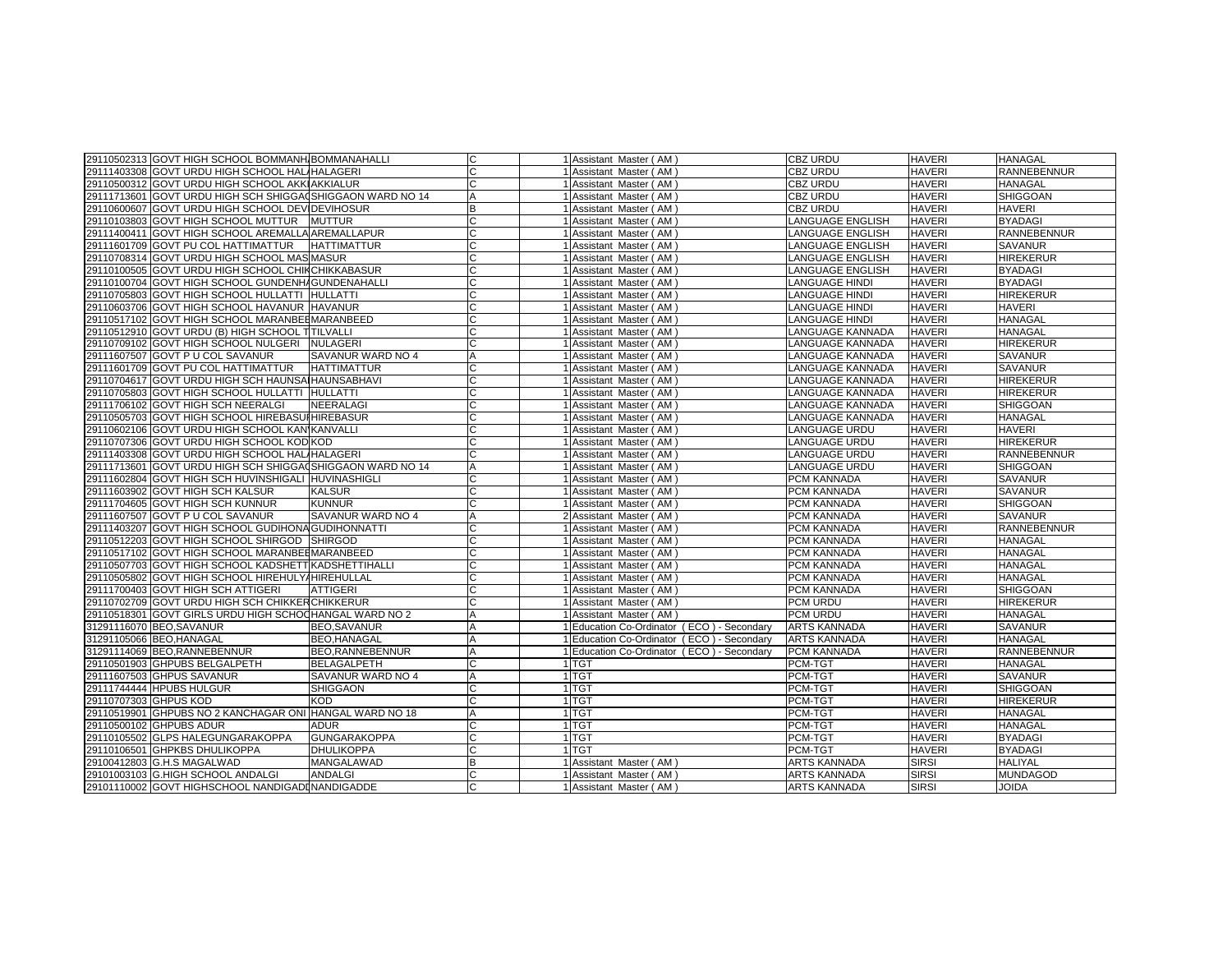| 29110502313 GOVT HIGH SCHOOL BOMMANH BOMMANAHALLI         |                     |                | 1 Assistant Master (AM)                    | <b>CBZ URDU</b>       | <b>HAVERI</b> | <b>HANAGAL</b>     |
|-----------------------------------------------------------|---------------------|----------------|--------------------------------------------|-----------------------|---------------|--------------------|
| 29111403308 GOVT URDU HIGH SCHOOL HAL/HALAGERI            |                     |                | 1 Assistant Master (AM)                    | <b>CBZ URDU</b>       | HAVERI        | <b>RANNEBENNUR</b> |
| 29110500312 GOVT URDU HIGH SCHOOL AKKIAKKIALUR            |                     |                | 1 Assistant Master (AM                     | <b>CBZ URDU</b>       | HAVERI        | <b>HANAGAL</b>     |
| 29111713601 GOVT URDU HIGH SCH SHIGGA0SHIGGAON WARD NO 14 |                     | A              | 1 Assistant Master (AM)                    | CBZ URDU              | <b>HAVERI</b> | SHIGGOAN           |
| 29110600607 GOVT URDU HIGH SCHOOL DEVIDEVIHOSUR           |                     | B              | 1 Assistant Master (AM)                    | <b>CBZ URDU</b>       | <b>HAVERI</b> | <b>HAVERI</b>      |
| 29110103803 GOVT HIGH SCHOOL MUTTUR                       | <b>MUTTUR</b>       |                | 1 Assistant Master (AM)                    | LANGUAGE ENGLISH      | <b>HAVERI</b> | <b>BYADAGI</b>     |
| 29111400411 GOVT HIGH SCHOOL AREMALLA AREMALLAPUR         |                     |                | 1 Assistant Master (AM)                    | LANGUAGE ENGLISH      | <b>HAVERI</b> | RANNEBENNUR        |
| 29111601709 GOVT PU COL HATTIMATTUR                       | <b>HATTIMATTUR</b>  |                | 1 Assistant Master (AM)                    | ANGUAGE ENGLISH       | <b>HAVERI</b> | <b>SAVANUR</b>     |
| 29110708314 GOVT URDU HIGH SCHOOL MAS MASUR               |                     |                | 1 Assistant Master (AM)                    | LANGUAGE ENGLISH      | <b>HAVERI</b> | HIREKERUR          |
| 29110100505 GOVT URDU HIGH SCHOOL CHINCHIKKABASUR         |                     |                | 1 Assistant Master (AM                     | LANGUAGE ENGLISH      | <b>HAVERI</b> | <b>BYADAGI</b>     |
| 29110100704 GOVT HIGH SCHOOL GUNDENH/GUNDENAHALLI         |                     |                | 1 Assistant Master (AM)                    | LANGUAGE HINDI        | <b>HAVERI</b> | <b>BYADAGI</b>     |
| 29110705803 GOVT HIGH SCHOOL HULLATTI HULLATTI            |                     |                | 1 Assistant Master (AM)                    | <b>LANGUAGE HINDI</b> | <b>HAVERI</b> | <b>HIREKERUR</b>   |
| 29110603706 GOVT HIGH SCHOOL HAVANUR HAVANUR              |                     |                | 1 Assistant Master (AM)                    | LANGUAGE HINDI        | <b>HAVERI</b> | <b>HAVERI</b>      |
| 29110517102 GOVT HIGH SCHOOL MARANBEEMARANBEED            |                     |                | 1 Assistant Master (AM)                    | LANGUAGE HINDI        | <b>HAVERI</b> | <b>HANAGAL</b>     |
| 29110512910 GOVT URDU (B) HIGH SCHOOL TITILVALLI          |                     |                | 1 Assistant Master (AM)                    | LANGUAGE KANNADA      | <b>HAVERI</b> | HANAGAL            |
| 29110709102 GOVT HIGH SCHOOL NULGERI                      | <b>NULAGERI</b>     |                | 1 Assistant Master (AM)                    | LANGUAGE KANNADA      | <b>HAVERI</b> | <b>HIREKERUR</b>   |
| 29111607507 GOVT P U COL SAVANUR                          | SAVANUR WARD NO 4   | A              | 1 Assistant Master (AM)                    | LANGUAGE KANNADA      | <b>HAVERI</b> | <b>SAVANUR</b>     |
| 29111601709 GOVT PU COL HATTIMATTUR                       | <b>HATTIMATTUR</b>  |                | 1 Assistant Master (AM)                    | LANGUAGE KANNADA      | <b>HAVERI</b> | <b>SAVANUR</b>     |
| 29110704617 GOVT URDU HIGH SCH HAUNSAIHAUNSABHAVI         |                     |                | 1 Assistant Master (AM)                    | LANGUAGE KANNADA      | <b>HAVERI</b> | <b>HIREKERUR</b>   |
| 29110705803 GOVT HIGH SCHOOL HULLATTI   HULLATTI          |                     |                | 1 Assistant Master (AM)                    | LANGUAGE KANNADA      | <b>HAVERI</b> | <b>HIREKERUR</b>   |
| 29111706102 GOVT HIGH SCH NEERALGI                        | <b>NEERALAGI</b>    |                | 1 Assistant Master (AM)                    | ANGUAGE KANNADA       | <b>HAVERI</b> | <b>SHIGGOAN</b>    |
| 29110505703 GOVT HIGH SCHOOL HIREBASUI HIREBASUR          |                     | C              | 1 Assistant Master (AM)                    | ANGUAGE KANNADA.      | <b>HAVERI</b> | HANAGAL            |
| 29110602106 GOVT URDU HIGH SCHOOL KAN KANVALLI            |                     |                | 1 Assistant Master (AM                     | LANGUAGE URDU         | <b>HAVERI</b> | <b>HAVERI</b>      |
| 29110707306 GOVT URDU HIGH SCHOOL KOD KOD                 |                     |                | 1 Assistant Master (AM                     | LANGUAGE URDU         | <b>HAVERI</b> | <b>HIREKERUR</b>   |
| 29111403308 GOVT URDU HIGH SCHOOL HAL HALAGERI            |                     | C              | 1 Assistant Master (AM)                    | LANGUAGE URDU         | <b>HAVERI</b> | <b>RANNEBENNUR</b> |
| 29111713601 GOVT URDU HIGH SCH SHIGGAOSHIGGAON WARD NO 14 |                     | A              | 1 Assistant Master (AM)                    | LANGUAGE URDU         | <b>HAVERI</b> | <b>SHIGGOAN</b>    |
| 29111602804 GOVT HIGH SCH HUVINSHIGALI HUVINASHIGLI       |                     | $\mathsf{C}$   | 1 Assistant Master (AM)                    | PCM KANNADA           | <b>HAVERI</b> | <b>SAVANUR</b>     |
| 29111603902 GOVT HIGH SCH KALSUR                          | <b>KALSUR</b>       | C              | 1 Assistant Master (AM                     | PCM KANNADA           | <b>HAVERI</b> | <b>SAVANUR</b>     |
| 29111704605 GOVT HIGH SCH KUNNUR                          | <b>KUNNUR</b>       | C              | 1 Assistant Master (AM)                    | PCM KANNADA           | <b>HAVERI</b> | SHIGGOAN           |
| 29111607507 GOVT P U COL SAVANUR                          | SAVANUR WARD NO 4   | A              | 2 Assistant Master (AM)                    | PCM KANNADA           | HAVERI        | <b>SAVANUR</b>     |
| 29111403207 GOVT HIGH SCHOOL GUDIHONA GUDIHONNATTI        |                     |                | 1 Assistant Master (AM                     | PCM KANNADA           | <b>HAVERI</b> | <b>RANNEBENNUR</b> |
| 29110512203 GOVT HIGH SCHOOL SHIRGOD                      | <b>SHIRGOD</b>      |                | 1 Assistant Master (AM)                    | PCM KANNADA           | <b>HAVERI</b> | HANAGAL            |
| 29110517102 GOVT HIGH SCHOOL MARANBEHMARANBEED            |                     |                | 1 Assistant Master (AM)                    | PCM KANNADA           | <b>HAVERI</b> | <b>HANAGAL</b>     |
| 29110507703 GOVT HIGH SCHOOL KADSHETT KADSHETTIHALLI      |                     | C              | 1 Assistant Master (AM)                    | PCM KANNADA           | <b>HAVERI</b> | <b>HANAGAL</b>     |
| 29110505802 GOVT HIGH SCHOOL HIREHULY HIREHULLAL          |                     |                | 1 Assistant Master (AM)                    | PCM KANNADA           | <b>HAVERI</b> | <b>HANAGAL</b>     |
| 29111700403 GOVT HIGH SCH ATTIGERI                        | <b>ATTIGERI</b>     |                | 1 Assistant Master (AM)                    | PCM KANNADA           | <b>HAVERI</b> | <b>SHIGGOAN</b>    |
| 29110702709 GOVT URDU HIGH SCH CHIKKER CHIKKERUR          |                     |                | 1 Assistant Master (AM)                    | PCM URDU              | <b>HAVERI</b> | HIREKERUR          |
| 29110518301 GOVT GIRLS URDU HIGH SCHOOHANGAL WARD NO 2    |                     | $\Delta$       | 1 Assistant Master (AM)                    | PCM URDU              | <b>HAVERI</b> | HANAGAL            |
| 31291116070 BEO, SAVANUR                                  | <b>BEO.SAVANUR</b>  | $\Delta$       | 1 Education Co-Ordinator (ECO) - Secondary | <b>ARTS KANNADA</b>   | HAVERI        | <b>SAVANUR</b>     |
| 31291105066 BEO.HANAGAL                                   | <b>BEO.HANAGAL</b>  | $\overline{A}$ | 1 Education Co-Ordinator (ECO) - Secondary | ARTS KANNADA          | <b>HAVERI</b> | <b>HANAGAL</b>     |
| 31291114069 BEO, RANNEBENNUR                              | BEO, RANNEBENNUR    | A              | 1 Education Co-Ordinator (ECO) - Secondary | PCM KANNADA           | <b>HAVERI</b> | RANNEBENNUR        |
| 29110501903 GHPUBS BELGALPETH                             | <b>BELAGALPETH</b>  |                | 1 TGT                                      | PCM-TGT               | <b>HAVERI</b> | <b>HANAGAL</b>     |
| 29111607503 GHPUS SAVANUR                                 | SAVANUR WARD NO 4   | A              | 1 TGT                                      | PCM-TGT               | <b>HAVERI</b> | <b>SAVANUR</b>     |
| 29111744444 HPUBS HULGUR                                  | SHIGGAON            |                | 1 TGT                                      | PCM-TGT               | HAVERI        | <b>SHIGGOAN</b>    |
| 29110707303 GHPUS KOD                                     | KOD                 |                | 1 TGT                                      | PCM-TGT               | HAVERI        | HIREKERUR          |
| 29110519901 GHPUBS NO 2 KANCHAGAR ONI                     | HANGAL WARD NO 18   | A              | 1 TGT                                      | PCM-TGT               | <b>HAVERI</b> | HANAGAL            |
| 29110500102 GHPUBS ADUR                                   | <b>ADUR</b>         |                | 1 TGT                                      | PCM-TGT               | <b>HAVERI</b> | <b>HANAGAL</b>     |
| 29110105502 GLPS HALEGUNGARAKOPPA                         | <b>GUNGARAKOPPA</b> |                | 1 TGT                                      | PCM-TGT               | <b>HAVERI</b> | <b>BYADAGI</b>     |
| 29110106501 GHPKBS DHULIKOPPA                             | <b>DHULIKOPPA</b>   |                | 1 TGT                                      | PCM-TGT               | <b>HAVERI</b> | <b>BYADAGI</b>     |
| 29100412803 G.H.S MAGALWAD                                | MANGALAWAD          | B              | 1 Assistant Master (AM)                    | ARTS KANNADA          | <b>SIRSI</b>  | <b>HALIYAL</b>     |
| 29101003103 G.HIGH SCHOOL ANDALGI                         | <b>ANDALGI</b>      |                | 1 Assistant Master (AM)                    | ARTS KANNADA          | <b>SIRSI</b>  | MUNDAGOD           |
| 29101110002 GOVT HIGHSCHOOL NANDIGADINANDIGADDE           |                     |                | 1 Assistant Master (AM)                    | ARTS KANNADA          | <b>SIRSI</b>  | <b>JOIDA</b>       |
|                                                           |                     |                |                                            |                       |               |                    |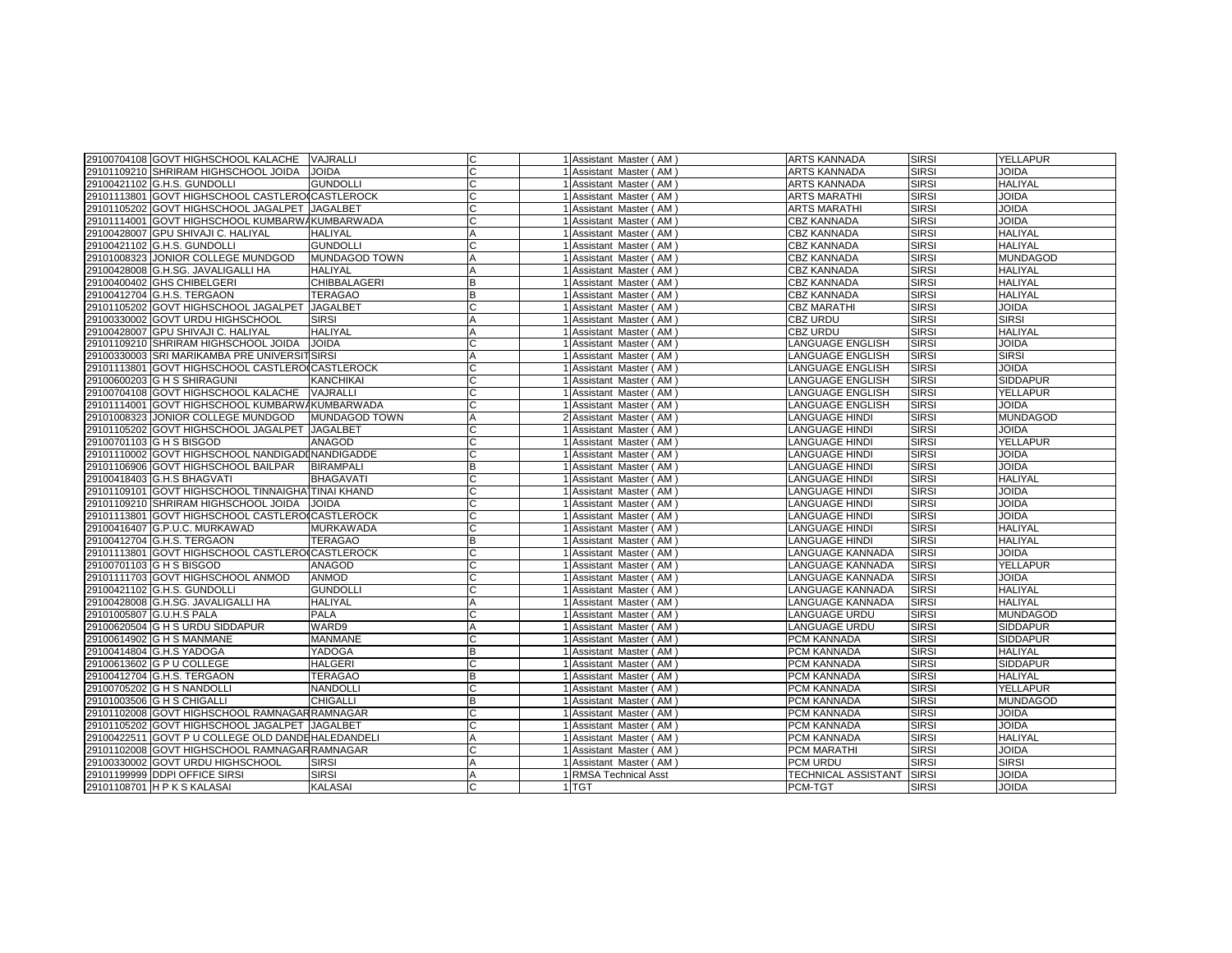| 29100704108 GOVT HIGHSCHOOL KALACHE VAJRALLI       |                      | lC.            | 1 Assistant Master (AM) | <b>ARTS KANNADA</b>        | <b>SIRSI</b> | <b>YELLAPUR</b> |
|----------------------------------------------------|----------------------|----------------|-------------------------|----------------------------|--------------|-----------------|
| 29101109210 SHRIRAM HIGHSCHOOL JOIDA               | <b>JOIDA</b>         | c              | 1 Assistant Master (AM) | ARTS KANNADA               | <b>SIRSI</b> | JOIDA           |
| 29100421102 G.H.S. GUNDOLLI                        | <b>GUNDOLLI</b>      | C              | 1 Assistant Master (AM) | <b>ARTS KANNADA</b>        | <b>SIRSI</b> | <b>HALIYAL</b>  |
| 29101113801 GOVT HIGHSCHOOL CASTLEROICASTLEROCK    |                      | lC.            | 1 Assistant Master (AM) | <b>ARTS MARATHI</b>        | <b>SIRSI</b> | <b>JOIDA</b>    |
| 29101105202 GOVT HIGHSCHOOL JAGALPET JAGALBET      |                      | C              | 1 Assistant Master (AM) | <b>ARTS MARATHI</b>        | <b>SIRSI</b> | <b>JOIDA</b>    |
| 29101114001 GOVT HIGHSCHOOL KUMBARWAKUMBARWADA     |                      | c              | Assistant Master (AM)   | <b>CBZ KANNADA</b>         | <b>SIRSI</b> | <b>JOIDA</b>    |
| 29100428007 GPU SHIVAJI C. HALIYAL                 | <b>HALIYAL</b>       | A              | 1 Assistant Master (AM) | <b>CBZ KANNADA</b>         | <b>SIRSI</b> | <b>HALIYAL</b>  |
| 29100421102 G.H.S. GUNDOLLI                        | <b>GUNDOLLI</b>      | C              | 1 Assistant Master (AM) | CBZ KANNADA                | <b>SIRSI</b> | <b>HALIYAL</b>  |
| 29101008323 JONIOR COLLEGE MUNDGOD                 | <b>MUNDAGOD TOWN</b> | $\overline{A}$ | 1 Assistant Master (AM) | <b>CBZ KANNADA</b>         | <b>SIRSI</b> | MUNDAGOD        |
| 29100428008 G.H.SG. JAVALIGALLI HA                 | <b>HALIYAL</b>       | A              | Assistant Master (AM)   | CBZ KANNADA                | <b>SIRSI</b> | <b>HALIYAL</b>  |
| 29100400402 GHS CHIBELGERI                         | <b>CHIBBALAGERI</b>  | B              | Assistant Master (AM)   | <b>CBZ KANNADA</b>         | <b>SIRSI</b> | <b>HALIYAL</b>  |
| 29100412704 G.H.S. TERGAON                         | <b>TERAGAO</b>       | B              | 1 Assistant Master (AM) | <b>CBZ KANNADA</b>         | <b>SIRSI</b> | <b>HALIYAL</b>  |
| 29101105202 GOVT HIGHSCHOOL JAGALPET               | <b>JAGALBET</b>      | ГC             | 1 Assistant Master (AM) | <b>CBZ MARATHI</b>         | <b>SIRSI</b> | <b>JOIDA</b>    |
| 29100330002 GOVT URDU HIGHSCHOOL                   | <b>SIRSI</b>         | A              | 1 Assistant Master (AM) | CBZ URDU                   | <b>SIRSI</b> | <b>SIRSI</b>    |
| 29100428007 GPU SHIVAJI C. HALIYAL                 | <b>HALIYAL</b>       | $\overline{A}$ | 1 Assistant Master (AM) | CBZ URDU                   | <b>SIRSI</b> | <b>HALIYAL</b>  |
| 29101109210 SHRIRAM HIGHSCHOOL JOIDA               | <b>JOIDA</b>         | C              | 1 Assistant Master (AM) | ANGUAGE ENGLISH            | <b>SIRSI</b> | <b>JOIDA</b>    |
| 29100330003 SRI MARIKAMBA PRE UNIVERSITSIRSI       |                      | A              | Assistant Master (AM)   | ANGUAGE ENGLISH            | <b>SIRSI</b> | <b>SIRSI</b>    |
| 29101113801 GOVT HIGHSCHOOL CASTLEROICASTLEROCK    |                      | C              | 1 Assistant Master (AM) | LANGUAGE ENGLISH           | <b>SIRSI</b> | <b>JOIDA</b>    |
| 29100600203 G H S SHIRAGUNI                        | <b>KANCHIKAI</b>     | C              | 1 Assistant Master (AM) | LANGUAGE ENGLISH           | <b>SIRSI</b> | <b>SIDDAPUR</b> |
| 29100704108 GOVT HIGHSCHOOL KALACHE                | <b>VAJRALLI</b>      | C              | 1 Assistant Master (AM) | LANGUAGE ENGLISH           | <b>SIRSI</b> | YELLAPUR        |
| 29101114001 GOVT HIGHSCHOOL KUMBARWAKUMBARWADA     |                      | lC.            | 1 Assistant Master (AM) | LANGUAGE ENGLISH           | <b>SIRSI</b> | <b>JOIDA</b>    |
| 29101008323 JONIOR COLLEGE MUNDGOD                 | <b>MUNDAGOD TOWN</b> | A              | 2 Assistant Master (AM) | <b>ANGUAGE HINDI</b>       | <b>SIRSI</b> | <b>MUNDAGOD</b> |
| 29101105202 GOVT HIGHSCHOOL JAGALPET               | <b>JAGALBET</b>      | С              | Assistant Master (AM)   | LANGUAGE HINDI             | <b>SIRSI</b> | JOIDA           |
| 29100701103 G H S BISGOD                           | <b>ANAGOD</b>        |                | Assistant Master (AM)   | LANGUAGE HINDI             | <b>SIRSI</b> | <b>YELLAPUR</b> |
| 29101110002 GOVT HIGHSCHOOL NANDIGADINANDIGADDE    |                      | C              | 1 Assistant Master (AM) | LANGUAGE HINDI             | <b>SIRSI</b> | <b>JOIDA</b>    |
| 29101106906 GOVT HIGHSCHOOL BAILPAR                | <b>BIRAMPALI</b>     | B              | 1 Assistant Master (AM) | <b>LANGUAGE HINDI</b>      | <b>SIRSI</b> | <b>JOIDA</b>    |
| 29100418403 G.H.S BHAGVATI                         | <b>BHAGAVATI</b>     | C              | Assistant Master (AM)   | LANGUAGE HINDI             | <b>SIRSI</b> | <b>HALIYAL</b>  |
| 29101109101 GOVT HIGHSCHOOL TINNAIGHATTINAI KHAND  |                      | lC             | 1 Assistant Master (AM) | <b>LANGUAGE HINDI</b>      | <b>SIRSI</b> | <b>JOIDA</b>    |
| 29101109210 SHRIRAM HIGHSCHOOL JOIDA               | <b>JOIDA</b>         | C              | 1 Assistant Master (AM) | <b>ANGUAGE HINDI</b>       | <b>SIRSI</b> | <b>JOIDA</b>    |
| 29101113801 GOVT HIGHSCHOOL CASTLEROICASTLEROCK    |                      | C              | 1 Assistant Master (AM) | LANGUAGE HINDI             | <b>SIRSI</b> | <b>JOIDA</b>    |
| 29100416407 G.P.U.C. MURKAWAD                      | <b>MURKAWADA</b>     |                | Assistant Master (AM)   | LANGUAGE HINDI             | <b>SIRSI</b> | <b>HALIYAL</b>  |
| 29100412704 G.H.S. TERGAON                         | <b>TERAGAO</b>       | B              | 1 Assistant Master (AM) | LANGUAGE HINDI             | <b>SIRSI</b> | <b>HALIYAL</b>  |
| 29101113801 GOVT HIGHSCHOOL CASTLEROICASTLEROCK    |                      | C              | Assistant Master (AM)   | LANGUAGE KANNADA           | <b>SIRSI</b> | <b>JOIDA</b>    |
| 29100701103 G H S BISGOD                           | <b>ANAGOD</b>        | lC             | Assistant Master (AM)   | LANGUAGE KANNADA           | <b>SIRSI</b> | <b>YELLAPUR</b> |
| 29101111703 GOVT HIGHSCHOOL ANMOD                  | <b>ANMOD</b>         | C              | 1 Assistant Master (AM) | LANGUAGE KANNADA           | <b>SIRSI</b> | <b>JOIDA</b>    |
| 29100421102 G.H.S. GUNDOLLI                        | <b>GUNDOLLI</b>      | C              | 1 Assistant Master (AM) | ANGUAGE KANNADA            | <b>SIRSI</b> | <b>HALIYAL</b>  |
| 29100428008 G.H.SG. JAVALIGALLI HA                 | <b>HALIYAL</b>       | $\overline{A}$ | 1 Assistant Master (AM) | LANGUAGE KANNADA           | <b>SIRSI</b> | <b>HALIYAL</b>  |
| 29101005807 G.U.H.S PALA                           | <b>PALA</b>          |                | Assistant Master (AM)   | ANGUAGE URDU               | <b>SIRSI</b> | <b>MUNDAGOD</b> |
| 29100620504 G H S URDU SIDDAPUR                    | WARD9                | A              | Assistant Master (AM)   | LANGUAGE URDU              | <b>SIRSI</b> | <b>SIDDAPUR</b> |
| 29100614902 G H S MANMANE                          | <b>MANMANE</b>       | C              | Assistant Master (AM)   | PCM KANNADA                | <b>SIRSI</b> | <b>SIDDAPUR</b> |
| 29100414804 G.H.S YADOGA                           | YADOGA               | B              | Assistant Master (AM)   | PCM KANNADA                | <b>SIRSI</b> | <b>HALIYAL</b>  |
| 29100613602 G P U COLLEGE                          | <b>HALGERI</b>       | ГC             | 1 Assistant Master (AM) | PCM KANNADA                | <b>SIRSI</b> | <b>SIDDAPUR</b> |
| 29100412704 G.H.S. TERGAON                         | <b>TERAGAO</b>       | B              | 1 Assistant Master (AM) | PCM KANNADA                | <b>SIRSI</b> | <b>HALIYAL</b>  |
| 29100705202 G H S NANDOLLI                         | <b>NANDOLLI</b>      | C              | 1 Assistant Master (AM) | PCM KANNADA                | <b>SIRSI</b> | YELLAPUR        |
| 29101003506 G H S CHIGALLI                         | <b>CHIGALLI</b>      | B              | Assistant Master (AM)   | PCM KANNADA                | <b>SIRSI</b> | <b>MUNDAGOD</b> |
| 29101102008 GOVT HIGHSCHOOL RAMNAGARRAMNAGAR       |                      | lC             | 1 Assistant Master (AM) | PCM KANNADA                | <b>SIRSI</b> | <b>JOIDA</b>    |
| 29101105202 GOVT HIGHSCHOOL JAGALPET JAGALBET      |                      | C              | 1 Assistant Master (AM) | PCM KANNADA                | <b>SIRSI</b> | <b>JOIDA</b>    |
| 29100422511 GOVT P U COLLEGE OLD DANDE HALEDANDELI |                      | A              | Assistant Master (AM)   | PCM KANNADA                | <b>SIRSI</b> | <b>HALIYAL</b>  |
| 29101102008 GOVT HIGHSCHOOL RAMNAGAR RAMNAGAR      |                      | C              | 1 Assistant Master (AM) | PCM MARATHI                | <b>SIRSI</b> | <b>JOIDA</b>    |
| 29100330002 GOVT URDU HIGHSCHOOL                   | <b>SIRSI</b>         | $\overline{A}$ | 1 Assistant Master (AM) | PCM URDU                   | <b>SIRSI</b> | <b>SIRSI</b>    |
| 29101199999 DDPI OFFICE SIRSI                      | <b>SIRSI</b>         | $\overline{A}$ | 1 RMSA Technical Asst   | <b>TECHNICAL ASSISTANT</b> | <b>SIRSI</b> | <b>JOIDA</b>    |
| 29101108701 H P K S KALASAI                        | <b>KALASAI</b>       |                | 1 TGT                   | PCM-TGT                    | <b>SIRSI</b> | <b>JOIDA</b>    |
|                                                    |                      |                |                         |                            |              |                 |